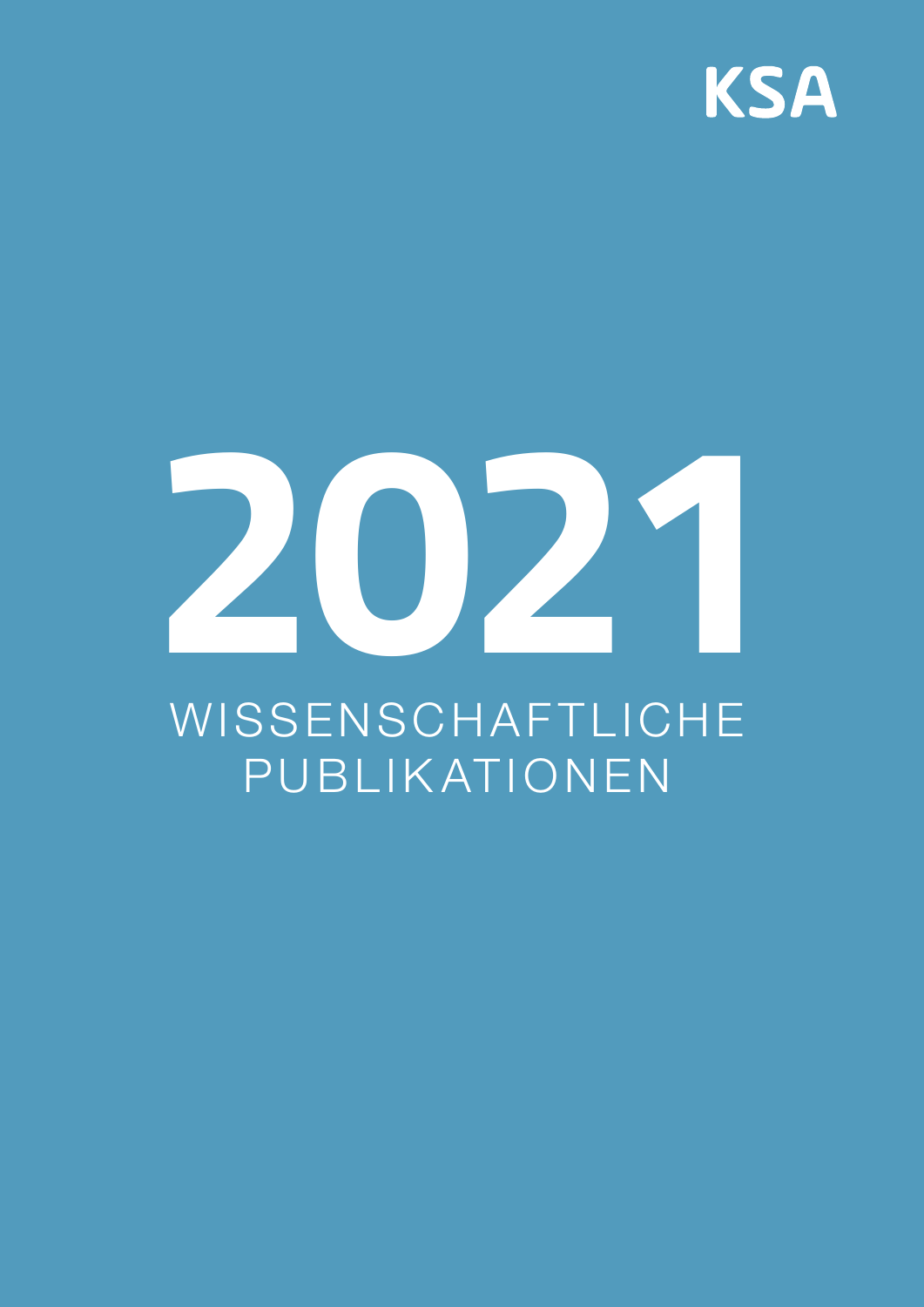

# **2021**

# WISSENSCHAFTLICHE PUBLIKATIONEN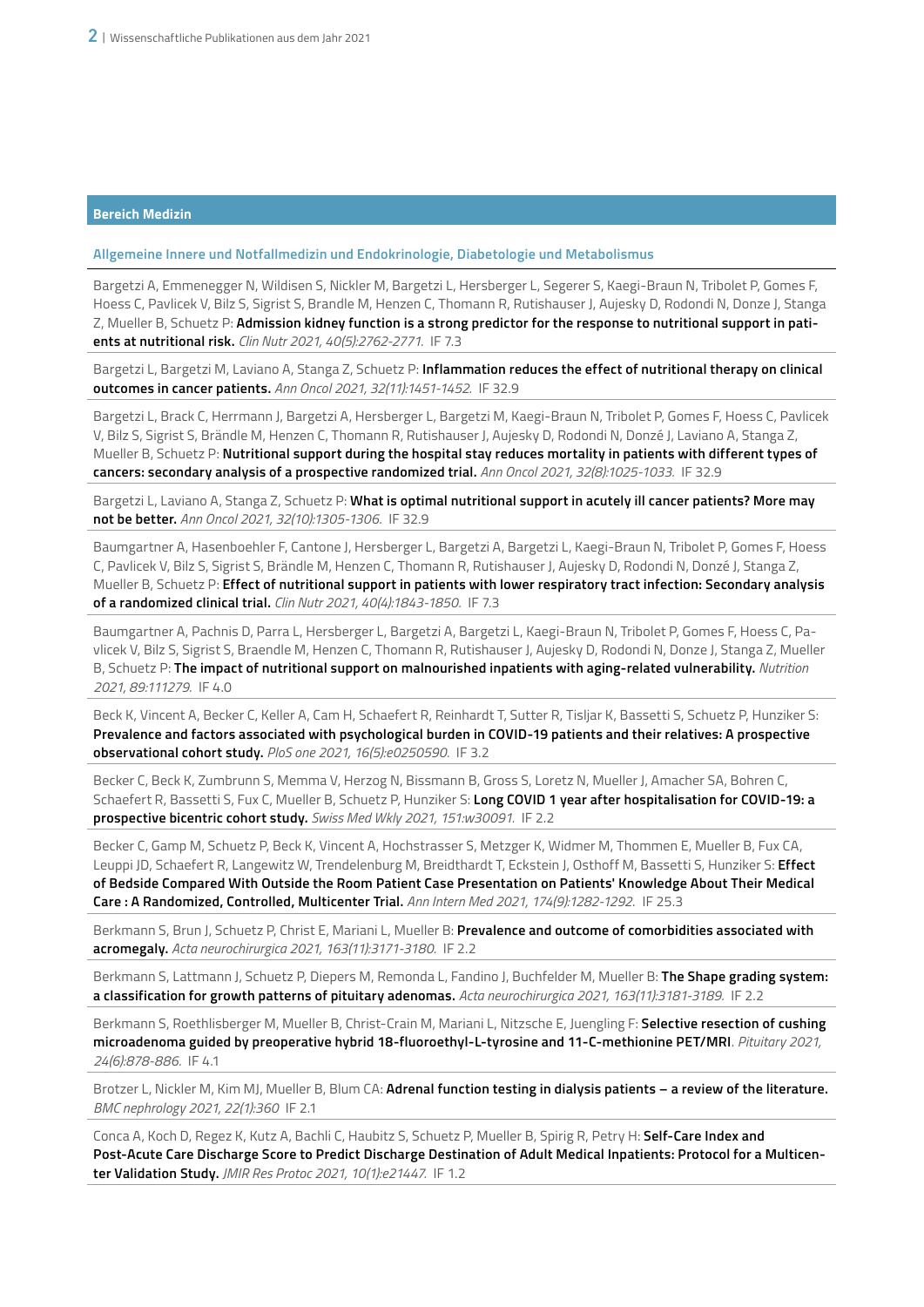**Allgemeine Innere und Notfallmedizin und Endokrinologie, Diabetologie und Metabolismus**

Bargetzi A, Emmenegger N, Wildisen S, Nickler M, Bargetzi L, Hersberger L, Segerer S, Kaegi-Braun N, Tribolet P, Gomes F, Hoess C, Pavlicek V, Bilz S, Sigrist S, Brandle M, Henzen C, Thomann R, Rutishauser J, Aujesky D, Rodondi N, Donze J, Stanga Z, Mueller B, Schuetz P: **Admission kidney function is a strong predictor for the response to nutritional support in patients at nutritional risk.** *Clin Nutr 2021, 40(5):2762-2771.* IF 7.3

Bargetzi L, Bargetzi M, Laviano A, Stanga Z, Schuetz P: **Inflammation reduces the effect of nutritional therapy on clinical outcomes in cancer patients.** *Ann Oncol 2021, 32(11):1451-1452.* IF 32.9

Bargetzi L, Brack C, Herrmann J, Bargetzi A, Hersberger L, Bargetzi M, Kaegi-Braun N, Tribolet P, Gomes F, Hoess C, Pavlicek V, Bilz S, Sigrist S, Brändle M, Henzen C, Thomann R, Rutishauser J, Aujesky D, Rodondi N, Donzé J, Laviano A, Stanga Z, Mueller B, Schuetz P: **Nutritional support during the hospital stay reduces mortality in patients with different types of cancers: secondary analysis of a prospective randomized trial.** *Ann Oncol 2021, 32(8):1025-1033.* IF 32.9

Bargetzi L, Laviano A, Stanga Z, Schuetz P: **What is optimal nutritional support in acutely ill cancer patients? More may not be better.** *Ann Oncol 2021, 32(10):1305-1306.* IF 32.9

Baumgartner A, Hasenboehler F, Cantone J, Hersberger L, Bargetzi A, Bargetzi L, Kaegi-Braun N, Tribolet P, Gomes F, Hoess C, Pavlicek V, Bilz S, Sigrist S, Brändle M, Henzen C, Thomann R, Rutishauser J, Aujesky D, Rodondi N, Donzé J, Stanga Z, Mueller B, Schuetz P: **Effect of nutritional support in patients with lower respiratory tract infection: Secondary analysis of a randomized clinical trial.** *Clin Nutr 2021, 40(4):1843-1850.* IF 7.3

Baumgartner A, Pachnis D, Parra L, Hersberger L, Bargetzi A, Bargetzi L, Kaegi-Braun N, Tribolet P, Gomes F, Hoess C, Pavlicek V, Bilz S, Sigrist S, Braendle M, Henzen C, Thomann R, Rutishauser J, Aujesky D, Rodondi N, Donze J, Stanga Z, Mueller B, Schuetz P: **The impact of nutritional support on malnourished inpatients with aging-related vulnerability.** *Nutrition 2021, 89:111279.* IF 4.0

Beck K, Vincent A, Becker C, Keller A, Cam H, Schaefert R, Reinhardt T, Sutter R, Tisljar K, Bassetti S, Schuetz P, Hunziker S: **Prevalence and factors associated with psychological burden in COVID-19 patients and their relatives: A prospective observational cohort study.** *PloS one 2021, 16(5):e0250590.* IF 3.2

Becker C, Beck K, Zumbrunn S, Memma V, Herzog N, Bissmann B, Gross S, Loretz N, Mueller J, Amacher SA, Bohren C, Schaefert R, Bassetti S, Fux C, Mueller B, Schuetz P, Hunziker S: **Long COVID 1 year after hospitalisation for COVID-19: a prospective bicentric cohort study.** *Swiss Med Wkly 2021, 151:w30091.* IF 2.2

Becker C, Gamp M, Schuetz P, Beck K, Vincent A, Hochstrasser S, Metzger K, Widmer M, Thommen E, Mueller B, Fux CA, Leuppi JD, Schaefert R, Langewitz W, Trendelenburg M, Breidthardt T, Eckstein J, Osthoff M, Bassetti S, Hunziker S: **Effect of Bedside Compared With Outside the Room Patient Case Presentation on Patients' Knowledge About Their Medical Care : A Randomized, Controlled, Multicenter Trial.** *Ann Intern Med 2021, 174(9):1282-1292*. IF 25.3

Berkmann S, Brun J, Schuetz P, Christ E, Mariani L, Mueller B: **Prevalence and outcome of comorbidities associated with acromegaly.** *Acta neurochirurgica 2021, 163(11):3171-3180.* IF 2.2

Berkmann S, Lattmann J, Schuetz P, Diepers M, Remonda L, Fandino J, Buchfelder M, Mueller B: **The Shape grading system: a classification for growth patterns of pituitary adenomas.** *Acta neurochirurgica 2021, 163(11):3181-3189.* IF 2.2

Berkmann S, Roethlisberger M, Mueller B, Christ-Crain M, Mariani L, Nitzsche E, Juengling F: **Selective resection of cushing microadenoma guided by preoperative hybrid 18-fluoroethyl-L-tyrosine and 11-C-methionine PET/MRI**. *Pituitary 2021, 24(6):878-886.* IF 4.1

Brotzer L, Nickler M, Kim MJ, Mueller B, Blum CA: **Adrenal function testing in dialysis patients – a review of the literature.** *BMC nephrology 2021, 22(1):360* IF 2.1

Conca A, Koch D, Regez K, Kutz A, Bachli C, Haubitz S, Schuetz P, Mueller B, Spirig R, Petry H: **Self-Care Index and Post-Acute Care Discharge Score to Predict Discharge Destination of Adult Medical Inpatients: Protocol for a Multicenter Validation Study.** *JMIR Res Protoc 2021, 10(1):e21447.* IF 1.2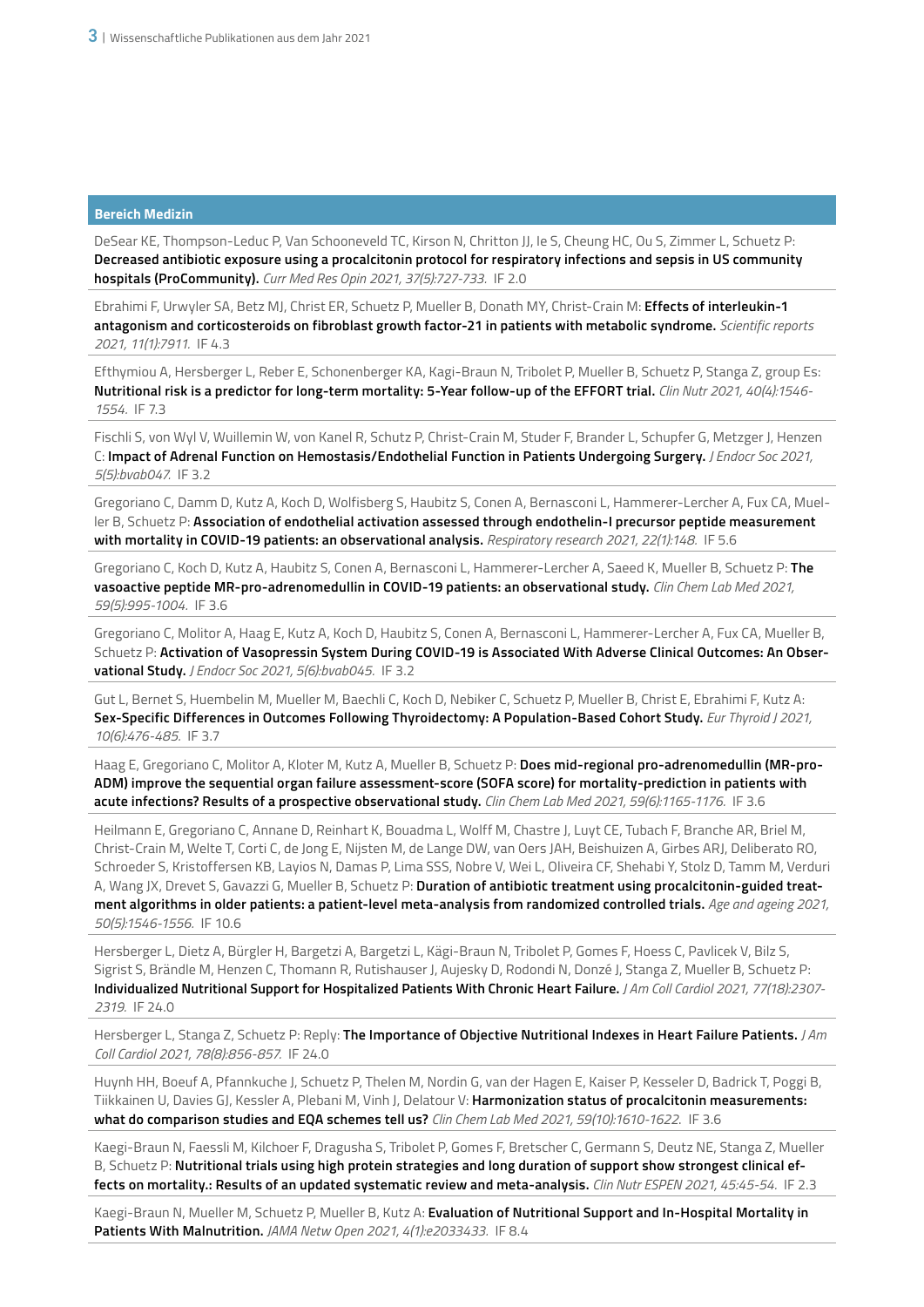DeSear KE, Thompson-Leduc P, Van Schooneveld TC, Kirson N, Chritton JJ, Ie S, Cheung HC, Ou S, Zimmer L, Schuetz P: **Decreased antibiotic exposure using a procalcitonin protocol for respiratory infections and sepsis in US community hospitals (ProCommunity).** *Curr Med Res Opin 2021, 37(5):727-733.* IF 2.0

Ebrahimi F, Urwyler SA, Betz MJ, Christ ER, Schuetz P, Mueller B, Donath MY, Christ-Crain M: **Effects of interleukin-1 antagonism and corticosteroids on fibroblast growth factor-21 in patients with metabolic syndrome.** *Scientific reports 2021, 11(1):7911.* IF 4.3

Efthymiou A, Hersberger L, Reber E, Schonenberger KA, Kagi-Braun N, Tribolet P, Mueller B, Schuetz P, Stanga Z, group Es: **Nutritional risk is a predictor for long-term mortality: 5-Year follow-up of the EFFORT trial.** *Clin Nutr 2021, 40(4):1546- 1554.* IF 7.3

Fischli S, von Wyl V, Wuillemin W, von Kanel R, Schutz P, Christ-Crain M, Studer F, Brander L, Schupfer G, Metzger J, Henzen C: **Impact of Adrenal Function on Hemostasis/Endothelial Function in Patients Undergoing Surgery.** *J Endocr Soc 2021, 5(5):bvab047.* IF 3.2

Gregoriano C, Damm D, Kutz A, Koch D, Wolfisberg S, Haubitz S, Conen A, Bernasconi L, Hammerer-Lercher A, Fux CA, Mueller B, Schuetz P: **Association of endothelial activation assessed through endothelin-I precursor peptide measurement with mortality in COVID-19 patients: an observational analysis.** *Respiratory research 2021, 22(1):148.* IF 5.6

Gregoriano C, Koch D, Kutz A, Haubitz S, Conen A, Bernasconi L, Hammerer-Lercher A, Saeed K, Mueller B, Schuetz P: **The vasoactive peptide MR-pro-adrenomedullin in COVID-19 patients: an observational study.** *Clin Chem Lab Med 2021, 59(5):995-1004.* IF 3.6

Gregoriano C, Molitor A, Haag E, Kutz A, Koch D, Haubitz S, Conen A, Bernasconi L, Hammerer-Lercher A, Fux CA, Mueller B, Schuetz P: **Activation of Vasopressin System During COVID-19 is Associated With Adverse Clinical Outcomes: An Observational Study.** *J Endocr Soc 2021, 5(6):bvab045.* IF 3.2

Gut L, Bernet S, Huembelin M, Mueller M, Baechli C, Koch D, Nebiker C, Schuetz P, Mueller B, Christ E, Ebrahimi F, Kutz A: **Sex-Specific Differences in Outcomes Following Thyroidectomy: A Population-Based Cohort Study.** *Eur Thyroid J 2021, 10(6):476-485.* IF 3.7

Haag E, Gregoriano C, Molitor A, Kloter M, Kutz A, Mueller B, Schuetz P: **Does mid-regional pro-adrenomedullin (MR-pro-ADM) improve the sequential organ failure assessment-score (SOFA score) for mortality-prediction in patients with acute infections? Results of a prospective observational study.** *Clin Chem Lab Med 2021, 59(6):1165-1176.* IF 3.6

Heilmann E, Gregoriano C, Annane D, Reinhart K, Bouadma L, Wolff M, Chastre J, Luyt CE, Tubach F, Branche AR, Briel M, Christ-Crain M, Welte T, Corti C, de Jong E, Nijsten M, de Lange DW, van Oers JAH, Beishuizen A, Girbes ARJ, Deliberato RO, Schroeder S, Kristoffersen KB, Layios N, Damas P, Lima SSS, Nobre V, Wei L, Oliveira CF, Shehabi Y, Stolz D, Tamm M, Verduri A, Wang JX, Drevet S, Gavazzi G, Mueller B, Schuetz P: **Duration of antibiotic treatment using procalcitonin-guided treatment algorithms in older patients: a patient-level meta-analysis from randomized controlled trials.** *Age and ageing 2021, 50(5):1546-1556.* IF 10.6

Hersberger L, Dietz A, Bürgler H, Bargetzi A, Bargetzi L, Kägi-Braun N, Tribolet P, Gomes F, Hoess C, Pavlicek V, Bilz S, Sigrist S, Brändle M, Henzen C, Thomann R, Rutishauser J, Aujesky D, Rodondi N, Donzé J, Stanga Z, Mueller B, Schuetz P: **Individualized Nutritional Support for Hospitalized Patients With Chronic Heart Failure.** *J Am Coll Cardiol 2021, 77(18):2307- 2319.* IF 24.0

Hersberger L, Stanga Z, Schuetz P: Reply: **The Importance of Objective Nutritional Indexes in Heart Failure Patients.** *J Am Coll Cardiol 2021, 78(8):856-857.* IF 24.0

Huynh HH, Boeuf A, Pfannkuche J, Schuetz P, Thelen M, Nordin G, van der Hagen E, Kaiser P, Kesseler D, Badrick T, Poggi B, Tiikkainen U, Davies GJ, Kessler A, Plebani M, Vinh J, Delatour V: **Harmonization status of procalcitonin measurements: what do comparison studies and EQA schemes tell us?** *Clin Chem Lab Med 2021, 59(10):1610-1622*. IF 3.6

Kaegi-Braun N, Faessli M, Kilchoer F, Dragusha S, Tribolet P, Gomes F, Bretscher C, Germann S, Deutz NE, Stanga Z, Mueller B, Schuetz P: **Nutritional trials using high protein strategies and long duration of support show strongest clinical effects on mortality.: Results of an updated systematic review and meta-analysis.** *Clin Nutr ESPEN 2021, 45:45-54.* IF 2.3

Kaegi-Braun N, Mueller M, Schuetz P, Mueller B, Kutz A: **Evaluation of Nutritional Support and In-Hospital Mortality in Patients With Malnutrition.** *JAMA Netw Open 2021, 4(1):e2033433.* IF 8.4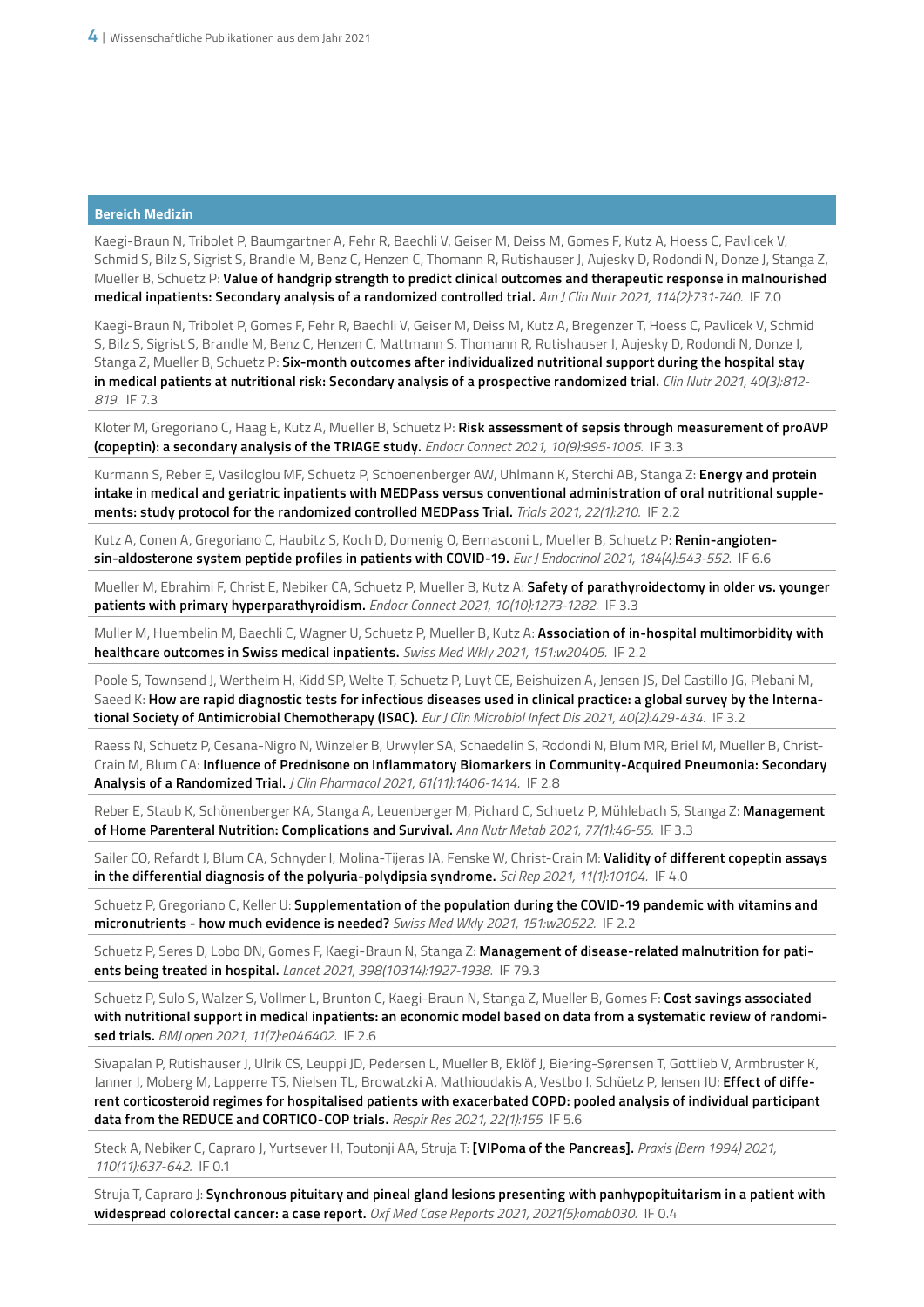Kaegi-Braun N, Tribolet P, Baumgartner A, Fehr R, Baechli V, Geiser M, Deiss M, Gomes F, Kutz A, Hoess C, Pavlicek V, Schmid S, Bilz S, Sigrist S, Brandle M, Benz C, Henzen C, Thomann R, Rutishauser J, Aujesky D, Rodondi N, Donze J, Stanga Z, Mueller B, Schuetz P: **Value of handgrip strength to predict clinical outcomes and therapeutic response in malnourished medical inpatients: Secondary analysis of a randomized controlled trial.** *Am J Clin Nutr 2021, 114(2):731-740.* IF 7.0

Kaegi-Braun N, Tribolet P, Gomes F, Fehr R, Baechli V, Geiser M, Deiss M, Kutz A, Bregenzer T, Hoess C, Pavlicek V, Schmid S, Bilz S, Sigrist S, Brandle M, Benz C, Henzen C, Mattmann S, Thomann R, Rutishauser J, Aujesky D, Rodondi N, Donze J, Stanga Z, Mueller B, Schuetz P: **Six-month outcomes after individualized nutritional support during the hospital stay in medical patients at nutritional risk: Secondary analysis of a prospective randomized trial.** *Clin Nutr 2021, 40(3):812- 819.* IF 7.3

Kloter M, Gregoriano C, Haag E, Kutz A, Mueller B, Schuetz P: **Risk assessment of sepsis through measurement of proAVP (copeptin): a secondary analysis of the TRIAGE study.** *Endocr Connect 2021, 10(9):995-1005.* IF 3.3

Kurmann S, Reber E, Vasiloglou MF, Schuetz P, Schoenenberger AW, Uhlmann K, Sterchi AB, Stanga Z: **Energy and protein intake in medical and geriatric inpatients with MEDPass versus conventional administration of oral nutritional supplements: study protocol for the randomized controlled MEDPass Trial.** *Trials 2021, 22(1):210.* IF 2.2

Kutz A, Conen A, Gregoriano C, Haubitz S, Koch D, Domenig O, Bernasconi L, Mueller B, Schuetz P: **Renin-angiotensin-aldosterone system peptide profiles in patients with COVID-19.** *Eur J Endocrinol 2021, 184(4):543-552.* IF 6.6

Mueller M, Ebrahimi F, Christ E, Nebiker CA, Schuetz P, Mueller B, Kutz A: **Safety of parathyroidectomy in older vs. younger patients with primary hyperparathyroidism.** *Endocr Connect 2021, 10(10):1273-1282.* IF 3.3

Muller M, Huembelin M, Baechli C, Wagner U, Schuetz P, Mueller B, Kutz A: **Association of in-hospital multimorbidity with healthcare outcomes in Swiss medical inpatients.** *Swiss Med Wkly 2021, 151:w20405.* IF 2.2

Poole S, Townsend J, Wertheim H, Kidd SP, Welte T, Schuetz P, Luyt CE, Beishuizen A, Jensen JS, Del Castillo JG, Plebani M, Saeed K: **How are rapid diagnostic tests for infectious diseases used in clinical practice: a global survey by the International Society of Antimicrobial Chemotherapy (ISAC).** *Eur J Clin Microbiol Infect Dis 2021, 40(2):429-434.* IF 3.2

Raess N, Schuetz P, Cesana-Nigro N, Winzeler B, Urwyler SA, Schaedelin S, Rodondi N, Blum MR, Briel M, Mueller B, Christ-Crain M, Blum CA: **Influence of Prednisone on Inflammatory Biomarkers in Community-Acquired Pneumonia: Secondary Analysis of a Randomized Trial.** *J Clin Pharmacol 2021, 61(11):1406-1414.* IF 2.8

Reber E, Staub K, Schönenberger KA, Stanga A, Leuenberger M, Pichard C, Schuetz P, Mühlebach S, Stanga Z: **Management of Home Parenteral Nutrition: Complications and Survival.** *Ann Nutr Metab 2021, 77(1):46-55.* IF 3.3

Sailer CO, Refardt J, Blum CA, Schnyder I, Molina-Tijeras JA, Fenske W, Christ-Crain M: **Validity of different copeptin assays in the differential diagnosis of the polyuria-polydipsia syndrome.** *Sci Rep 2021, 11(1):10104.* IF 4.0

Schuetz P, Gregoriano C, Keller U: **Supplementation of the population during the COVID-19 pandemic with vitamins and micronutrients - how much evidence is needed?** *Swiss Med Wkly 2021, 151:w20522.* IF 2.2

Schuetz P, Seres D, Lobo DN, Gomes F, Kaegi-Braun N, Stanga Z: **Management of disease-related malnutrition for patients being treated in hospital.** *Lancet 2021, 398(10314):1927-1938.* IF 79.3

Schuetz P, Sulo S, Walzer S, Vollmer L, Brunton C, Kaegi-Braun N, Stanga Z, Mueller B, Gomes F: **Cost savings associated with nutritional support in medical inpatients: an economic model based on data from a systematic review of randomised trials.** *BMJ open 2021, 11(7):e046402.* IF 2.6

Sivapalan P, Rutishauser J, Ulrik CS, Leuppi JD, Pedersen L, Mueller B, Eklöf J, Biering-Sørensen T, Gottlieb V, Armbruster K, Janner J, Moberg M, Lapperre TS, Nielsen TL, Browatzki A, Mathioudakis A, Vestbo J, Schüetz P, Jensen JU: **Effect of different corticosteroid regimes for hospitalised patients with exacerbated COPD: pooled analysis of individual participant data from the REDUCE and CORTICO-COP trials.** *Respir Res 2021, 22(1):155* IF 5.6

Steck A, Nebiker C, Capraro J, Yurtsever H, Toutonji AA, Struja T: **[VIPoma of the Pancreas].** *Praxis (Bern 1994) 2021, 110(11):637-642.* IF 0.1

Struja T, Capraro J: **Synchronous pituitary and pineal gland lesions presenting with panhypopituitarism in a patient with widespread colorectal cancer: a case report.** *Oxf Med Case Reports 2021, 2021(5):omab030.* IF 0.4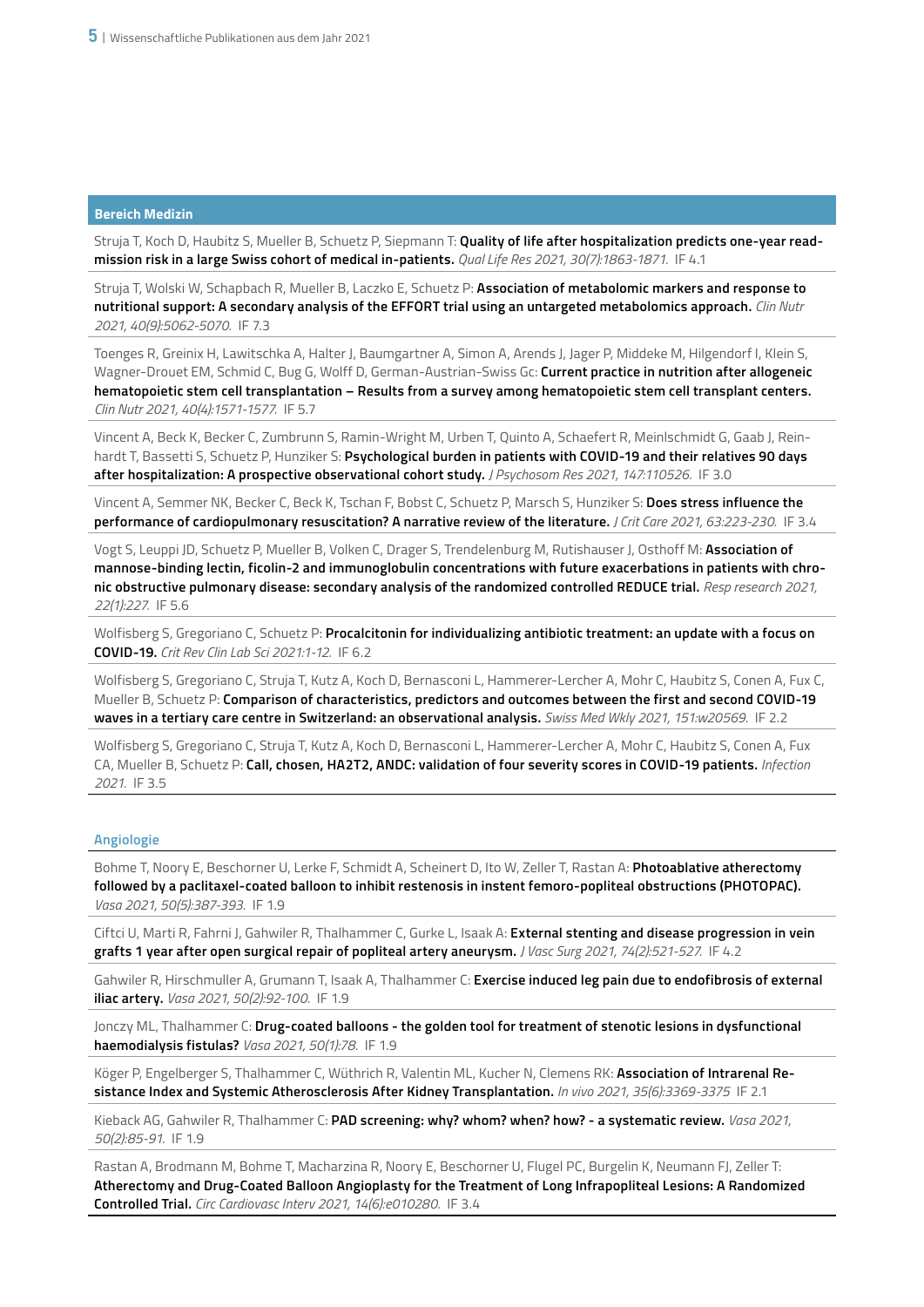Struja T, Koch D, Haubitz S, Mueller B, Schuetz P, Siepmann T: **Quality of life after hospitalization predicts one-year readmission risk in a large Swiss cohort of medical in-patients.** *Qual Life Res 2021, 30(7):1863-1871.* IF 4.1

Struja T, Wolski W, Schapbach R, Mueller B, Laczko E, Schuetz P: **Association of metabolomic markers and response to nutritional support: A secondary analysis of the EFFORT trial using an untargeted metabolomics approach.** *Clin Nutr 2021, 40(9):5062-5070.* IF 7.3

Toenges R, Greinix H, Lawitschka A, Halter J, Baumgartner A, Simon A, Arends J, Jager P, Middeke M, Hilgendorf I, Klein S, Wagner-Drouet EM, Schmid C, Bug G, Wolff D, German-Austrian-Swiss Gc: **Current practice in nutrition after allogeneic hematopoietic stem cell transplantation – Results from a survey among hematopoietic stem cell transplant centers.** *Clin Nutr 2021, 40(4):1571-1577.* IF 5.7

Vincent A, Beck K, Becker C, Zumbrunn S, Ramin-Wright M, Urben T, Quinto A, Schaefert R, Meinlschmidt G, Gaab J, Reinhardt T, Bassetti S, Schuetz P, Hunziker S: **Psychological burden in patients with COVID-19 and their relatives 90 days after hospitalization: A prospective observational cohort study.** *J Psychosom Res 2021, 147:110526.* IF 3.0

Vincent A, Semmer NK, Becker C, Beck K, Tschan F, Bobst C, Schuetz P, Marsch S, Hunziker S: **Does stress influence the performance of cardiopulmonary resuscitation? A narrative review of the literature.** *J Crit Care 2021, 63:223-230.* IF 3.4

Vogt S, Leuppi JD, Schuetz P, Mueller B, Volken C, Drager S, Trendelenburg M, Rutishauser J, Osthoff M: **Association of mannose-binding lectin, ficolin-2 and immunoglobulin concentrations with future exacerbations in patients with chronic obstructive pulmonary disease: secondary analysis of the randomized controlled REDUCE trial.** *Resp research 2021, 22(1):227.* IF 5.6

Wolfisberg S, Gregoriano C, Schuetz P: **Procalcitonin for individualizing antibiotic treatment: an update with a focus on COVID-19.** *Crit Rev Clin Lab Sci 2021:1-12.* IF 6.2

Wolfisberg S, Gregoriano C, Struja T, Kutz A, Koch D, Bernasconi L, Hammerer-Lercher A, Mohr C, Haubitz S, Conen A, Fux C, Mueller B, Schuetz P: **Comparison of characteristics, predictors and outcomes between the first and second COVID-19 waves in a tertiary care centre in Switzerland: an observational analysis.** *Swiss Med Wkly 2021, 151:w20569.* IF 2.2

Wolfisberg S, Gregoriano C, Struja T, Kutz A, Koch D, Bernasconi L, Hammerer-Lercher A, Mohr C, Haubitz S, Conen A, Fux CA, Mueller B, Schuetz P: **Call, chosen, HA2T2, ANDC: validation of four severity scores in COVID-19 patients.** *Infection 2021.* IF 3.5

# **Angiologie**

Bohme T, Noory E, Beschorner U, Lerke F, Schmidt A, Scheinert D, Ito W, Zeller T, Rastan A: **Photoablative atherectomy followed by a paclitaxel-coated balloon to inhibit restenosis in instent femoro-popliteal obstructions (PHOTOPAC).** *Vasa 2021, 50(5):387-393.* IF 1.9

Ciftci U, Marti R, Fahrni J, Gahwiler R, Thalhammer C, Gurke L, Isaak A: **External stenting and disease progression in vein grafts 1 year after open surgical repair of popliteal artery aneurysm.** *J Vasc Surg 2021, 74(2):521-527.* IF 4.2

Gahwiler R, Hirschmuller A, Grumann T, Isaak A, Thalhammer C: **Exercise induced leg pain due to endofibrosis of external iliac artery.** *Vasa 2021, 50(2):92-100.* IF 1.9

Jonczy ML, Thalhammer C: **Drug-coated balloons - the golden tool for treatment of stenotic lesions in dysfunctional haemodialysis fistulas?** *Vasa 2021, 50(1):78.* IF 1.9

Köger P, Engelberger S, Thalhammer C, Wüthrich R, Valentin ML, Kucher N, Clemens RK: **Association of Intrarenal Resistance Index and Systemic Atherosclerosis After Kidney Transplantation.** *In vivo 2021, 35(6):3369-3375* IF 2.1

Kieback AG, Gahwiler R, Thalhammer C: **PAD screening: why? whom? when? how? - a systematic review.** *Vasa 2021, 50(2):85-91.* IF 1.9

Rastan A, Brodmann M, Bohme T, Macharzina R, Noory E, Beschorner U, Flugel PC, Burgelin K, Neumann FJ, Zeller T: **Atherectomy and Drug-Coated Balloon Angioplasty for the Treatment of Long Infrapopliteal Lesions: A Randomized Controlled Trial.** *Circ Cardiovasc Interv 2021, 14(6):e010280.* IF 3.4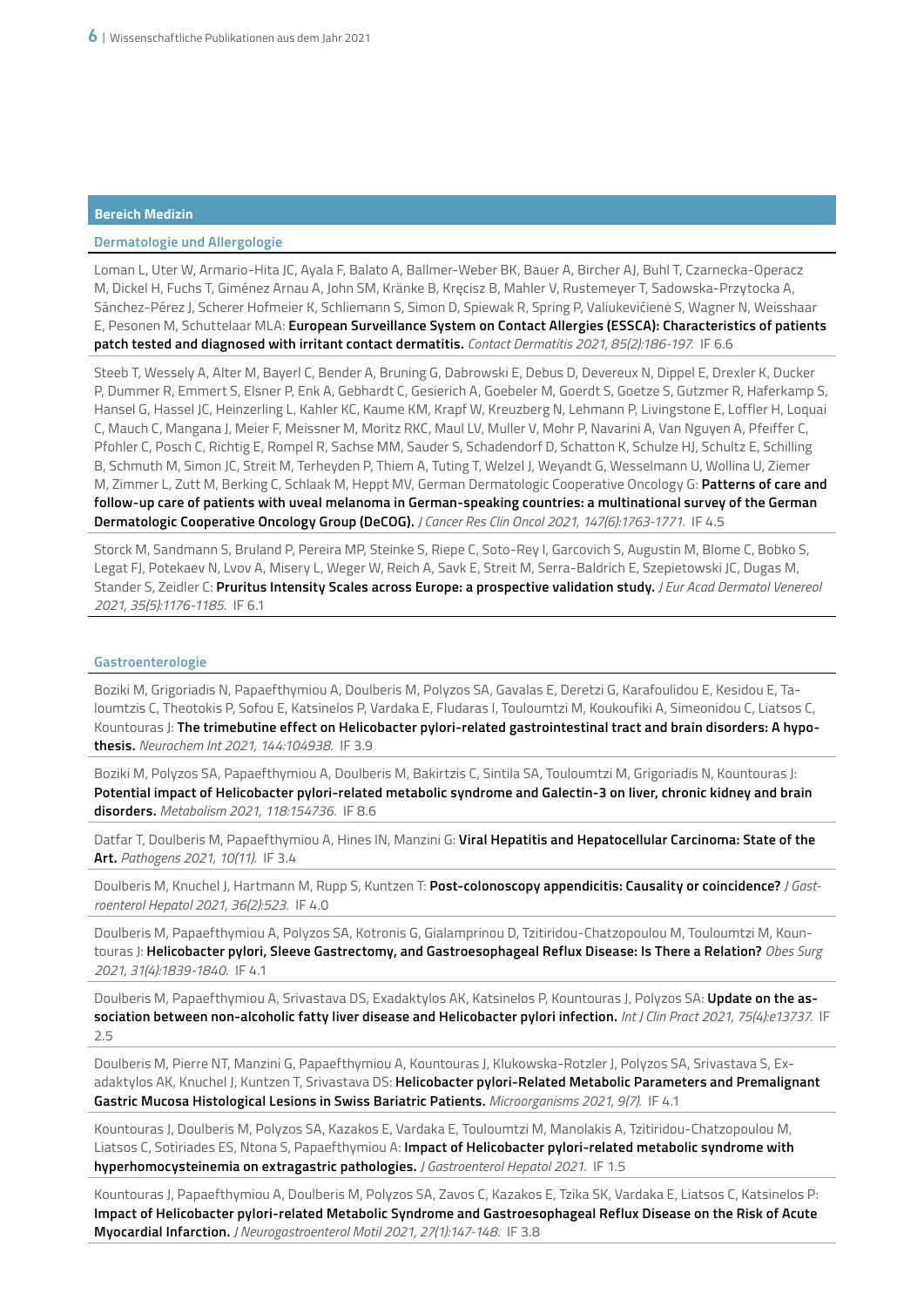# **Dermatologie und Allergologie**

Loman L, Uter W, Armario-Hita JC, Ayala F, Balato A, Ballmer-Weber BK, Bauer A, Bircher AJ, Buhl T, Czarnecka-Operacz M, Dickel H, Fuchs T, Giménez Arnau A, John SM, Kränke B, Kręcisz B, Mahler V, Rustemeyer T, Sadowska-Przytocka A, Sánchez-Pérez J, Scherer Hofmeier K, Schliemann S, Simon D, Spiewak R, Spring P, Valiukevičienė S, Wagner N, Weisshaar E, Pesonen M, Schuttelaar MLA: **European Surveillance System on Contact Allergies (ESSCA): Characteristics of patients patch tested and diagnosed with irritant contact dermatitis.** *Contact Dermatitis 2021, 85(2):186-197.* IF 6.6

Steeb T, Wessely A, Alter M, Bayerl C, Bender A, Bruning G, Dabrowski E, Debus D, Devereux N, Dippel E, Drexler K, Ducker P, Dummer R, Emmert S, Elsner P, Enk A, Gebhardt C, Gesierich A, Goebeler M, Goerdt S, Goetze S, Gutzmer R, Haferkamp S, Hansel G, Hassel JC, Heinzerling L, Kahler KC, Kaume KM, Krapf W, Kreuzberg N, Lehmann P, Livingstone E, Loffler H, Loquai C, Mauch C, Mangana J, Meier F, Meissner M, Moritz RKC, Maul LV, Muller V, Mohr P, Navarini A, Van Nguyen A, Pfeiffer C, Pfohler C, Posch C, Richtig E, Rompel R, Sachse MM, Sauder S, Schadendorf D, Schatton K, Schulze HJ, Schultz E, Schilling B, Schmuth M, Simon JC, Streit M, Terheyden P, Thiem A, Tuting T, Welzel J, Weyandt G, Wesselmann U, Wollina U, Ziemer M, Zimmer L, Zutt M, Berking C, Schlaak M, Heppt MV, German Dermatologic Cooperative Oncology G: **Patterns of care and follow-up care of patients with uveal melanoma in German-speaking countries: a multinational survey of the German Dermatologic Cooperative Oncology Group (DeCOG).** *J Cancer Res Clin Oncol 2021, 147(6):1763-1771.* IF 4.5

Storck M, Sandmann S, Bruland P, Pereira MP, Steinke S, Riepe C, Soto-Rey I, Garcovich S, Augustin M, Blome C, Bobko S, Legat FJ, Potekaev N, Lvov A, Misery L, Weger W, Reich A, Savk E, Streit M, Serra-Baldrich E, Szepietowski JC, Dugas M, Stander S, Zeidler C: **Pruritus Intensity Scales across Europe: a prospective validation study.** *J Eur Acad Dermatol Venereol 2021, 35(5):1176-1185.* IF 6.1

#### **Gastroenterologie**

Boziki M, Grigoriadis N, Papaefthymiou A, Doulberis M, Polyzos SA, Gavalas E, Deretzi G, Karafoulidou E, Kesidou E, Taloumtzis C, Theotokis P, Sofou E, Katsinelos P, Vardaka E, Fludaras I, Touloumtzi M, Koukoufiki A, Simeonidou C, Liatsos C, Kountouras J: **The trimebutine effect on Helicobacter pylori-related gastrointestinal tract and brain disorders: A hypothesis.** *Neurochem Int 2021, 144:104938.* IF 3.9

Boziki M, Polyzos SA, Papaefthymiou A, Doulberis M, Bakirtzis C, Sintila SA, Touloumtzi M, Grigoriadis N, Kountouras J: **Potential impact of Helicobacter pylori-related metabolic syndrome and Galectin-3 on liver, chronic kidney and brain disorders.** *Metabolism 2021, 118:154736.* IF 8.6

Datfar T, Doulberis M, Papaefthymiou A, Hines IN, Manzini G: **Viral Hepatitis and Hepatocellular Carcinoma: State of the Art.** *Pathogens 2021, 10(11).* IF 3.4

Doulberis M, Knuchel J, Hartmann M, Rupp S, Kuntzen T: **Post-colonoscopy appendicitis: Causality or coincidence?** *J Gastroenterol Hepatol 2021, 36(2):523.* IF 4.0

Doulberis M, Papaefthymiou A, Polyzos SA, Kotronis G, Gialamprinou D, Tzitiridou-Chatzopoulou M, Touloumtzi M, Kountouras J: **Helicobacter pylori, Sleeve Gastrectomy, and Gastroesophageal Reflux Disease: Is There a Relation?** *Obes Surg 2021, 31(4):1839-1840.* IF 4.1

Doulberis M, Papaefthymiou A, Srivastava DS, Exadaktylos AK, Katsinelos P, Kountouras J, Polyzos SA: **Update on the association between non-alcoholic fatty liver disease and Helicobacter pylori infection.** *Int J Clin Pract 2021, 75(4):e13737.* IF 2.5

Doulberis M, Pierre NT, Manzini G, Papaefthymiou A, Kountouras J, Klukowska-Rotzler J, Polyzos SA, Srivastava S, Exadaktylos AK, Knuchel J, Kuntzen T, Srivastava DS: **Helicobacter pylori-Related Metabolic Parameters and Premalignant Gastric Mucosa Histological Lesions in Swiss Bariatric Patients.** *Microorganisms 2021, 9(7).* IF 4.1

Kountouras J, Doulberis M, Polyzos SA, Kazakos E, Vardaka E, Touloumtzi M, Manolakis A, Tzitiridou-Chatzopoulou M, Liatsos C, Sotiriades ES, Ntona S, Papaefthymiou A: **Impact of Helicobacter pylori-related metabolic syndrome with hyperhomocysteinemia on extragastric pathologies.** *J Gastroenterol Hepatol 2021.* IF 1.5

Kountouras J, Papaefthymiou A, Doulberis M, Polyzos SA, Zavos C, Kazakos E, Tzika SK, Vardaka E, Liatsos C, Katsinelos P: **Impact of Helicobacter pylori-related Metabolic Syndrome and Gastroesophageal Reflux Disease on the Risk of Acute Myocardial Infarction.** *J Neurogastroenterol Motil 2021, 27(1):147-148.* IF 3.8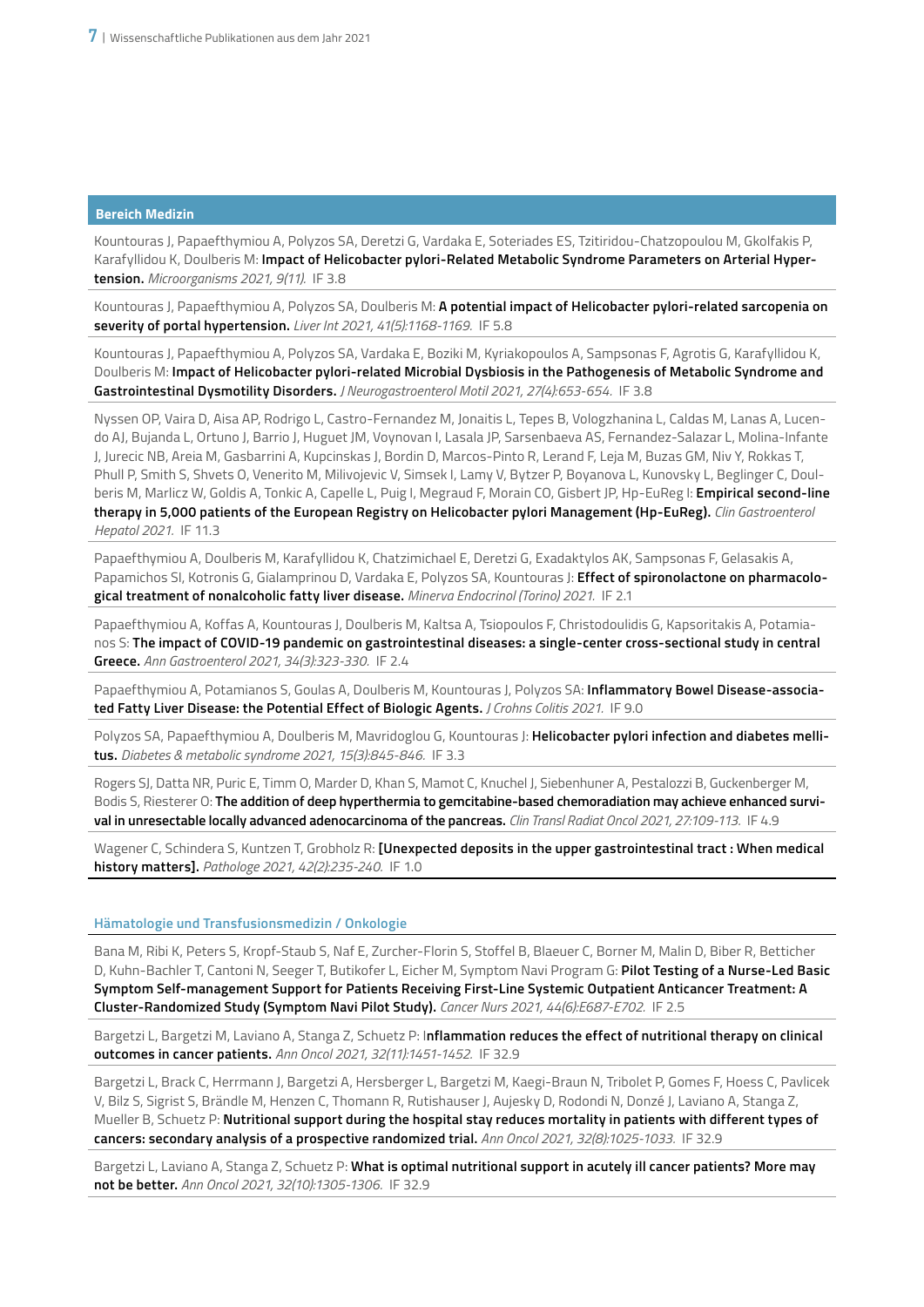Kountouras J, Papaefthymiou A, Polyzos SA, Deretzi G, Vardaka E, Soteriades ES, Tzitiridou-Chatzopoulou M, Gkolfakis P, Karafyllidou K, Doulberis M: **Impact of Helicobacter pylori-Related Metabolic Syndrome Parameters on Arterial Hypertension.** *Microorganisms 2021, 9(11).* IF 3.8

Kountouras J, Papaefthymiou A, Polyzos SA, Doulberis M: **A potential impact of Helicobacter pylori-related sarcopenia on severity of portal hypertension.** *Liver Int 2021, 41(5):1168-1169.* IF 5.8

Kountouras J, Papaefthymiou A, Polyzos SA, Vardaka E, Boziki M, Kyriakopoulos A, Sampsonas F, Agrotis G, Karafyllidou K, Doulberis M: **Impact of Helicobacter pylori-related Microbial Dysbiosis in the Pathogenesis of Metabolic Syndrome and Gastrointestinal Dysmotility Disorders.** *J Neurogastroenterol Motil 2021, 27(4):653-654.* IF 3.8

Nyssen OP, Vaira D, Aisa AP, Rodrigo L, Castro-Fernandez M, Jonaitis L, Tepes B, Vologzhanina L, Caldas M, Lanas A, Lucendo AJ, Bujanda L, Ortuno J, Barrio J, Huguet JM, Voynovan I, Lasala JP, Sarsenbaeva AS, Fernandez-Salazar L, Molina-Infante J, Jurecic NB, Areia M, Gasbarrini A, Kupcinskas J, Bordin D, Marcos-Pinto R, Lerand F, Leja M, Buzas GM, Niv Y, Rokkas T, Phull P, Smith S, Shvets O, Venerito M, Milivojevic V, Simsek I, Lamy V, Bytzer P, Boyanova L, Kunovsky L, Beglinger C, Doulberis M, Marlicz W, Goldis A, Tonkic A, Capelle L, Puig I, Megraud F, Morain CO, Gisbert JP, Hp-EuReg I: **Empirical second-line therapy in 5,000 patients of the European Registry on Helicobacter pylori Management (Hp-EuReg).** *Clin Gastroenterol Hepatol 2021.* IF 11.3

Papaefthymiou A, Doulberis M, Karafyllidou K, Chatzimichael E, Deretzi G, Exadaktylos AK, Sampsonas F, Gelasakis A, Papamichos SI, Kotronis G, Gialamprinou D, Vardaka E, Polyzos SA, Kountouras J: **Effect of spironolactone on pharmacological treatment of nonalcoholic fatty liver disease.** *Minerva Endocrinol (Torino) 2021.* IF 2.1

Papaefthymiou A, Koffas A, Kountouras J, Doulberis M, Kaltsa A, Tsiopoulos F, Christodoulidis G, Kapsoritakis A, Potamianos S: **The impact of COVID-19 pandemic on gastrointestinal diseases: a single-center cross-sectional study in central Greece.** *Ann Gastroenterol 2021, 34(3):323-330.* IF 2.4

Papaefthymiou A, Potamianos S, Goulas A, Doulberis M, Kountouras J, Polyzos SA: **Inflammatory Bowel Disease-associated Fatty Liver Disease: the Potential Effect of Biologic Agents.** *J Crohns Colitis 2021.* IF 9.0

Polyzos SA, Papaefthymiou A, Doulberis M, Mavridoglou G, Kountouras J: **Helicobacter pylori infection and diabetes mellitus.** *Diabetes & metabolic syndrome 2021, 15(3):845-846.* IF 3.3

Rogers SJ, Datta NR, Puric E, Timm O, Marder D, Khan S, Mamot C, Knuchel J, Siebenhuner A, Pestalozzi B, Guckenberger M, Bodis S, Riesterer O: **The addition of deep hyperthermia to gemcitabine-based chemoradiation may achieve enhanced survival in unresectable locally advanced adenocarcinoma of the pancreas.** *Clin Transl Radiat Oncol 2021, 27:109-113.* IF 4.9

Wagener C, Schindera S, Kuntzen T, Grobholz R: **[Unexpected deposits in the upper gastrointestinal tract : When medical history matters].** *Pathologe 2021, 42(2):235-240.* IF 1.0

# **Hämatologie und Transfusionsmedizin / Onkologie**

Bana M, Ribi K, Peters S, Kropf-Staub S, Naf E, Zurcher-Florin S, Stoffel B, Blaeuer C, Borner M, Malin D, Biber R, Betticher D, Kuhn-Bachler T, Cantoni N, Seeger T, Butikofer L, Eicher M, Symptom Navi Program G: **Pilot Testing of a Nurse-Led Basic Symptom Self-management Support for Patients Receiving First-Line Systemic Outpatient Anticancer Treatment: A Cluster-Randomized Study (Symptom Navi Pilot Study).** *Cancer Nurs 2021, 44(6):E687-E702.* IF 2.5

Bargetzi L, Bargetzi M, Laviano A, Stanga Z, Schuetz P: I**nflammation reduces the effect of nutritional therapy on clinical outcomes in cancer patients.** *Ann Oncol 2021, 32(11):1451-1452.* IF 32.9

Bargetzi L, Brack C, Herrmann J, Bargetzi A, Hersberger L, Bargetzi M, Kaegi-Braun N, Tribolet P, Gomes F, Hoess C, Pavlicek V, Bilz S, Sigrist S, Brändle M, Henzen C, Thomann R, Rutishauser J, Aujesky D, Rodondi N, Donzé J, Laviano A, Stanga Z, Mueller B, Schuetz P: **Nutritional support during the hospital stay reduces mortality in patients with different types of cancers: secondary analysis of a prospective randomized trial.** *Ann Oncol 2021, 32(8):1025-1033.* IF 32.9

Bargetzi L, Laviano A, Stanga Z, Schuetz P: **What is optimal nutritional support in acutely ill cancer patients? More may not be better.** *Ann Oncol 2021, 32(10):1305-1306.* IF 32.9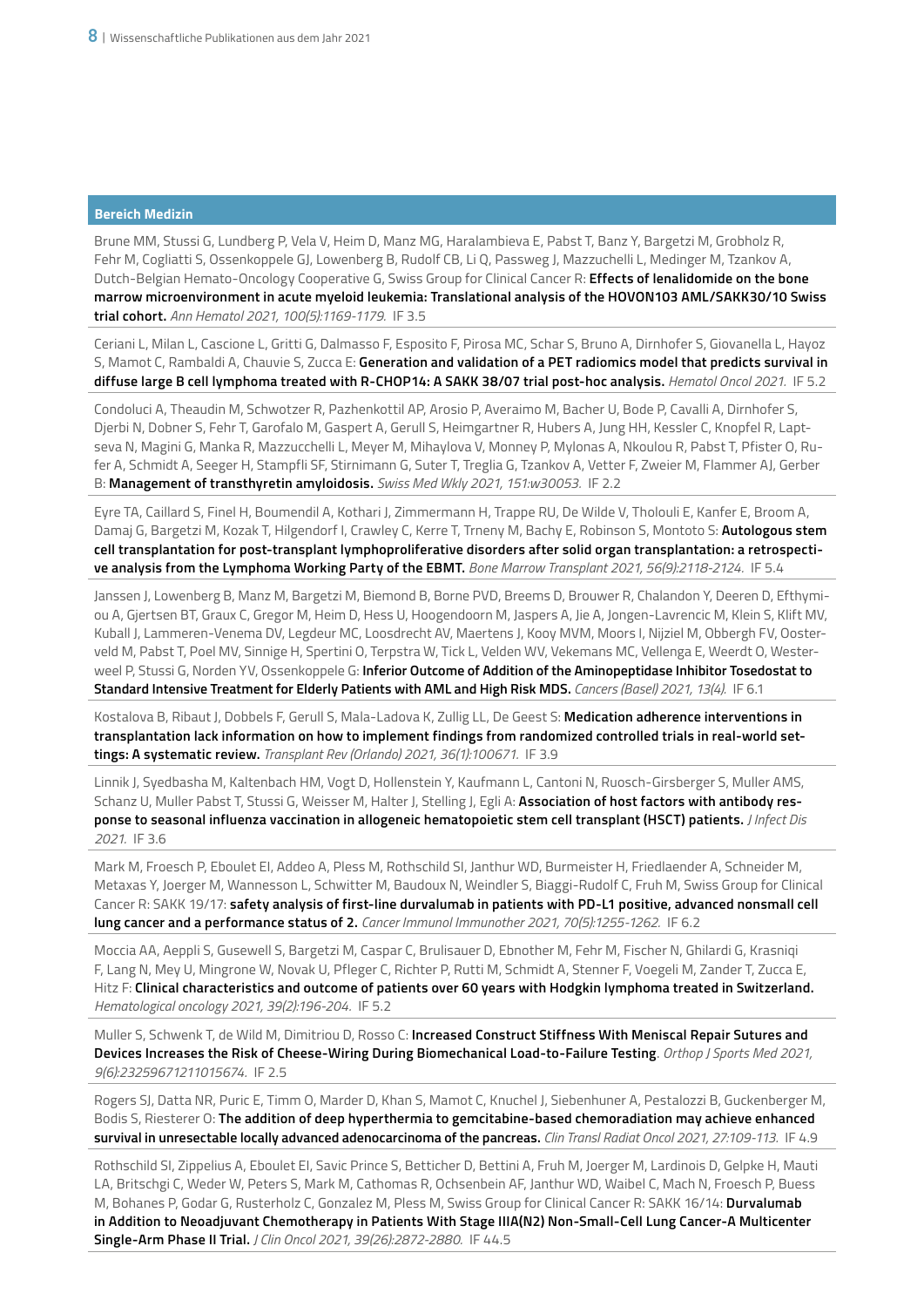Brune MM, Stussi G, Lundberg P, Vela V, Heim D, Manz MG, Haralambieva E, Pabst T, Banz Y, Bargetzi M, Grobholz R, Fehr M, Cogliatti S, Ossenkoppele GJ, Lowenberg B, Rudolf CB, Li Q, Passweg J, Mazzuchelli L, Medinger M, Tzankov A, Dutch-Belgian Hemato-Oncology Cooperative G, Swiss Group for Clinical Cancer R: **Effects of lenalidomide on the bone marrow microenvironment in acute myeloid leukemia: Translational analysis of the HOVON103 AML/SAKK30/10 Swiss trial cohort.** *Ann Hematol 2021, 100(5):1169-1179.* IF 3.5

Ceriani L, Milan L, Cascione L, Gritti G, Dalmasso F, Esposito F, Pirosa MC, Schar S, Bruno A, Dirnhofer S, Giovanella L, Hayoz S, Mamot C, Rambaldi A, Chauvie S, Zucca E: **Generation and validation of a PET radiomics model that predicts survival in diffuse large B cell lymphoma treated with R-CHOP14: A SAKK 38/07 trial post-hoc analysis.** *Hematol Oncol 2021.* IF 5.2

Condoluci A, Theaudin M, Schwotzer R, Pazhenkottil AP, Arosio P, Averaimo M, Bacher U, Bode P, Cavalli A, Dirnhofer S, Djerbi N, Dobner S, Fehr T, Garofalo M, Gaspert A, Gerull S, Heimgartner R, Hubers A, Jung HH, Kessler C, Knopfel R, Laptseva N, Magini G, Manka R, Mazzucchelli L, Meyer M, Mihaylova V, Monney P, Mylonas A, Nkoulou R, Pabst T, Pfister O, Rufer A, Schmidt A, Seeger H, Stampfli SF, Stirnimann G, Suter T, Treglia G, Tzankov A, Vetter F, Zweier M, Flammer AJ, Gerber B: **Management of transthyretin amyloidosis.** *Swiss Med Wkly 2021, 151:w30053.* IF 2.2

Eyre TA, Caillard S, Finel H, Boumendil A, Kothari J, Zimmermann H, Trappe RU, De Wilde V, Tholouli E, Kanfer E, Broom A, Damaj G, Bargetzi M, Kozak T, Hilgendorf I, Crawley C, Kerre T, Trneny M, Bachy E, Robinson S, Montoto S: **Autologous stem cell transplantation for post-transplant lymphoproliferative disorders after solid organ transplantation: a retrospective analysis from the Lymphoma Working Party of the EBMT.** *Bone Marrow Transplant 2021, 56(9):2118-2124.* IF 5.4

Janssen J, Lowenberg B, Manz M, Bargetzi M, Biemond B, Borne PVD, Breems D, Brouwer R, Chalandon Y, Deeren D, Efthymiou A, Gjertsen BT, Graux C, Gregor M, Heim D, Hess U, Hoogendoorn M, Jaspers A, Jie A, Jongen-Lavrencic M, Klein S, Klift MV, Kuball J, Lammeren-Venema DV, Legdeur MC, Loosdrecht AV, Maertens J, Kooy MVM, Moors I, Nijziel M, Obbergh FV, Oosterveld M, Pabst T, Poel MV, Sinnige H, Spertini O, Terpstra W, Tick L, Velden WV, Vekemans MC, Vellenga E, Weerdt O, Westerweel P, Stussi G, Norden YV, Ossenkoppele G: **Inferior Outcome of Addition of the Aminopeptidase Inhibitor Tosedostat to Standard Intensive Treatment for Elderly Patients with AML and High Risk MDS.** *Cancers (Basel) 2021, 13(4).* IF 6.1

Kostalova B, Ribaut J, Dobbels F, Gerull S, Mala-Ladova K, Zullig LL, De Geest S: **Medication adherence interventions in transplantation lack information on how to implement findings from randomized controlled trials in real-world settings: A systematic review.** *Transplant Rev (Orlando) 2021, 36(1):100671.* IF 3.9

Linnik J, Syedbasha M, Kaltenbach HM, Vogt D, Hollenstein Y, Kaufmann L, Cantoni N, Ruosch-Girsberger S, Muller AMS, Schanz U, Muller Pabst T, Stussi G, Weisser M, Halter J, Stelling J, Egli A: **Association of host factors with antibody response to seasonal influenza vaccination in allogeneic hematopoietic stem cell transplant (HSCT) patients.** *J Infect Dis 2021.* IF 3.6

Mark M, Froesch P, Eboulet EI, Addeo A, Pless M, Rothschild SI, Janthur WD, Burmeister H, Friedlaender A, Schneider M, Metaxas Y, Joerger M, Wannesson L, Schwitter M, Baudoux N, Weindler S, Biaggi-Rudolf C, Fruh M, Swiss Group for Clinical Cancer R: SAKK 19/17: **safety analysis of first-line durvalumab in patients with PD-L1 positive, advanced nonsmall cell lung cancer and a performance status of 2.** *Cancer Immunol Immunother 2021, 70(5):1255-1262.* IF 6.2

Moccia AA, Aeppli S, Gusewell S, Bargetzi M, Caspar C, Brulisauer D, Ebnother M, Fehr M, Fischer N, Ghilardi G, Krasniqi F, Lang N, Mey U, Mingrone W, Novak U, Pfleger C, Richter P, Rutti M, Schmidt A, Stenner F, Voegeli M, Zander T, Zucca E, Hitz F: **Clinical characteristics and outcome of patients over 60 years with Hodgkin lymphoma treated in Switzerland.** *Hematological oncology 2021, 39(2):196-204.* IF 5.2

Muller S, Schwenk T, de Wild M, Dimitriou D, Rosso C: **Increased Construct Stiffness With Meniscal Repair Sutures and Devices Increases the Risk of Cheese-Wiring During Biomechanical Load-to-Failure Testing**. *Orthop J Sports Med 2021, 9(6):23259671211015674.* IF 2.5

Rogers SJ, Datta NR, Puric E, Timm O, Marder D, Khan S, Mamot C, Knuchel J, Siebenhuner A, Pestalozzi B, Guckenberger M, Bodis S, Riesterer O: **The addition of deep hyperthermia to gemcitabine-based chemoradiation may achieve enhanced survival in unresectable locally advanced adenocarcinoma of the pancreas.** *Clin Transl Radiat Oncol 2021, 27:109-113.* IF 4.9

Rothschild SI, Zippelius A, Eboulet EI, Savic Prince S, Betticher D, Bettini A, Fruh M, Joerger M, Lardinois D, Gelpke H, Mauti LA, Britschgi C, Weder W, Peters S, Mark M, Cathomas R, Ochsenbein AF, Janthur WD, Waibel C, Mach N, Froesch P, Buess M, Bohanes P, Godar G, Rusterholz C, Gonzalez M, Pless M, Swiss Group for Clinical Cancer R: SAKK 16/14: **Durvalumab in Addition to Neoadjuvant Chemotherapy in Patients With Stage IIIA(N2) Non-Small-Cell Lung Cancer-A Multicenter Single-Arm Phase II Trial.** *J Clin Oncol 2021, 39(26):2872-2880.* IF 44.5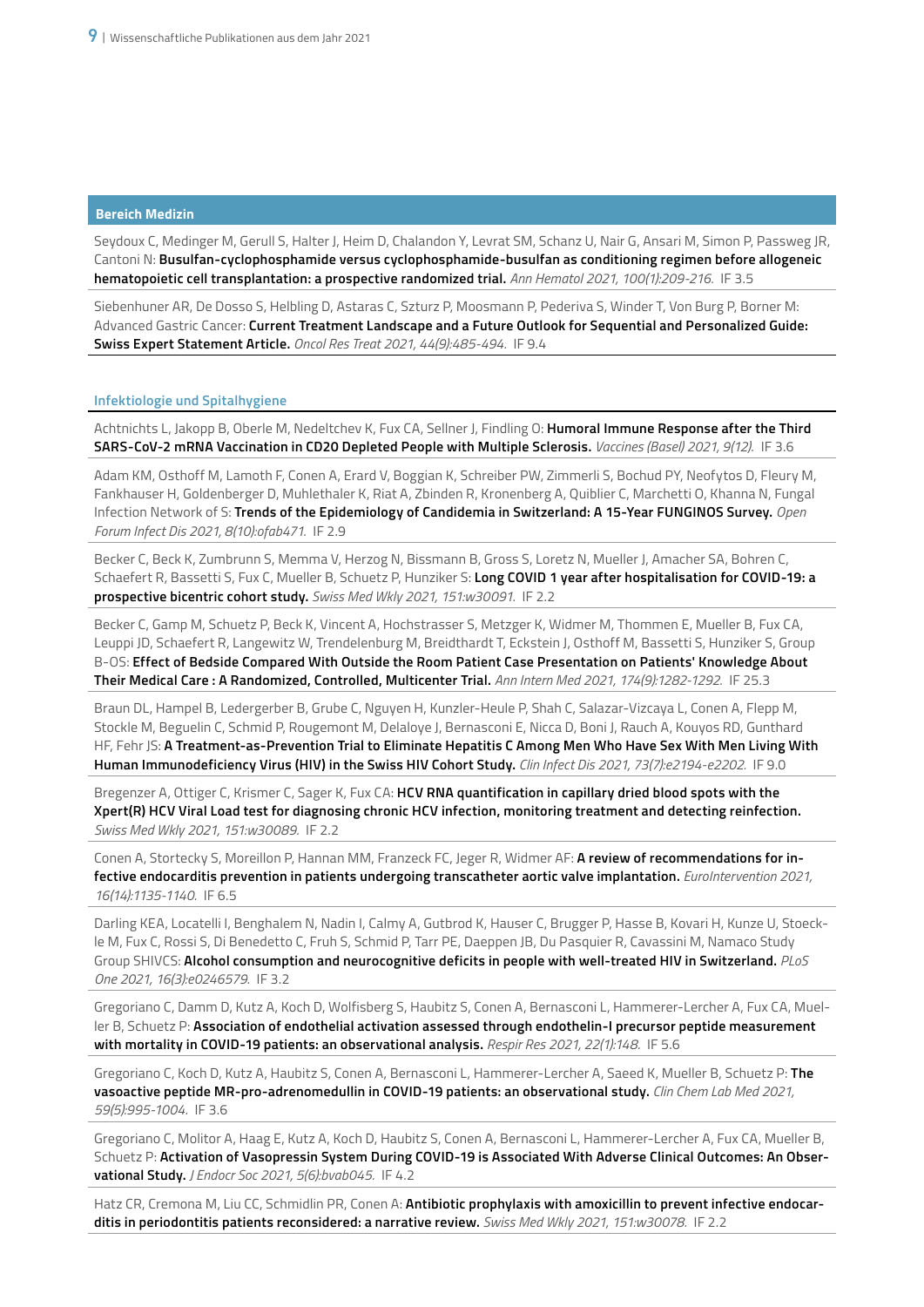Seydoux C, Medinger M, Gerull S, Halter J, Heim D, Chalandon Y, Levrat SM, Schanz U, Nair G, Ansari M, Simon P, Passweg JR, Cantoni N: **Busulfan-cyclophosphamide versus cyclophosphamide-busulfan as conditioning regimen before allogeneic hematopoietic cell transplantation: a prospective randomized trial.** *Ann Hematol 2021, 100(1):209-216.* IF 3.5

Siebenhuner AR, De Dosso S, Helbling D, Astaras C, Szturz P, Moosmann P, Pederiva S, Winder T, Von Burg P, Borner M: Advanced Gastric Cancer: **Current Treatment Landscape and a Future Outlook for Sequential and Personalized Guide: Swiss Expert Statement Article.** *Oncol Res Treat 2021, 44(9):485-494.* IF 9.4

# **Infektiologie und Spitalhygiene**

Achtnichts L, Jakopp B, Oberle M, Nedeltchev K, Fux CA, Sellner J, Findling O: **Humoral Immune Response after the Third SARS-CoV-2 mRNA Vaccination in CD20 Depleted People with Multiple Sclerosis.** *Vaccines (Basel) 2021, 9(12)*. IF 3.6

Adam KM, Osthoff M, Lamoth F, Conen A, Erard V, Boggian K, Schreiber PW, Zimmerli S, Bochud PY, Neofytos D, Fleury M, Fankhauser H, Goldenberger D, Muhlethaler K, Riat A, Zbinden R, Kronenberg A, Quiblier C, Marchetti O, Khanna N, Fungal Infection Network of S: **Trends of the Epidemiology of Candidemia in Switzerland: A 15-Year FUNGINOS Survey.** *Open Forum Infect Dis 2021, 8(10):ofab471.* IF 2.9

Becker C, Beck K, Zumbrunn S, Memma V, Herzog N, Bissmann B, Gross S, Loretz N, Mueller J, Amacher SA, Bohren C, Schaefert R, Bassetti S, Fux C, Mueller B, Schuetz P, Hunziker S: **Long COVID 1 year after hospitalisation for COVID-19: a prospective bicentric cohort study.** *Swiss Med Wkly 2021, 151:w30091.* IF 2.2

Becker C, Gamp M, Schuetz P, Beck K, Vincent A, Hochstrasser S, Metzger K, Widmer M, Thommen E, Mueller B, Fux CA, Leuppi JD, Schaefert R, Langewitz W, Trendelenburg M, Breidthardt T, Eckstein J, Osthoff M, Bassetti S, Hunziker S, Group B-OS: **Effect of Bedside Compared With Outside the Room Patient Case Presentation on Patients' Knowledge About Their Medical Care : A Randomized, Controlled, Multicenter Trial.** *Ann Intern Med 2021, 174(9):1282-1292.* IF 25.3

Braun DL, Hampel B, Ledergerber B, Grube C, Nguyen H, Kunzler-Heule P, Shah C, Salazar-Vizcaya L, Conen A, Flepp M, Stockle M, Beguelin C, Schmid P, Rougemont M, Delaloye J, Bernasconi E, Nicca D, Boni J, Rauch A, Kouyos RD, Gunthard HF, Fehr JS: **A Treatment-as-Prevention Trial to Eliminate Hepatitis C Among Men Who Have Sex With Men Living With Human Immunodeficiency Virus (HIV) in the Swiss HIV Cohort Study.** *Clin Infect Dis 2021, 73(7):e2194-e2202.* IF 9.0

Bregenzer A, Ottiger C, Krismer C, Sager K, Fux CA: **HCV RNA quantification in capillary dried blood spots with the Xpert(R) HCV Viral Load test for diagnosing chronic HCV infection, monitoring treatment and detecting reinfection.** *Swiss Med Wkly 2021, 151:w30089.* IF 2.2

Conen A, Stortecky S, Moreillon P, Hannan MM, Franzeck FC, Jeger R, Widmer AF: **A review of recommendations for infective endocarditis prevention in patients undergoing transcatheter aortic valve implantation.** *EuroIntervention 2021, 16(14):1135-1140.* IF 6.5

Darling KEA, Locatelli I, Benghalem N, Nadin I, Calmy A, Gutbrod K, Hauser C, Brugger P, Hasse B, Kovari H, Kunze U, Stoeckle M, Fux C, Rossi S, Di Benedetto C, Fruh S, Schmid P, Tarr PE, Daeppen JB, Du Pasquier R, Cavassini M, Namaco Study Group SHIVCS: **Alcohol consumption and neurocognitive deficits in people with well-treated HIV in Switzerland.** *PLoS One 2021, 16(3):e0246579.* IF 3.2

Gregoriano C, Damm D, Kutz A, Koch D, Wolfisberg S, Haubitz S, Conen A, Bernasconi L, Hammerer-Lercher A, Fux CA, Mueller B, Schuetz P: **Association of endothelial activation assessed through endothelin-I precursor peptide measurement with mortality in COVID-19 patients: an observational analysis.** *Respir Res 2021, 22(1):148.* IF 5.6

Gregoriano C, Koch D, Kutz A, Haubitz S, Conen A, Bernasconi L, Hammerer-Lercher A, Saeed K, Mueller B, Schuetz P: **The vasoactive peptide MR-pro-adrenomedullin in COVID-19 patients: an observational study.** *Clin Chem Lab Med 2021, 59(5):995-1004.* IF 3.6

Gregoriano C, Molitor A, Haag E, Kutz A, Koch D, Haubitz S, Conen A, Bernasconi L, Hammerer-Lercher A, Fux CA, Mueller B, Schuetz P: **Activation of Vasopressin System During COVID-19 is Associated With Adverse Clinical Outcomes: An Observational Study.** *J Endocr Soc 2021, 5(6):bvab045.* IF 4.2

Hatz CR, Cremona M, Liu CC, Schmidlin PR, Conen A: **Antibiotic prophylaxis with amoxicillin to prevent infective endocarditis in periodontitis patients reconsidered: a narrative review.** *Swiss Med Wkly 2021, 151:w30078.* IF 2.2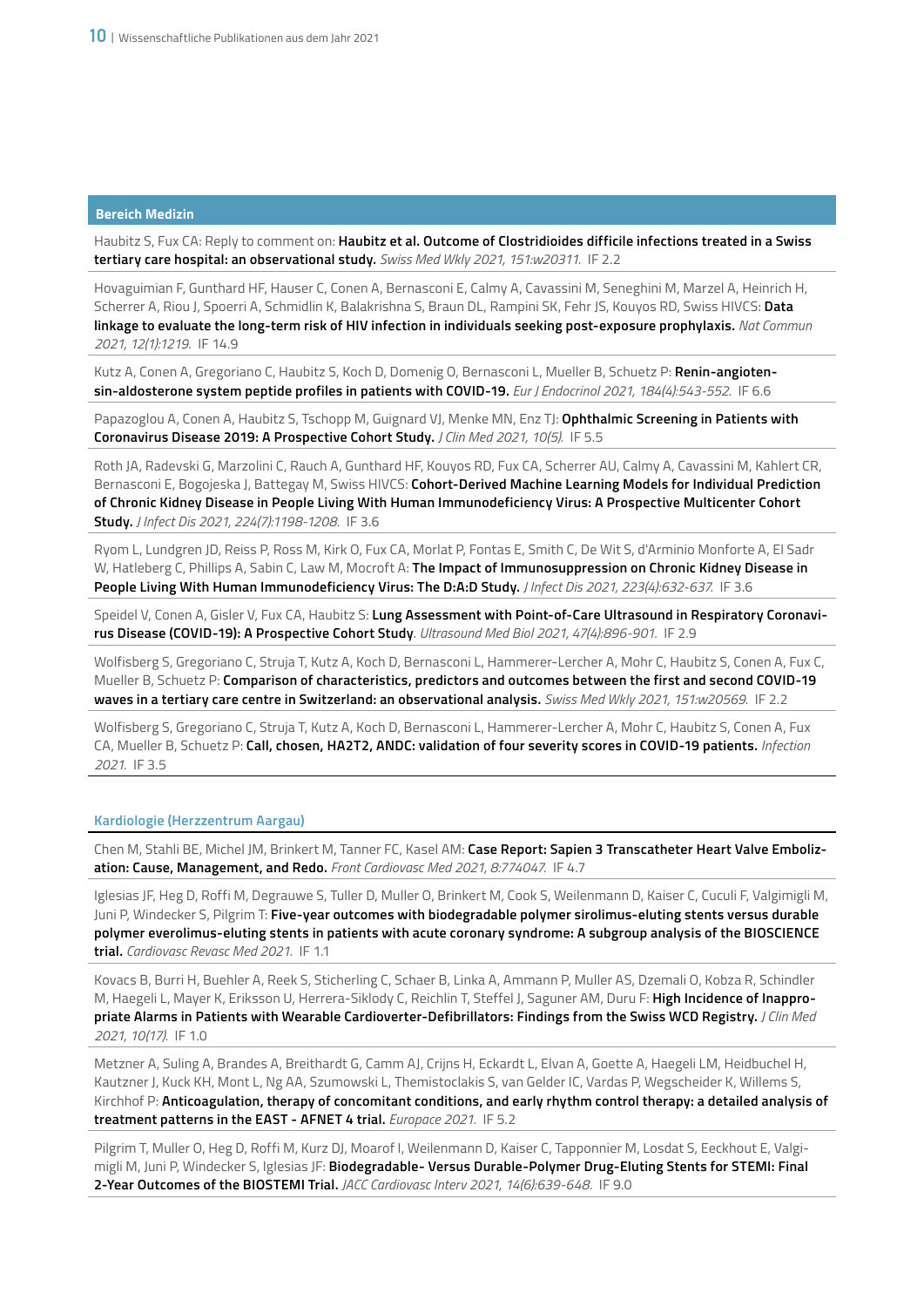Haubitz S, Fux CA: Reply to comment on: **Haubitz et al. Outcome of Clostridioides difficile infections treated in a Swiss tertiary care hospital: an observational study.** *Swiss Med Wkly 2021, 151:w20311.* IF 2.2

Hovaguimian F, Gunthard HF, Hauser C, Conen A, Bernasconi E, Calmy A, Cavassini M, Seneghini M, Marzel A, Heinrich H, Scherrer A, Riou J, Spoerri A, Schmidlin K, Balakrishna S, Braun DL, Rampini SK, Fehr JS, Kouyos RD, Swiss HIVCS: **Data linkage to evaluate the long-term risk of HIV infection in individuals seeking post-exposure prophylaxis.** *Nat Commun 2021, 12(1):1219.* IF 14.9

Kutz A, Conen A, Gregoriano C, Haubitz S, Koch D, Domenig O, Bernasconi L, Mueller B, Schuetz P: **Renin-angiotensin-aldosterone system peptide profiles in patients with COVID-19.** *Eur J Endocrinol 2021, 184(4):543-552.* IF 6.6

Papazoglou A, Conen A, Haubitz S, Tschopp M, Guignard VJ, Menke MN, Enz TJ: **Ophthalmic Screening in Patients with Coronavirus Disease 2019: A Prospective Cohort Study.** *J Clin Med 2021, 10(5).* IF 5.5

Roth JA, Radevski G, Marzolini C, Rauch A, Gunthard HF, Kouyos RD, Fux CA, Scherrer AU, Calmy A, Cavassini M, Kahlert CR, Bernasconi E, Bogojeska J, Battegay M, Swiss HIVCS: **Cohort-Derived Machine Learning Models for Individual Prediction of Chronic Kidney Disease in People Living With Human Immunodeficiency Virus: A Prospective Multicenter Cohort Study.** *J Infect Dis 2021, 224(7):1198-1208.* IF 3.6

Ryom L, Lundgren JD, Reiss P, Ross M, Kirk O, Fux CA, Morlat P, Fontas E, Smith C, De Wit S, d'Arminio Monforte A, El Sadr W, Hatleberg C, Phillips A, Sabin C, Law M, Mocroft A: **The Impact of Immunosuppression on Chronic Kidney Disease in People Living With Human Immunodeficiency Virus: The D:A:D Study.** *J Infect Dis 2021, 223(4):632-637.* IF 3.6

Speidel V, Conen A, Gisler V, Fux CA, Haubitz S: **Lung Assessment with Point-of-Care Ultrasound in Respiratory Coronavirus Disease (COVID-19): A Prospective Cohort Study**. *Ultrasound Med Biol 2021, 47(4):896-901.* IF 2.9

Wolfisberg S, Gregoriano C, Struja T, Kutz A, Koch D, Bernasconi L, Hammerer-Lercher A, Mohr C, Haubitz S, Conen A, Fux C, Mueller B, Schuetz P: **Comparison of characteristics, predictors and outcomes between the first and second COVID-19 waves in a tertiary care centre in Switzerland: an observational analysis.** *Swiss Med Wkly 2021, 151:w20569.* IF 2.2

Wolfisberg S, Gregoriano C, Struja T, Kutz A, Koch D, Bernasconi L, Hammerer-Lercher A, Mohr C, Haubitz S, Conen A, Fux CA, Mueller B, Schuetz P: **Call, chosen, HA2T2, ANDC: validation of four severity scores in COVID-19 patients.** *Infection 2021.* IF 3.5

# **Kardiologie (Herzzentrum Aargau)**

Chen M, Stahli BE, Michel JM, Brinkert M, Tanner FC, Kasel AM: **Case Report: Sapien 3 Transcatheter Heart Valve Embolization: Cause, Management, and Redo.** *Front Cardiovasc Med 2021, 8:774047.* IF 4.7

Iglesias JF, Heg D, Roffi M, Degrauwe S, Tuller D, Muller O, Brinkert M, Cook S, Weilenmann D, Kaiser C, Cuculi F, Valgimigli M, Juni P, Windecker S, Pilgrim T: **Five-year outcomes with biodegradable polymer sirolimus-eluting stents versus durable polymer everolimus-eluting stents in patients with acute coronary syndrome: A subgroup analysis of the BIOSCIENCE trial.** *Cardiovasc Revasc Med 2021.* IF 1.1

Kovacs B, Burri H, Buehler A, Reek S, Sticherling C, Schaer B, Linka A, Ammann P, Muller AS, Dzemali O, Kobza R, Schindler M, Haegeli L, Mayer K, Eriksson U, Herrera-Siklody C, Reichlin T, Steffel J, Saguner AM, Duru F: **High Incidence of Inappropriate Alarms in Patients with Wearable Cardioverter-Defibrillators: Findings from the Swiss WCD Registry.** *J Clin Med 2021, 10(17).* IF 1.0

Metzner A, Suling A, Brandes A, Breithardt G, Camm AJ, Crijns H, Eckardt L, Elvan A, Goette A, Haegeli LM, Heidbuchel H, Kautzner J, Kuck KH, Mont L, Ng AA, Szumowski L, Themistoclakis S, van Gelder IC, Vardas P, Wegscheider K, Willems S, Kirchhof P: **Anticoagulation, therapy of concomitant conditions, and early rhythm control therapy: a detailed analysis of treatment patterns in the EAST - AFNET 4 trial.** *Europace 2021.* IF 5.2

Pilgrim T, Muller O, Heg D, Roffi M, Kurz DJ, Moarof I, Weilenmann D, Kaiser C, Tapponnier M, Losdat S, Eeckhout E, Valgimigli M, Juni P, Windecker S, Iglesias JF: **Biodegradable- Versus Durable-Polymer Drug-Eluting Stents for STEMI: Final 2-Year Outcomes of the BIOSTEMI Trial.** *JACC Cardiovasc Interv 2021, 14(6):639-648.* IF 9.0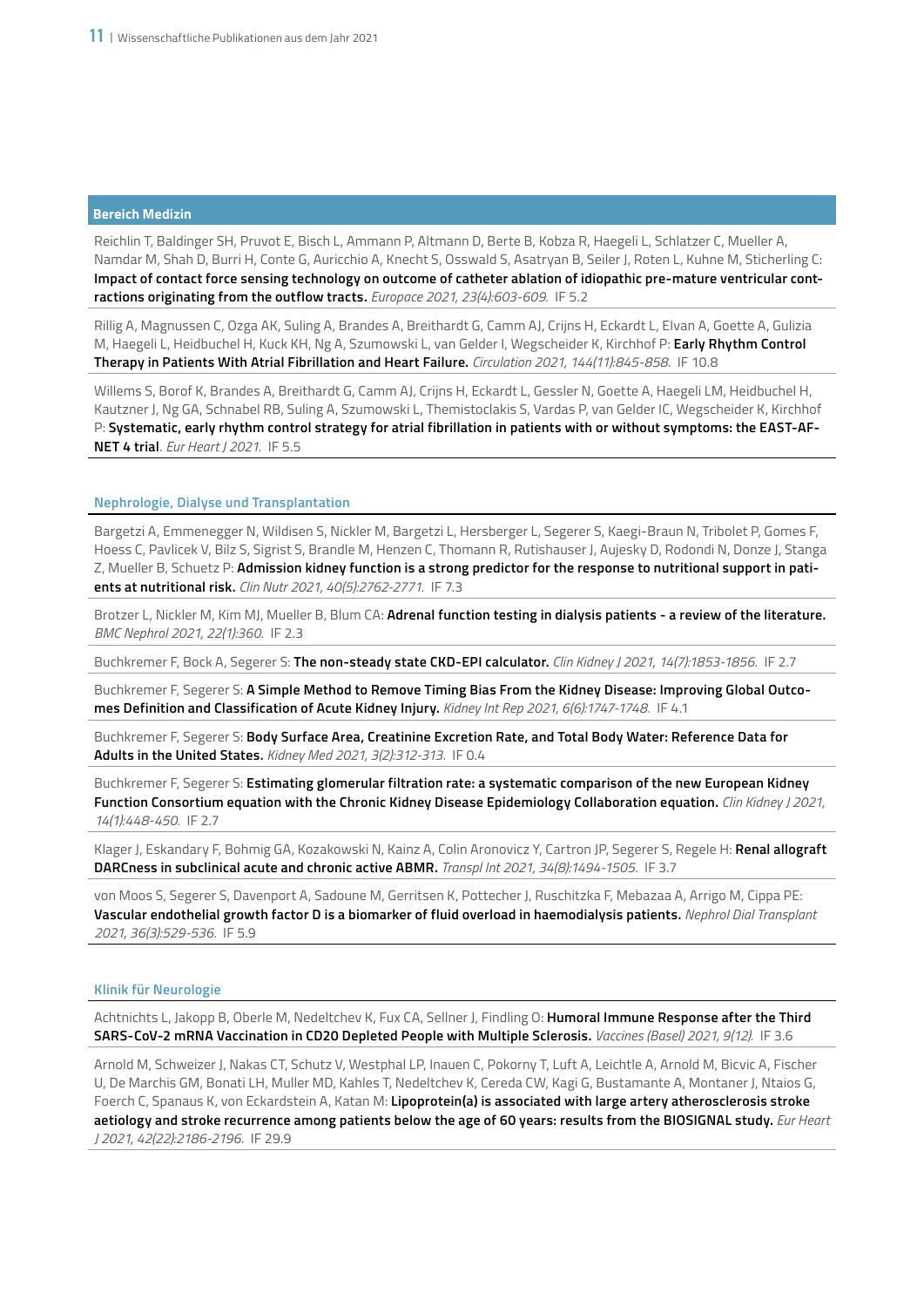Reichlin T, Baldinger SH, Pruvot E, Bisch L, Ammann P, Altmann D, Berte B, Kobza R, Haegeli L, Schlatzer C, Mueller A, Namdar M, Shah D, Burri H, Conte G, Auricchio A, Knecht S, Osswald S, Asatryan B, Seiler J, Roten L, Kuhne M, Sticherling C: **Impact of contact force sensing technology on outcome of catheter ablation of idiopathic pre-mature ventricular contractions originating from the outflow tracts.** *Europace 2021, 23(4):603-609.* IF 5.2

Rillig A, Magnussen C, Ozga AK, Suling A, Brandes A, Breithardt G, Camm AJ, Crijns H, Eckardt L, Elvan A, Goette A, Gulizia M, Haegeli L, Heidbuchel H, Kuck KH, Ng A, Szumowski L, van Gelder I, Wegscheider K, Kirchhof P: **Early Rhythm Control Therapy in Patients With Atrial Fibrillation and Heart Failure.** *Circulation 2021, 144(11):845-858.* IF 10.8

Willems S, Borof K, Brandes A, Breithardt G, Camm AJ, Crijns H, Eckardt L, Gessler N, Goette A, Haegeli LM, Heidbuchel H, Kautzner J, Ng GA, Schnabel RB, Suling A, Szumowski L, Themistoclakis S, Vardas P, van Gelder IC, Wegscheider K, Kirchhof P: **Systematic, early rhythm control strategy for atrial fibrillation in patients with or without symptoms: the EAST-AF-NET 4 trial**. *Eur Heart J 2021.* IF 5.5

# **Nephrologie, Dialyse und Transplantation**

Bargetzi A, Emmenegger N, Wildisen S, Nickler M, Bargetzi L, Hersberger L, Segerer S, Kaegi-Braun N, Tribolet P, Gomes F, Hoess C, Pavlicek V, Bilz S, Sigrist S, Brandle M, Henzen C, Thomann R, Rutishauser J, Aujesky D, Rodondi N, Donze J, Stanga Z, Mueller B, Schuetz P: **Admission kidney function is a strong predictor for the response to nutritional support in patients at nutritional risk.** *Clin Nutr 2021, 40(5):2762-2771.* IF 7.3

Brotzer L, Nickler M, Kim MJ, Mueller B, Blum CA: **Adrenal function testing in dialysis patients - a review of the literature.**  *BMC Nephrol 2021, 22(1):360.* IF 2.3

Buchkremer F, Bock A, Segerer S: **The non-steady state CKD-EPI calculator.** *Clin Kidney J 2021, 14(7):1853-1856.* IF 2.7

Buchkremer F, Segerer S: **A Simple Method to Remove Timing Bias From the Kidney Disease: Improving Global Outcomes Definition and Classification of Acute Kidney Injury.** *Kidney Int Rep 2021, 6(6):1747-1748.* IF 4.1

Buchkremer F, Segerer S: **Body Surface Area, Creatinine Excretion Rate, and Total Body Water: Reference Data for Adults in the United States.** *Kidney Med 2021, 3(2):312-313.* IF 0.4

Buchkremer F, Segerer S: **Estimating glomerular filtration rate: a systematic comparison of the new European Kidney Function Consortium equation with the Chronic Kidney Disease Epidemiology Collaboration equation.** *Clin Kidney J 2021, 14(1):448-450.* IF 2.7

Klager J, Eskandary F, Bohmig GA, Kozakowski N, Kainz A, Colin Aronovicz Y, Cartron JP, Segerer S, Regele H: **Renal allograft DARCness in subclinical acute and chronic active ABMR.** *Transpl Int 2021, 34(8):1494-1505.* IF 3.7

von Moos S, Segerer S, Davenport A, Sadoune M, Gerritsen K, Pottecher J, Ruschitzka F, Mebazaa A, Arrigo M, Cippa PE: **Vascular endothelial growth factor D is a biomarker of fluid overload in haemodialysis patients.** *Nephrol Dial Transplant 2021, 36(3):529-536.* IF 5.9

#### **Klinik für Neurologie**

Achtnichts L, Jakopp B, Oberle M, Nedeltchev K, Fux CA, Sellner J, Findling O: **Humoral Immune Response after the Third SARS-CoV-2 mRNA Vaccination in CD20 Depleted People with Multiple Sclerosis.** *Vaccines (Basel) 2021, 9(12).* IF 3.6

Arnold M, Schweizer J, Nakas CT, Schutz V, Westphal LP, Inauen C, Pokorny T, Luft A, Leichtle A, Arnold M, Bicvic A, Fischer U, De Marchis GM, Bonati LH, Muller MD, Kahles T, Nedeltchev K, Cereda CW, Kagi G, Bustamante A, Montaner J, Ntaios G, Foerch C, Spanaus K, von Eckardstein A, Katan M: **Lipoprotein(a) is associated with large artery atherosclerosis stroke aetiology and stroke recurrence among patients below the age of 60 years: results from the BIOSIGNAL study.** *Eur Heart J 2021, 42(22):2186-2196.* IF 29.9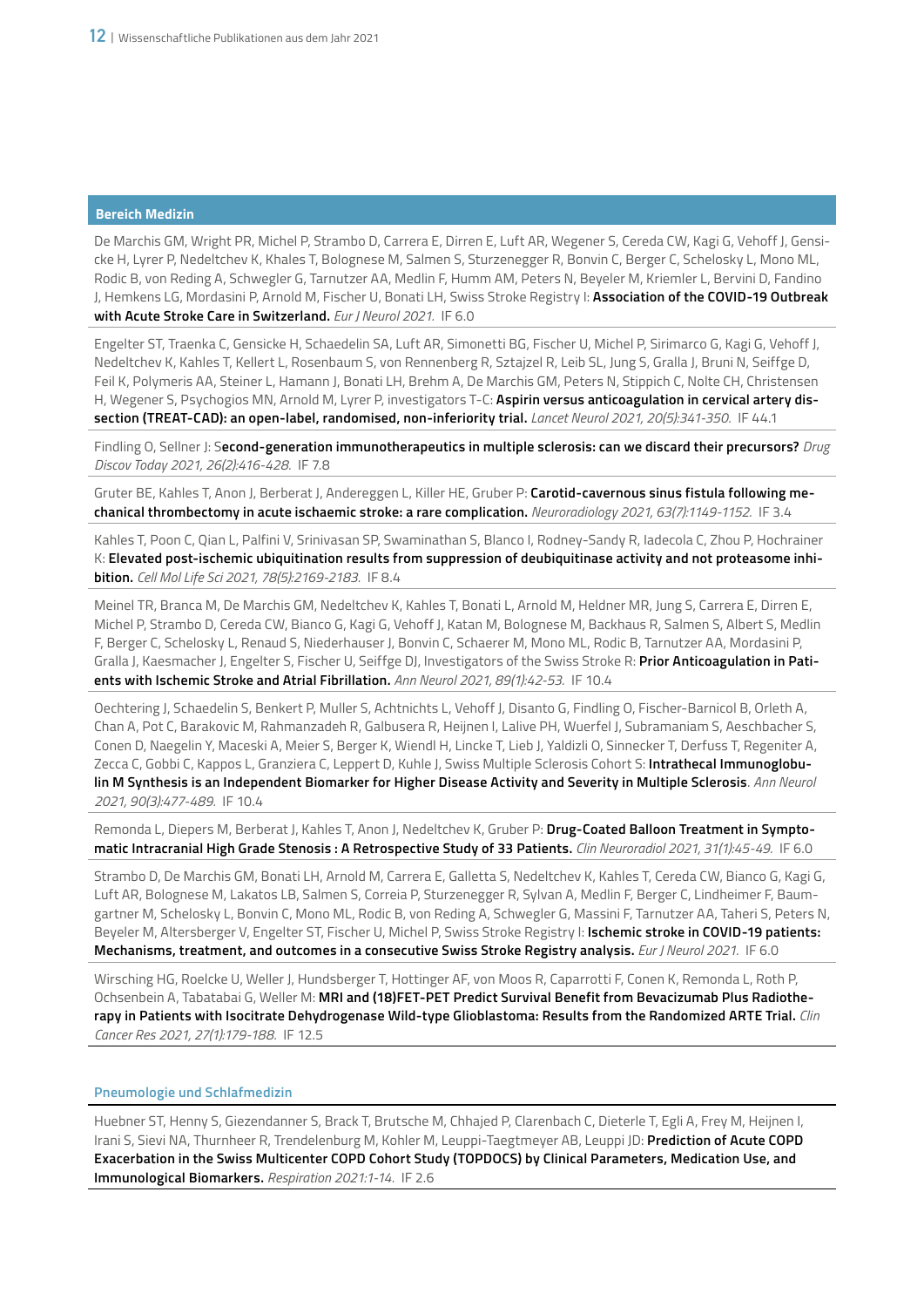De Marchis GM, Wright PR, Michel P, Strambo D, Carrera E, Dirren E, Luft AR, Wegener S, Cereda CW, Kagi G, Vehoff J, Gensicke H, Lyrer P, Nedeltchev K, Khales T, Bolognese M, Salmen S, Sturzenegger R, Bonvin C, Berger C, Schelosky L, Mono ML, Rodic B, von Reding A, Schwegler G, Tarnutzer AA, Medlin F, Humm AM, Peters N, Beyeler M, Kriemler L, Bervini D, Fandino J, Hemkens LG, Mordasini P, Arnold M, Fischer U, Bonati LH, Swiss Stroke Registry I: **Association of the COVID-19 Outbreak with Acute Stroke Care in Switzerland.** *Eur J Neurol 2021.* IF 6.0

Engelter ST, Traenka C, Gensicke H, Schaedelin SA, Luft AR, Simonetti BG, Fischer U, Michel P, Sirimarco G, Kagi G, Vehoff J, Nedeltchev K, Kahles T, Kellert L, Rosenbaum S, von Rennenberg R, Sztajzel R, Leib SL, Jung S, Gralla J, Bruni N, Seiffge D, Feil K, Polymeris AA, Steiner L, Hamann J, Bonati LH, Brehm A, De Marchis GM, Peters N, Stippich C, Nolte CH, Christensen H, Wegener S, Psychogios MN, Arnold M, Lyrer P, investigators T-C: **Aspirin versus anticoagulation in cervical artery dissection (TREAT-CAD): an open-label, randomised, non-inferiority trial.** *Lancet Neurol 2021, 20(5):341-350.* IF 44.1

Findling O, Sellner J: S**econd-generation immunotherapeutics in multiple sclerosis: can we discard their precursors?** *Drug Discov Today 2021, 26(2):416-428.* IF 7.8

Gruter BE, Kahles T, Anon J, Berberat J, Andereggen L, Killer HE, Gruber P: **Carotid-cavernous sinus fistula following mechanical thrombectomy in acute ischaemic stroke: a rare complication.** *Neuroradiology 2021, 63(7):1149-1152.* IF 3.4

Kahles T, Poon C, Qian L, Palfini V, Srinivasan SP, Swaminathan S, Blanco I, Rodney-Sandy R, Iadecola C, Zhou P, Hochrainer K: **Elevated post-ischemic ubiquitination results from suppression of deubiquitinase activity and not proteasome inhibition.** *Cell Mol Life Sci 2021, 78(5):2169-2183.* IF 8.4

Meinel TR, Branca M, De Marchis GM, Nedeltchev K, Kahles T, Bonati L, Arnold M, Heldner MR, Jung S, Carrera E, Dirren E, Michel P, Strambo D, Cereda CW, Bianco G, Kagi G, Vehoff J, Katan M, Bolognese M, Backhaus R, Salmen S, Albert S, Medlin F, Berger C, Schelosky L, Renaud S, Niederhauser J, Bonvin C, Schaerer M, Mono ML, Rodic B, Tarnutzer AA, Mordasini P, Gralla J, Kaesmacher J, Engelter S, Fischer U, Seiffge DJ, Investigators of the Swiss Stroke R: **Prior Anticoagulation in Patients with Ischemic Stroke and Atrial Fibrillation.** *Ann Neurol 2021, 89(1):42-53.* IF 10.4

Oechtering J, Schaedelin S, Benkert P, Muller S, Achtnichts L, Vehoff J, Disanto G, Findling O, Fischer-Barnicol B, Orleth A, Chan A, Pot C, Barakovic M, Rahmanzadeh R, Galbusera R, Heijnen I, Lalive PH, Wuerfel J, Subramaniam S, Aeschbacher S, Conen D, Naegelin Y, Maceski A, Meier S, Berger K, Wiendl H, Lincke T, Lieb J, Yaldizli O, Sinnecker T, Derfuss T, Regeniter A, Zecca C, Gobbi C, Kappos L, Granziera C, Leppert D, Kuhle J, Swiss Multiple Sclerosis Cohort S: **Intrathecal Immunoglobulin M Synthesis is an Independent Biomarker for Higher Disease Activity and Severity in Multiple Sclerosis**. *Ann Neurol 2021, 90(3):477-489.* IF 10.4

Remonda L, Diepers M, Berberat J, Kahles T, Anon J, Nedeltchev K, Gruber P: **Drug-Coated Balloon Treatment in Symptomatic Intracranial High Grade Stenosis : A Retrospective Study of 33 Patients.** *Clin Neuroradiol 2021, 31(1):45-49.* IF 6.0

Strambo D, De Marchis GM, Bonati LH, Arnold M, Carrera E, Galletta S, Nedeltchev K, Kahles T, Cereda CW, Bianco G, Kagi G, Luft AR, Bolognese M, Lakatos LB, Salmen S, Correia P, Sturzenegger R, Sylvan A, Medlin F, Berger C, Lindheimer F, Baumgartner M, Schelosky L, Bonvin C, Mono ML, Rodic B, von Reding A, Schwegler G, Massini F, Tarnutzer AA, Taheri S, Peters N, Beyeler M, Altersberger V, Engelter ST, Fischer U, Michel P, Swiss Stroke Registry I: **Ischemic stroke in COVID-19 patients: Mechanisms, treatment, and outcomes in a consecutive Swiss Stroke Registry analysis.** *Eur J Neurol 2021.* IF 6.0

Wirsching HG, Roelcke U, Weller J, Hundsberger T, Hottinger AF, von Moos R, Caparrotti F, Conen K, Remonda L, Roth P, Ochsenbein A, Tabatabai G, Weller M: **MRI and (18)FET-PET Predict Survival Benefit from Bevacizumab Plus Radiotherapy in Patients with Isocitrate Dehydrogenase Wild-type Glioblastoma: Results from the Randomized ARTE Trial.** *Clin Cancer Res 2021, 27(1):179-188.* IF 12.5

# **Pneumologie und Schlafmedizin**

Huebner ST, Henny S, Giezendanner S, Brack T, Brutsche M, Chhajed P, Clarenbach C, Dieterle T, Egli A, Frey M, Heijnen I, Irani S, Sievi NA, Thurnheer R, Trendelenburg M, Kohler M, Leuppi-Taegtmeyer AB, Leuppi JD: **Prediction of Acute COPD Exacerbation in the Swiss Multicenter COPD Cohort Study (TOPDOCS) by Clinical Parameters, Medication Use, and Immunological Biomarkers.** *Respiration 2021:1-14.* IF 2.6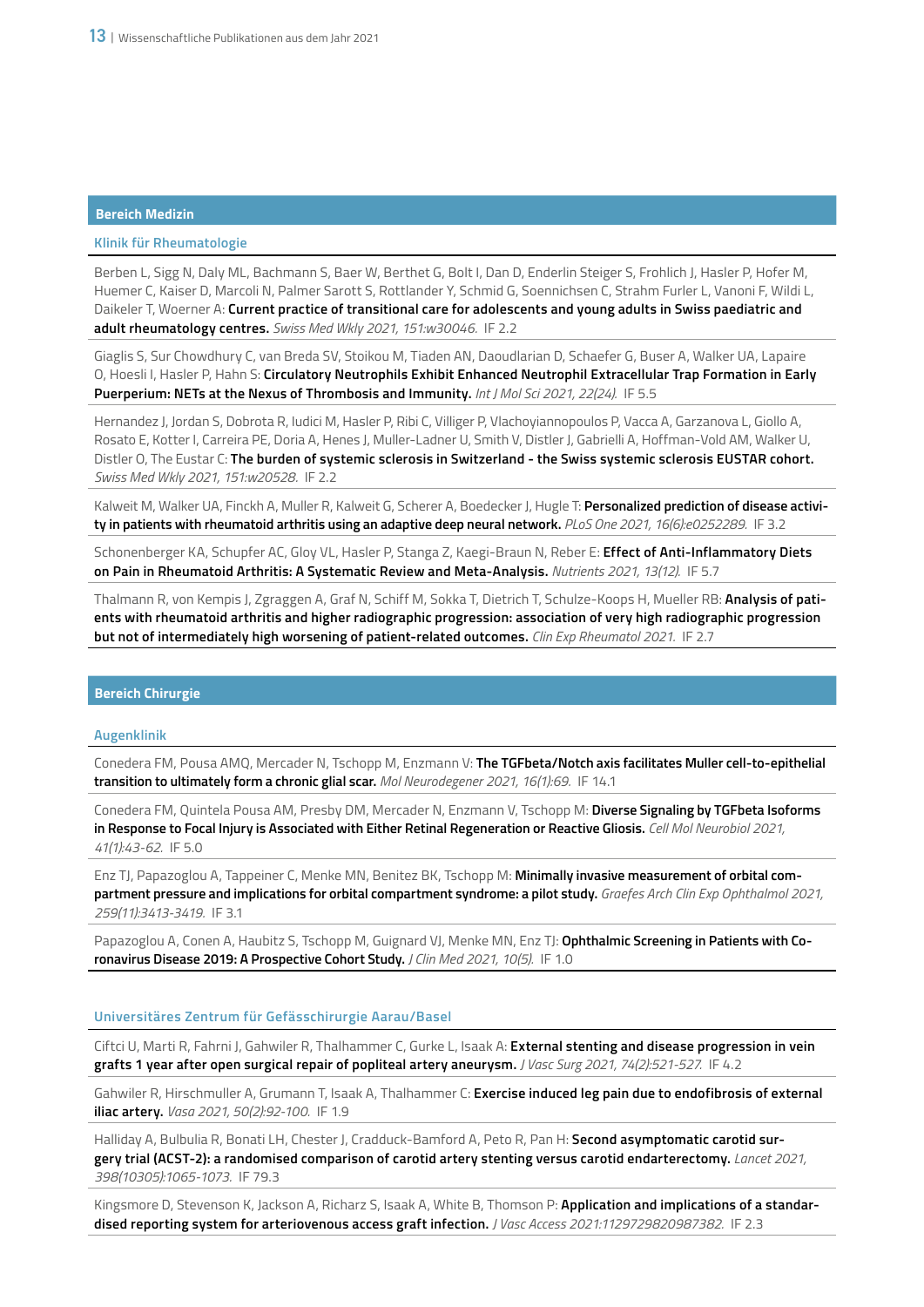# **Klinik für Rheumatologie**

Berben L, Sigg N, Daly ML, Bachmann S, Baer W, Berthet G, Bolt I, Dan D, Enderlin Steiger S, Frohlich J, Hasler P, Hofer M, Huemer C, Kaiser D, Marcoli N, Palmer Sarott S, Rottlander Y, Schmid G, Soennichsen C, Strahm Furler L, Vanoni F, Wildi L, Daikeler T, Woerner A: **Current practice of transitional care for adolescents and young adults in Swiss paediatric and adult rheumatology centres.** *Swiss Med Wkly 2021, 151:w30046.* IF 2.2

Giaglis S, Sur Chowdhury C, van Breda SV, Stoikou M, Tiaden AN, Daoudlarian D, Schaefer G, Buser A, Walker UA, Lapaire O, Hoesli I, Hasler P, Hahn S: **Circulatory Neutrophils Exhibit Enhanced Neutrophil Extracellular Trap Formation in Early Puerperium: NETs at the Nexus of Thrombosis and Immunity.** *Int J Mol Sci 2021, 22(24).* IF 5.5

Hernandez J, Jordan S, Dobrota R, Iudici M, Hasler P, Ribi C, Villiger P, Vlachoyiannopoulos P, Vacca A, Garzanova L, Giollo A, Rosato E, Kotter I, Carreira PE, Doria A, Henes J, Muller-Ladner U, Smith V, Distler J, Gabrielli A, Hoffman-Vold AM, Walker U, Distler O, The Eustar C: **The burden of systemic sclerosis in Switzerland - the Swiss systemic sclerosis EUSTAR cohort.** *Swiss Med Wkly 2021, 151:w20528.* IF 2.2

Kalweit M, Walker UA, Finckh A, Muller R, Kalweit G, Scherer A, Boedecker J, Hugle T: **Personalized prediction of disease activity in patients with rheumatoid arthritis using an adaptive deep neural network.** *PLoS One 2021, 16(6):e0252289.* IF 3.2

Schonenberger KA, Schupfer AC, Gloy VL, Hasler P, Stanga Z, Kaegi-Braun N, Reber E: **Effect of Anti-Inflammatory Diets on Pain in Rheumatoid Arthritis: A Systematic Review and Meta-Analysis.** *Nutrients 2021, 13(12).* IF 5.7

Thalmann R, von Kempis J, Zgraggen A, Graf N, Schiff M, Sokka T, Dietrich T, Schulze-Koops H, Mueller RB: **Analysis of patients with rheumatoid arthritis and higher radiographic progression: association of very high radiographic progression but not of intermediately high worsening of patient-related outcomes.** *Clin Exp Rheumatol 2021.* IF 2.7

# **Bereich Chirurgie**

#### **Augenklinik**

Conedera FM, Pousa AMQ, Mercader N, Tschopp M, Enzmann V: **The TGFbeta/Notch axis facilitates Muller cell-to-epithelial transition to ultimately form a chronic glial scar.** *Mol Neurodegener 2021, 16(1):69.* IF 14.1

Conedera FM, Quintela Pousa AM, Presby DM, Mercader N, Enzmann V, Tschopp M: **Diverse Signaling by TGFbeta Isoforms in Response to Focal Injury is Associated with Either Retinal Regeneration or Reactive Gliosis.** *Cell Mol Neurobiol 2021, 41(1):43-62.* IF 5.0

Enz TJ, Papazoglou A, Tappeiner C, Menke MN, Benitez BK, Tschopp M: **Minimally invasive measurement of orbital compartment pressure and implications for orbital compartment syndrome: a pilot study.** *Graefes Arch Clin Exp Ophthalmol 2021, 259(11):3413-3419.* IF 3.1

Papazoglou A, Conen A, Haubitz S, Tschopp M, Guignard VJ, Menke MN, Enz TJ: Ophthalmic Screening in Patients with Co**ronavirus Disease 2019: A Prospective Cohort Study.** *J Clin Med 2021, 10(5).* IF 1.0

# **Universitäres Zentrum für Gefässchirurgie Aarau/Basel**

Ciftci U, Marti R, Fahrni J, Gahwiler R, Thalhammer C, Gurke L, Isaak A: **External stenting and disease progression in vein grafts 1 year after open surgical repair of popliteal artery aneurysm.** *J Vasc Surg 2021, 74(2):521-527.* IF 4.2

Gahwiler R, Hirschmuller A, Grumann T, Isaak A, Thalhammer C: **Exercise induced leg pain due to endofibrosis of external iliac artery.** *Vasa 2021, 50(2):92-100.* IF 1.9

Halliday A, Bulbulia R, Bonati LH, Chester J, Cradduck-Bamford A, Peto R, Pan H: **Second asymptomatic carotid surgery trial (ACST-2): a randomised comparison of carotid artery stenting versus carotid endarterectomy.** *Lancet 2021, 398(10305):1065-1073.* IF 79.3

Kingsmore D, Stevenson K, Jackson A, Richarz S, Isaak A, White B, Thomson P: **Application and implications of a standardised reporting system for arteriovenous access graft infection.** *J Vasc Access 2021:1129729820987382.* IF 2.3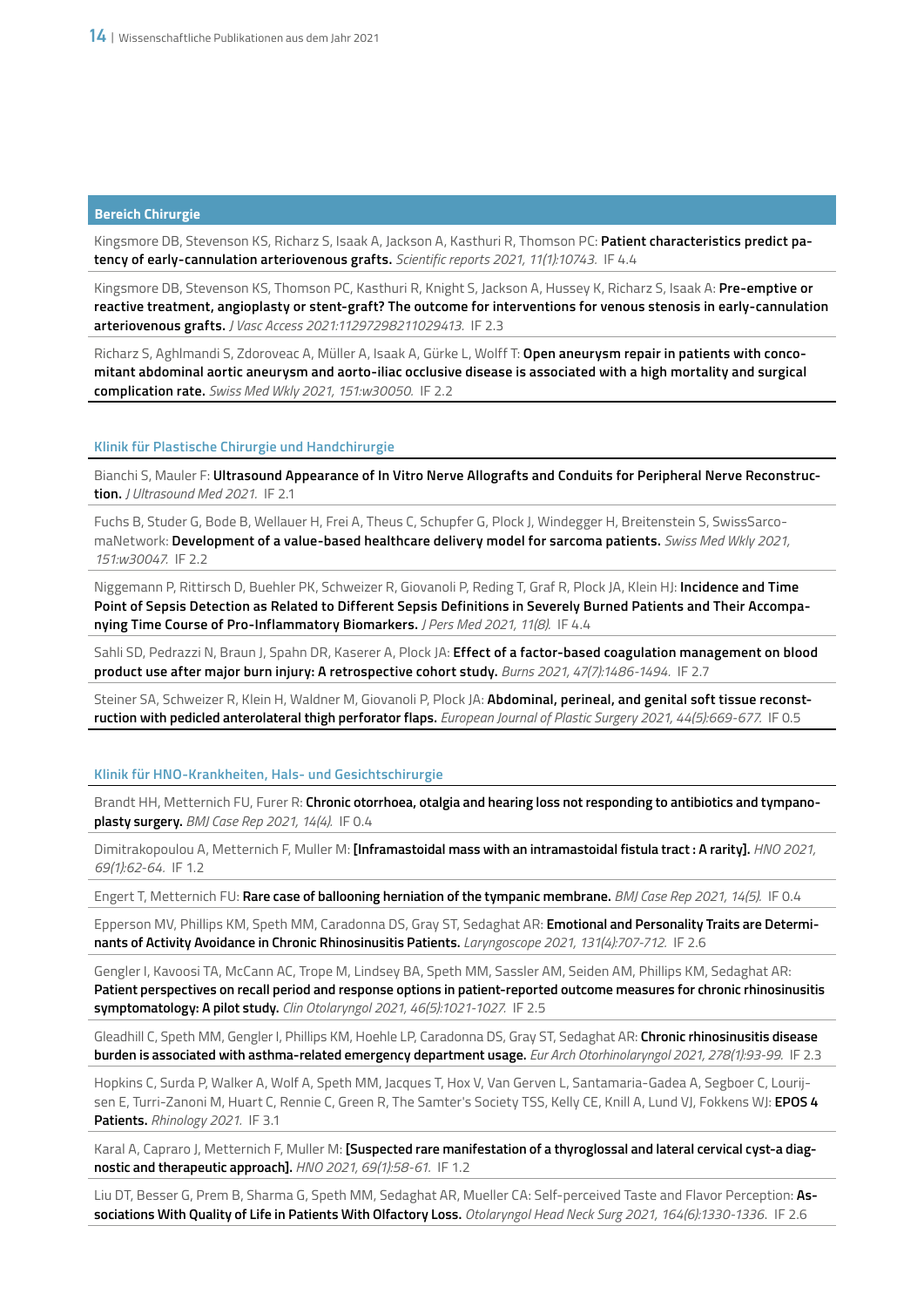Kingsmore DB, Stevenson KS, Richarz S, Isaak A, Jackson A, Kasthuri R, Thomson PC: **Patient characteristics predict patency of early-cannulation arteriovenous grafts.** *Scientific reports 2021, 11(1):10743.* IF 4.4

Kingsmore DB, Stevenson KS, Thomson PC, Kasthuri R, Knight S, Jackson A, Hussey K, Richarz S, Isaak A: **Pre-emptive or reactive treatment, angioplasty or stent-graft? The outcome for interventions for venous stenosis in early-cannulation arteriovenous grafts.** *J Vasc Access 2021:11297298211029413.* IF 2.3

Richarz S, Aghlmandi S, Zdoroveac A, Müller A, Isaak A, Gürke L, Wolff T: **Open aneurysm repair in patients with concomitant abdominal aortic aneurysm and aorto-iliac occlusive disease is associated with a high mortality and surgical complication rate.** *Swiss Med Wkly 2021, 151:w30050.* IF 2.2

#### **Klinik für Plastische Chirurgie und Handchirurgie**

Bianchi S, Mauler F: **Ultrasound Appearance of In Vitro Nerve Allografts and Conduits for Peripheral Nerve Reconstruction.** *J Ultrasound Med 2021.* IF 2.1

Fuchs B, Studer G, Bode B, Wellauer H, Frei A, Theus C, Schupfer G, Plock J, Windegger H, Breitenstein S, SwissSarcomaNetwork: **Development of a value-based healthcare delivery model for sarcoma patients.** *Swiss Med Wkly 2021, 151:w30047.* IF 2.2

Niggemann P, Rittirsch D, Buehler PK, Schweizer R, Giovanoli P, Reding T, Graf R, Plock JA, Klein HJ: **Incidence and Time Point of Sepsis Detection as Related to Different Sepsis Definitions in Severely Burned Patients and Their Accompanying Time Course of Pro-Inflammatory Biomarkers.** *J Pers Med 2021, 11(8).* IF 4.4

Sahli SD, Pedrazzi N, Braun J, Spahn DR, Kaserer A, Plock JA: Effect of a factor-based coagulation management on blood **product use after major burn injury: A retrospective cohort study.** *Burns 2021, 47(7):1486-1494.* IF 2.7

Steiner SA, Schweizer R, Klein H, Waldner M, Giovanoli P, Plock JA: **Abdominal, perineal, and genital soft tissue reconstruction with pedicled anterolateral thigh perforator flaps.** *European Journal of Plastic Surgery 2021, 44(5):669-677.* IF 0.5

#### **Klinik für HNO-Krankheiten, Hals- und Gesichtschirurgie**

Brandt HH, Metternich FU, Furer R: **Chronic otorrhoea, otalgia and hearing loss not responding to antibiotics and tympanoplasty surgery.** *BMJ Case Rep 2021, 14(4).* IF 0.4

Dimitrakopoulou A, Metternich F, Muller M: **[Inframastoidal mass with an intramastoidal fistula tract : A rarity].** *HNO 2021, 69(1):62-64.* IF 1.2

Engert T, Metternich FU: **Rare case of ballooning herniation of the tympanic membrane.** *BMJ Case Rep 2021, 14(5).* IF 0.4

Epperson MV, Phillips KM, Speth MM, Caradonna DS, Gray ST, Sedaghat AR: **Emotional and Personality Traits are Determinants of Activity Avoidance in Chronic Rhinosinusitis Patients.** *Laryngoscope 2021, 131(4):707-712.* IF 2.6

Gengler I, Kavoosi TA, McCann AC, Trope M, Lindsey BA, Speth MM, Sassler AM, Seiden AM, Phillips KM, Sedaghat AR: **Patient perspectives on recall period and response options in patient-reported outcome measures for chronic rhinosinusitis symptomatology: A pilot study.** *Clin Otolaryngol 2021, 46(5):1021-1027.* IF 2.5

Gleadhill C, Speth MM, Gengler I, Phillips KM, Hoehle LP, Caradonna DS, Gray ST, Sedaghat AR: **Chronic rhinosinusitis disease burden is associated with asthma-related emergency department usage.** *Eur Arch Otorhinolaryngol 2021, 278(1):93-99.* IF 2.3

Hopkins C, Surda P, Walker A, Wolf A, Speth MM, Jacques T, Hox V, Van Gerven L, Santamaria-Gadea A, Segboer C, Lourijsen E, Turri-Zanoni M, Huart C, Rennie C, Green R, The Samter's Society TSS, Kelly CE, Knill A, Lund VJ, Fokkens WJ: **EPOS 4 Patients.** *Rhinology 2021.* IF 3.1

Karal A, Capraro J, Metternich F, Muller M: **[Suspected rare manifestation of a thyroglossal and lateral cervical cyst-a diagnostic and therapeutic approach].** *HNO 2021, 69(1):58-61.* IF 1.2

Liu DT, Besser G, Prem B, Sharma G, Speth MM, Sedaghat AR, Mueller CA: Self-perceived Taste and Flavor Perception: **Associations With Quality of Life in Patients With Olfactory Loss.** *Otolaryngol Head Neck Surg 2021, 164(6):1330-1336*. IF 2.6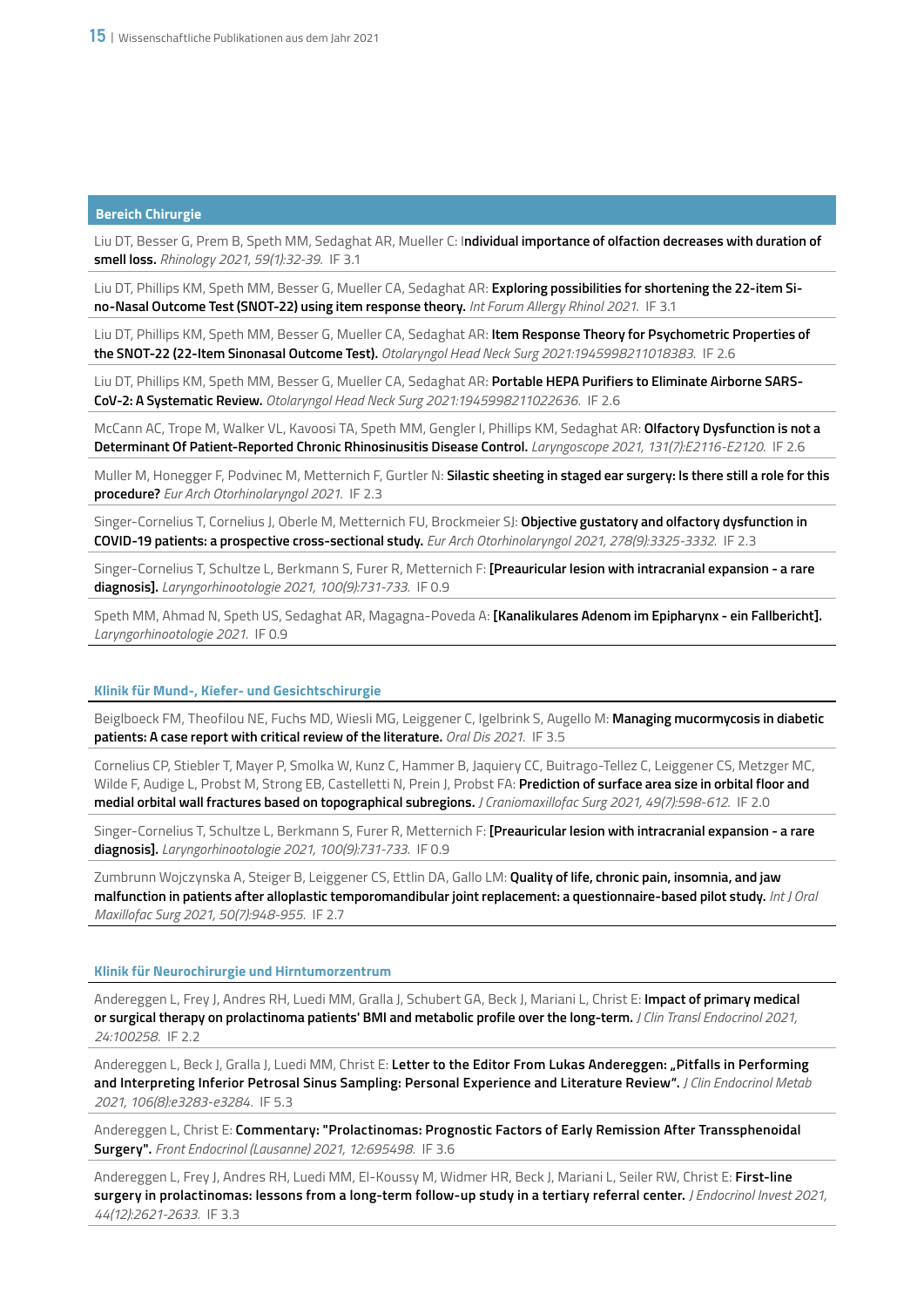Liu DT, Besser G, Prem B, Speth MM, Sedaghat AR, Mueller C: I**ndividual importance of olfaction decreases with duration of smell loss.** *Rhinology 2021, 59(1):32-39.* IF 3.1

Liu DT, Phillips KM, Speth MM, Besser G, Mueller CA, Sedaghat AR: **Exploring possibilities for shortening the 22-item Sino-Nasal Outcome Test (SNOT-22) using item response theory.** *Int Forum Allergy Rhinol 2021.* IF 3.1

Liu DT, Phillips KM, Speth MM, Besser G, Mueller CA, Sedaghat AR: **Item Response Theory for Psychometric Properties of the SNOT-22 (22-Item Sinonasal Outcome Test).** *Otolaryngol Head Neck Surg 2021:1945998211018383.* IF 2.6

Liu DT, Phillips KM, Speth MM, Besser G, Mueller CA, Sedaghat AR: **Portable HEPA Purifiers to Eliminate Airborne SARS-CoV-2: A Systematic Review.** *Otolaryngol Head Neck Surg 2021:1945998211022636.* IF 2.6

McCann AC, Trope M, Walker VL, Kavoosi TA, Speth MM, Gengler I, Phillips KM, Sedaghat AR: **Olfactory Dysfunction is not a Determinant Of Patient-Reported Chronic Rhinosinusitis Disease Control.** *Laryngoscope 2021, 131(7):E2116-E2120.* IF 2.6

Muller M, Honegger F, Podvinec M, Metternich F, Gurtler N: **Silastic sheeting in staged ear surgery: Is there still a role for this procedure?** *Eur Arch Otorhinolaryngol 2021.* IF 2.3

Singer-Cornelius T, Cornelius J, Oberle M, Metternich FU, Brockmeier SJ: **Objective gustatory and olfactory dysfunction in COVID-19 patients: a prospective cross-sectional study.** *Eur Arch Otorhinolaryngol 2021, 278(9):3325-3332.* IF 2.3

Singer-Cornelius T, Schultze L, Berkmann S, Furer R, Metternich F: **[Preauricular lesion with intracranial expansion - a rare diagnosis].** *Laryngorhinootologie 2021, 100(9):731-733.* IF 0.9

Speth MM, Ahmad N, Speth US, Sedaghat AR, Magagna-Poveda A: **[Kanalikulares Adenom im Epipharynx - ein Fallbericht].** *Laryngorhinootologie 2021.* IF 0.9

## **Klinik für Mund-, Kiefer- und Gesichtschirurgie**

Beiglboeck FM, Theofilou NE, Fuchs MD, Wiesli MG, Leiggener C, Igelbrink S, Augello M: **Managing mucormycosis in diabetic patients: A case report with critical review of the literature.** *Oral Dis 2021.* IF 3.5

Cornelius CP, Stiebler T, Mayer P, Smolka W, Kunz C, Hammer B, Jaquiery CC, Buitrago-Tellez C, Leiggener CS, Metzger MC, Wilde F, Audige L, Probst M, Strong EB, Castelletti N, Prein J, Probst FA: **Prediction of surface area size in orbital floor and medial orbital wall fractures based on topographical subregions.** *J Craniomaxillofac Surg 2021, 49(7):598-612.* IF 2.0

Singer-Cornelius T, Schultze L, Berkmann S, Furer R, Metternich F: **[Preauricular lesion with intracranial expansion - a rare diagnosis].** *Laryngorhinootologie 2021, 100(9):731-733.* IF 0.9

Zumbrunn Wojczynska A, Steiger B, Leiggener CS, Ettlin DA, Gallo LM: **Quality of life, chronic pain, insomnia, and jaw malfunction in patients after alloplastic temporomandibular joint replacement: a questionnaire-based pilot study.** *Int J Oral Maxillofac Surg 2021, 50(7):948-955.* IF 2.7

# **Klinik für Neurochirurgie und Hirntumorzentrum**

Andereggen L, Frey J, Andres RH, Luedi MM, Gralla J, Schubert GA, Beck J, Mariani L, Christ E: **Impact of primary medical or surgical therapy on prolactinoma patients' BMI and metabolic profile over the long-term.** *J Clin Transl Endocrinol 2021, 24:100258.* IF 2.2

Andereggen L, Beck J, Gralla J, Luedi MM, Christ E: **Letter to the Editor From Lukas Andereggen: "Pitfalls in Performing and Interpreting Inferior Petrosal Sinus Sampling: Personal Experience and Literature Review".** *J Clin Endocrinol Metab 2021, 106(8):e3283-e3284.* IF 5.3

Andereggen L, Christ E: **Commentary: "Prolactinomas: Prognostic Factors of Early Remission After Transsphenoidal Surgery".** *Front Endocrinol (Lausanne) 2021, 12:695498.* IF 3.6

Andereggen L, Frey J, Andres RH, Luedi MM, El-Koussy M, Widmer HR, Beck J, Mariani L, Seiler RW, Christ E: **First-line surgery in prolactinomas: lessons from a long-term follow-up study in a tertiary referral center.** *J Endocrinol Invest 2021, 44(12):2621-2633.* IF 3.3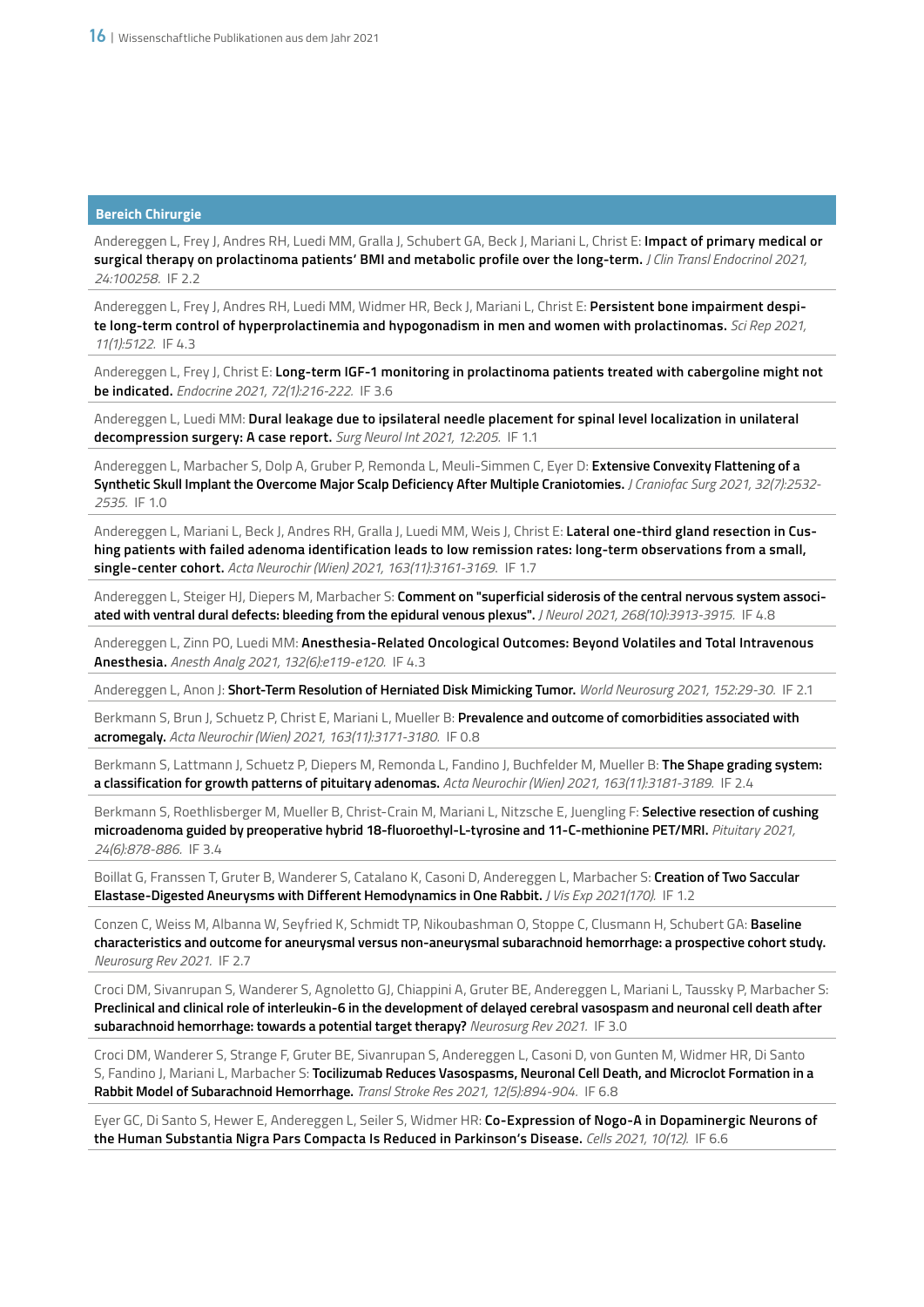Andereggen L, Frey J, Andres RH, Luedi MM, Gralla J, Schubert GA, Beck J, Mariani L, Christ E: **Impact of primary medical or surgical therapy on prolactinoma patients' BMI and metabolic profile over the long-term.** *J Clin Transl Endocrinol 2021, 24:100258.* IF 2.2

Andereggen L, Frey J, Andres RH, Luedi MM, Widmer HR, Beck J, Mariani L, Christ E: **Persistent bone impairment despite long-term control of hyperprolactinemia and hypogonadism in men and women with prolactinomas.** *Sci Rep 2021, 11(1):5122.* IF 4.3

Andereggen L, Frey J, Christ E: **Long-term IGF-1 monitoring in prolactinoma patients treated with cabergoline might not be indicated.** *Endocrine 2021, 72(1):216-222.* IF 3.6

Andereggen L, Luedi MM: **Dural leakage due to ipsilateral needle placement for spinal level localization in unilateral decompression surgery: A case report.** *Surg Neurol Int 2021, 12:205.* IF 1.1

Andereggen L, Marbacher S, Dolp A, Gruber P, Remonda L, Meuli-Simmen C, Eyer D: **Extensive Convexity Flattening of a Synthetic Skull Implant the Overcome Major Scalp Deficiency After Multiple Craniotomies.** *J Craniofac Surg 2021, 32(7):2532- 2535.* IF 1.0

Andereggen L, Mariani L, Beck J, Andres RH, Gralla J, Luedi MM, Weis J, Christ E: **Lateral one-third gland resection in Cushing patients with failed adenoma identification leads to low remission rates: long-term observations from a small, single-center cohort.** *Acta Neurochir (Wien) 2021, 163(11):3161-3169*. IF 1.7

Andereggen L, Steiger HJ, Diepers M, Marbacher S: **Comment on "superficial siderosis of the central nervous system associated with ventral dural defects: bleeding from the epidural venous plexus".** *J Neurol 2021, 268(10):3913-3915.* IF 4.8

Andereggen L, Zinn PO, Luedi MM: **Anesthesia-Related Oncological Outcomes: Beyond Volatiles and Total Intravenous Anesthesia.** *Anesth Analg 2021, 132(6):e119-e120.* IF 4.3

Andereggen L, Anon J: **Short-Term Resolution of Herniated Disk Mimicking Tumor.** *World Neurosurg 2021, 152:29-30.* IF 2.1

Berkmann S, Brun J, Schuetz P, Christ E, Mariani L, Mueller B: **Prevalence and outcome of comorbidities associated with acromegaly.** *Acta Neurochir (Wien) 2021, 163(11):3171-3180.* IF 0.8

Berkmann S, Lattmann J, Schuetz P, Diepers M, Remonda L, Fandino J, Buchfelder M, Mueller B: **The Shape grading system: a classification for growth patterns of pituitary adenomas.** *Acta Neurochir (Wien) 2021, 163(11):3181-3189.* IF 2.4

Berkmann S, Roethlisberger M, Mueller B, Christ-Crain M, Mariani L, Nitzsche E, Juengling F: **Selective resection of cushing microadenoma guided by preoperative hybrid 18-fluoroethyl-L-tyrosine and 11-C-methionine PET/MRI.** *Pituitary 2021, 24(6):878-886.* IF 3.4

Boillat G, Franssen T, Gruter B, Wanderer S, Catalano K, Casoni D, Andereggen L, Marbacher S: **Creation of Two Saccular Elastase-Digested Aneurysms with Different Hemodynamics in One Rabbit.** *J Vis Exp 2021(170).* IF 1.2

Conzen C, Weiss M, Albanna W, Seyfried K, Schmidt TP, Nikoubashman O, Stoppe C, Clusmann H, Schubert GA: **Baseline characteristics and outcome for aneurysmal versus non-aneurysmal subarachnoid hemorrhage: a prospective cohort study.** *Neurosurg Rev 2021.* IF 2.7

Croci DM, Sivanrupan S, Wanderer S, Agnoletto GJ, Chiappini A, Gruter BE, Andereggen L, Mariani L, Taussky P, Marbacher S: **Preclinical and clinical role of interleukin-6 in the development of delayed cerebral vasospasm and neuronal cell death after subarachnoid hemorrhage: towards a potential target therapy?** *Neurosurg Rev 2021.* IF 3.0

Croci DM, Wanderer S, Strange F, Gruter BE, Sivanrupan S, Andereggen L, Casoni D, von Gunten M, Widmer HR, Di Santo S, Fandino J, Mariani L, Marbacher S: **Tocilizumab Reduces Vasospasms, Neuronal Cell Death, and Microclot Formation in a Rabbit Model of Subarachnoid Hemorrhage.** *Transl Stroke Res 2021, 12(5):894-904.* IF 6.8

Eyer GC, Di Santo S, Hewer E, Andereggen L, Seiler S, Widmer HR: **Co-Expression of Nogo-A in Dopaminergic Neurons of the Human Substantia Nigra Pars Compacta Is Reduced in Parkinson's Disease.** *Cells 2021, 10(12).* IF 6.6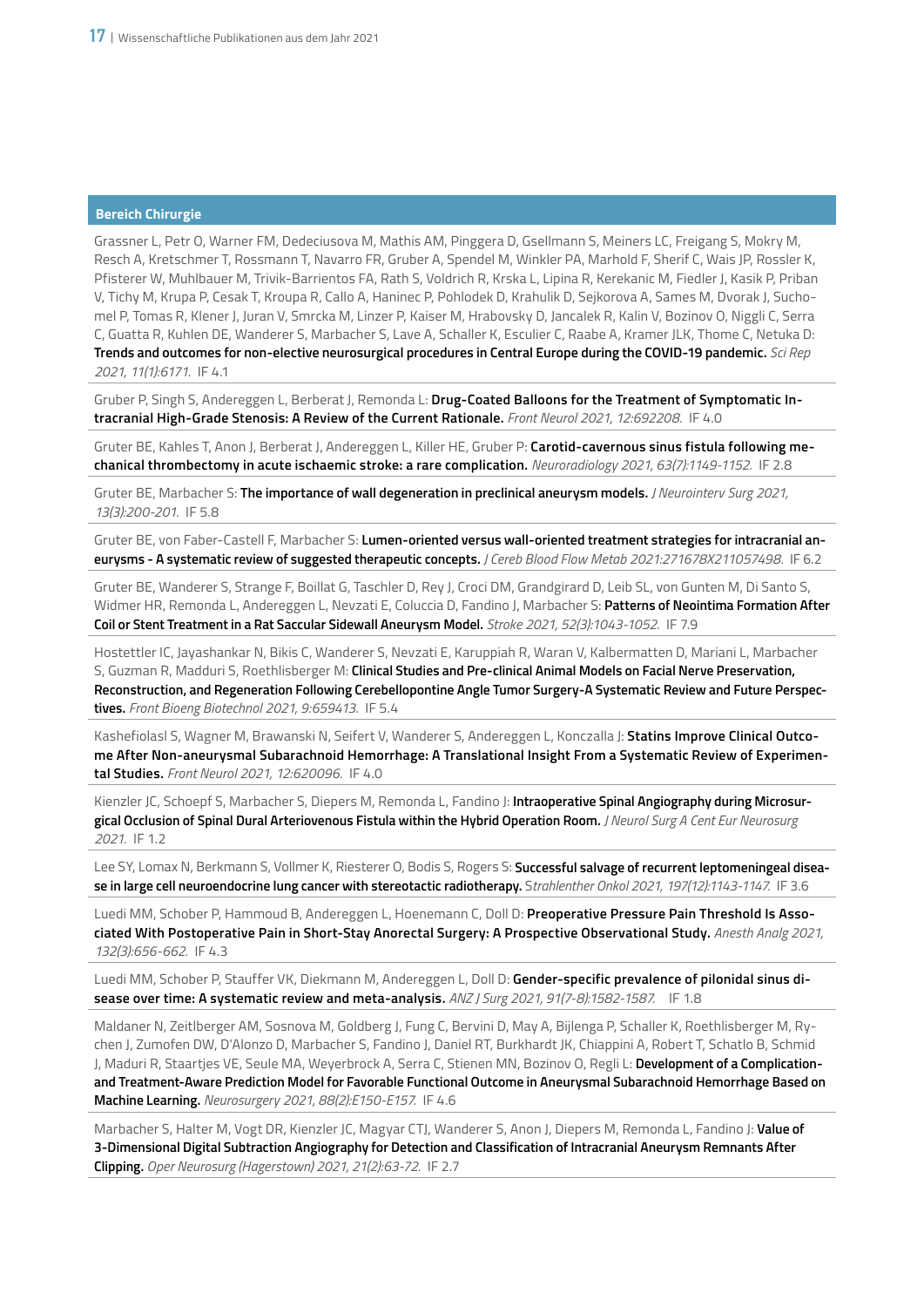Grassner L, Petr O, Warner FM, Dedeciusova M, Mathis AM, Pinggera D, Gsellmann S, Meiners LC, Freigang S, Mokry M, Resch A, Kretschmer T, Rossmann T, Navarro FR, Gruber A, Spendel M, Winkler PA, Marhold F, Sherif C, Wais JP, Rossler K, Pfisterer W, Muhlbauer M, Trivik-Barrientos FA, Rath S, Voldrich R, Krska L, Lipina R, Kerekanic M, Fiedler J, Kasik P, Priban V, Tichy M, Krupa P, Cesak T, Kroupa R, Callo A, Haninec P, Pohlodek D, Krahulik D, Sejkorova A, Sames M, Dvorak J, Suchomel P, Tomas R, Klener J, Juran V, Smrcka M, Linzer P, Kaiser M, Hrabovsky D, Jancalek R, Kalin V, Bozinov O, Niggli C, Serra C, Guatta R, Kuhlen DE, Wanderer S, Marbacher S, Lave A, Schaller K, Esculier C, Raabe A, Kramer JLK, Thome C, Netuka D: **Trends and outcomes for non-elective neurosurgical procedures in Central Europe during the COVID-19 pandemic.** *Sci Rep 2021, 11(1):6171.* IF 4.1

Gruber P, Singh S, Andereggen L, Berberat J, Remonda L: **Drug-Coated Balloons for the Treatment of Symptomatic Intracranial High-Grade Stenosis: A Review of the Current Rationale.** *Front Neurol 2021, 12:692208.* IF 4.0

Gruter BE, Kahles T, Anon J, Berberat J, Andereggen L, Killer HE, Gruber P: **Carotid-cavernous sinus fistula following mechanical thrombectomy in acute ischaemic stroke: a rare complication.** *Neuroradiology 2021, 63(7):1149-1152.* IF 2.8

Gruter BE, Marbacher S: **The importance of wall degeneration in preclinical aneurysm models.** *J Neurointerv Surg 2021, 13(3):200-201.* IF 5.8

Gruter BE, von Faber-Castell F, Marbacher S: **Lumen-oriented versus wall-oriented treatment strategies for intracranial aneurysms - A systematic review of suggested therapeutic concepts.** *J Cereb Blood Flow Metab 2021:271678X211057498.* IF 6.2

Gruter BE, Wanderer S, Strange F, Boillat G, Taschler D, Rey J, Croci DM, Grandgirard D, Leib SL, von Gunten M, Di Santo S, Widmer HR, Remonda L, Andereggen L, Nevzati E, Coluccia D, Fandino J, Marbacher S: **Patterns of Neointima Formation After Coil or Stent Treatment in a Rat Saccular Sidewall Aneurysm Model.** *Stroke 2021, 52(3):1043-1052.* IF 7.9

Hostettler IC, Jayashankar N, Bikis C, Wanderer S, Nevzati E, Karuppiah R, Waran V, Kalbermatten D, Mariani L, Marbacher S, Guzman R, Madduri S, Roethlisberger M: **Clinical Studies and Pre-clinical Animal Models on Facial Nerve Preservation, Reconstruction, and Regeneration Following Cerebellopontine Angle Tumor Surgery-A Systematic Review and Future Perspectives.** *Front Bioeng Biotechnol 2021, 9:659413.* IF 5.4

Kashefiolasl S, Wagner M, Brawanski N, Seifert V, Wanderer S, Andereggen L, Konczalla J: **Statins Improve Clinical Outcome After Non-aneurysmal Subarachnoid Hemorrhage: A Translational Insight From a Systematic Review of Experimental Studies.** *Front Neurol 2021, 12:620096.* IF 4.0

Kienzler JC, Schoepf S, Marbacher S, Diepers M, Remonda L, Fandino J: **Intraoperative Spinal Angiography during Microsurgical Occlusion of Spinal Dural Arteriovenous Fistula within the Hybrid Operation Room.** *J Neurol Surg A Cent Eur Neurosurg 2021.* IF 1.2

Lee SY, Lomax N, Berkmann S, Vollmer K, Riesterer O, Bodis S, Rogers S: **Successful salvage of recurrent leptomeningeal disease in large cell neuroendocrine lung cancer with stereotactic radiotherapy.** S*trahlenther Onkol 2021, 197(12):1143-1147.* IF 3.6

Luedi MM, Schober P, Hammoud B, Andereggen L, Hoenemann C, Doll D: **Preoperative Pressure Pain Threshold Is Associated With Postoperative Pain in Short-Stay Anorectal Surgery: A Prospective Observational Study.** *Anesth Analg 2021, 132(3):656-662.* IF 4.3

Luedi MM, Schober P, Stauffer VK, Diekmann M, Andereggen L, Doll D: **Gender-specific prevalence of pilonidal sinus disease over time: A systematic review and meta-analysis.** *ANZ J Surg 2021, 91(7-8):1582-1587.* IF 1.8

Maldaner N, Zeitlberger AM, Sosnova M, Goldberg J, Fung C, Bervini D, May A, Bijlenga P, Schaller K, Roethlisberger M, Rychen J, Zumofen DW, D'Alonzo D, Marbacher S, Fandino J, Daniel RT, Burkhardt JK, Chiappini A, Robert T, Schatlo B, Schmid J, Maduri R, Staartjes VE, Seule MA, Weyerbrock A, Serra C, Stienen MN, Bozinov O, Regli L: **Development of a Complicationand Treatment-Aware Prediction Model for Favorable Functional Outcome in Aneurysmal Subarachnoid Hemorrhage Based on Machine Learning.** *Neurosurgery 2021, 88(2):E150-E157.* IF 4.6

Marbacher S, Halter M, Vogt DR, Kienzler JC, Magyar CTJ, Wanderer S, Anon J, Diepers M, Remonda L, Fandino J: **Value of 3-Dimensional Digital Subtraction Angiography for Detection and Classification of Intracranial Aneurysm Remnants After Clipping.** *Oper Neurosurg (Hagerstown) 2021, 21(2):63-72.* IF 2.7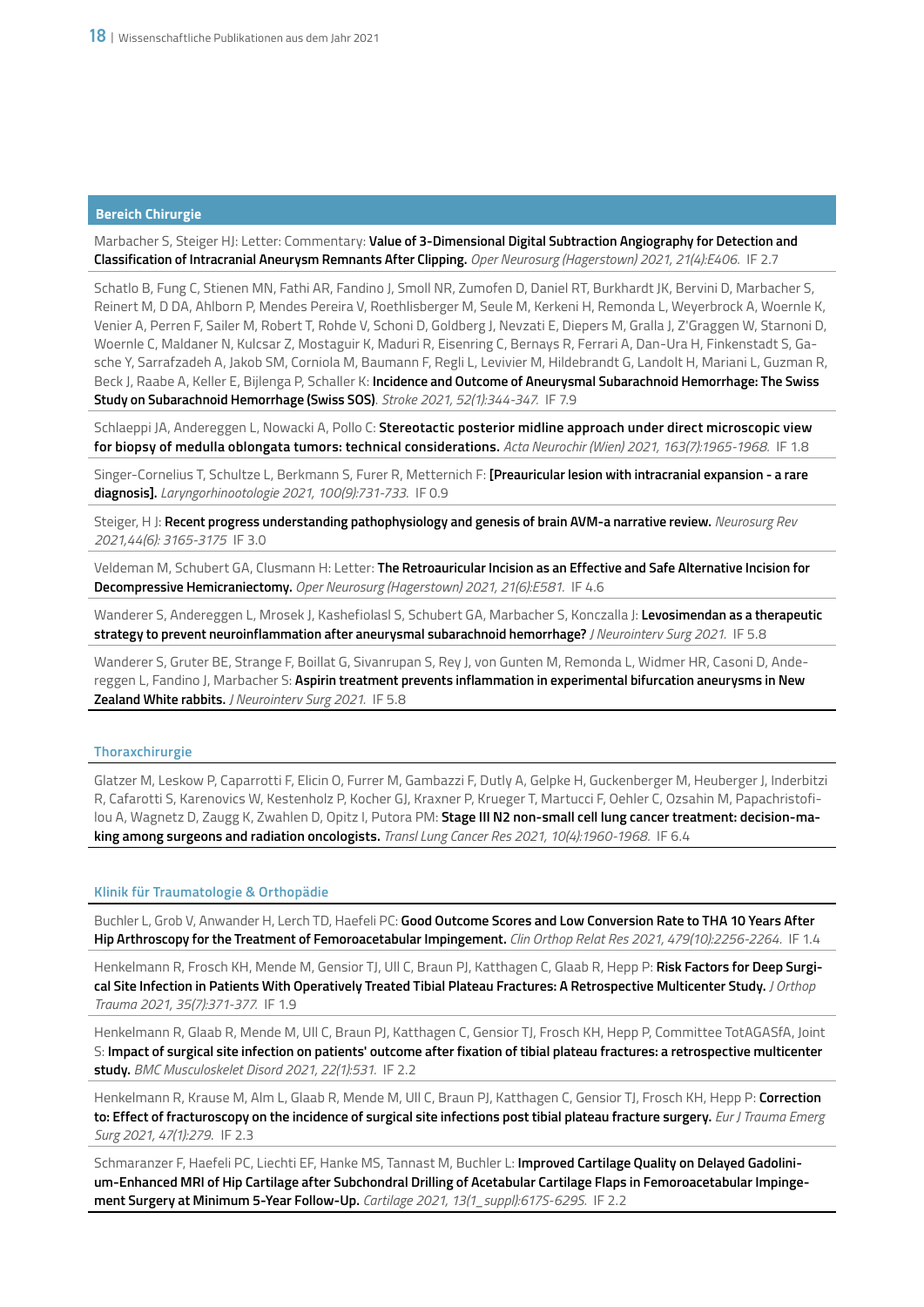Marbacher S, Steiger HJ: Letter: Commentary: **Value of 3-Dimensional Digital Subtraction Angiography for Detection and Classification of Intracranial Aneurysm Remnants After Clipping.** *Oper Neurosurg (Hagerstown) 2021, 21(4):E406.* IF 2.7

Schatlo B, Fung C, Stienen MN, Fathi AR, Fandino J, Smoll NR, Zumofen D, Daniel RT, Burkhardt JK, Bervini D, Marbacher S, Reinert M, D DA, Ahlborn P, Mendes Pereira V, Roethlisberger M, Seule M, Kerkeni H, Remonda L, Weyerbrock A, Woernle K, Venier A, Perren F, Sailer M, Robert T, Rohde V, Schoni D, Goldberg J, Nevzati E, Diepers M, Gralla J, Z'Graggen W, Starnoni D, Woernle C, Maldaner N, Kulcsar Z, Mostaguir K, Maduri R, Eisenring C, Bernays R, Ferrari A, Dan-Ura H, Finkenstadt S, Gasche Y, Sarrafzadeh A, Jakob SM, Corniola M, Baumann F, Regli L, Levivier M, Hildebrandt G, Landolt H, Mariani L, Guzman R, Beck J, Raabe A, Keller E, Bijlenga P, Schaller K: **Incidence and Outcome of Aneurysmal Subarachnoid Hemorrhage: The Swiss Study on Subarachnoid Hemorrhage (Swiss SOS)**. *Stroke 2021, 52(1):344-347.* IF 7.9

Schlaeppi JA, Andereggen L, Nowacki A, Pollo C: **Stereotactic posterior midline approach under direct microscopic view for biopsy of medulla oblongata tumors: technical considerations.** *Acta Neurochir (Wien) 2021, 163(7):1965-1968.* IF 1.8

Singer-Cornelius T, Schultze L, Berkmann S, Furer R, Metternich F: **[Preauricular lesion with intracranial expansion - a rare diagnosis].** *Laryngorhinootologie 2021, 100(9):731-733.* IF 0.9

Steiger, H J: **Recent progress understanding pathophysiology and genesis of brain AVM-a narrative review.** *Neurosurg Rev 2021,44(6): 3165-3175* IF 3.0

Veldeman M, Schubert GA, Clusmann H: Letter: **The Retroauricular Incision as an Effective and Safe Alternative Incision for Decompressive Hemicraniectomy.** *Oper Neurosurg (Hagerstown) 2021, 21(6):E581.* IF 4.6

Wanderer S, Andereggen L, Mrosek J, Kashefiolasl S, Schubert GA, Marbacher S, Konczalla J: **Levosimendan as a therapeutic strategy to prevent neuroinflammation after aneurysmal subarachnoid hemorrhage?** *J Neurointerv Surg 2021.* IF 5.8

Wanderer S, Gruter BE, Strange F, Boillat G, Sivanrupan S, Rey J, von Gunten M, Remonda L, Widmer HR, Casoni D, Andereggen L, Fandino J, Marbacher S: **Aspirin treatment prevents inflammation in experimental bifurcation aneurysms in New Zealand White rabbits.** *J Neurointerv Surg 2021.* IF 5.8

# **Thoraxchirurgie**

Glatzer M, Leskow P, Caparrotti F, Elicin O, Furrer M, Gambazzi F, Dutly A, Gelpke H, Guckenberger M, Heuberger J, Inderbitzi R, Cafarotti S, Karenovics W, Kestenholz P, Kocher GJ, Kraxner P, Krueger T, Martucci F, Oehler C, Ozsahin M, Papachristofilou A, Wagnetz D, Zaugg K, Zwahlen D, Opitz I, Putora PM: **Stage III N2 non-small cell lung cancer treatment: decision-making among surgeons and radiation oncologists.** *Transl Lung Cancer Res 2021, 10(4):1960-1968.* IF 6.4

#### **Klinik für Traumatologie & Orthopädie**

Buchler L, Grob V, Anwander H, Lerch TD, Haefeli PC: **Good Outcome Scores and Low Conversion Rate to THA 10 Years After Hip Arthroscopy for the Treatment of Femoroacetabular Impingement.** *Clin Orthop Relat Res 2021, 479(10):2256-2264.* IF 1.4

Henkelmann R, Frosch KH, Mende M, Gensior TJ, Ull C, Braun PJ, Katthagen C, Glaab R, Hepp P: **Risk Factors for Deep Surgical Site Infection in Patients With Operatively Treated Tibial Plateau Fractures: A Retrospective Multicenter Study.** *J Orthop Trauma 2021, 35(7):371-377.* IF 1.9

Henkelmann R, Glaab R, Mende M, Ull C, Braun PJ, Katthagen C, Gensior TJ, Frosch KH, Hepp P, Committee TotAGASfA, Joint S: **Impact of surgical site infection on patients' outcome after fixation of tibial plateau fractures: a retrospective multicenter study.** *BMC Musculoskelet Disord 2021, 22(1):531.* IF 2.2

Henkelmann R, Krause M, Alm L, Glaab R, Mende M, Ull C, Braun PJ, Katthagen C, Gensior TJ, Frosch KH, Hepp P: **Correction to: Effect of fracturoscopy on the incidence of surgical site infections post tibial plateau fracture surgery.** *Eur J Trauma Emerg Surg 2021, 47(1):279*. IF 2.3

Schmaranzer F, Haefeli PC, Liechti EF, Hanke MS, Tannast M, Buchler L: **Improved Cartilage Quality on Delayed Gadolinium-Enhanced MRI of Hip Cartilage after Subchondral Drilling of Acetabular Cartilage Flaps in Femoroacetabular Impingement Surgery at Minimum 5-Year Follow-Up.** *Cartilage 2021, 13(1\_suppl):617S-629S.* IF 2.2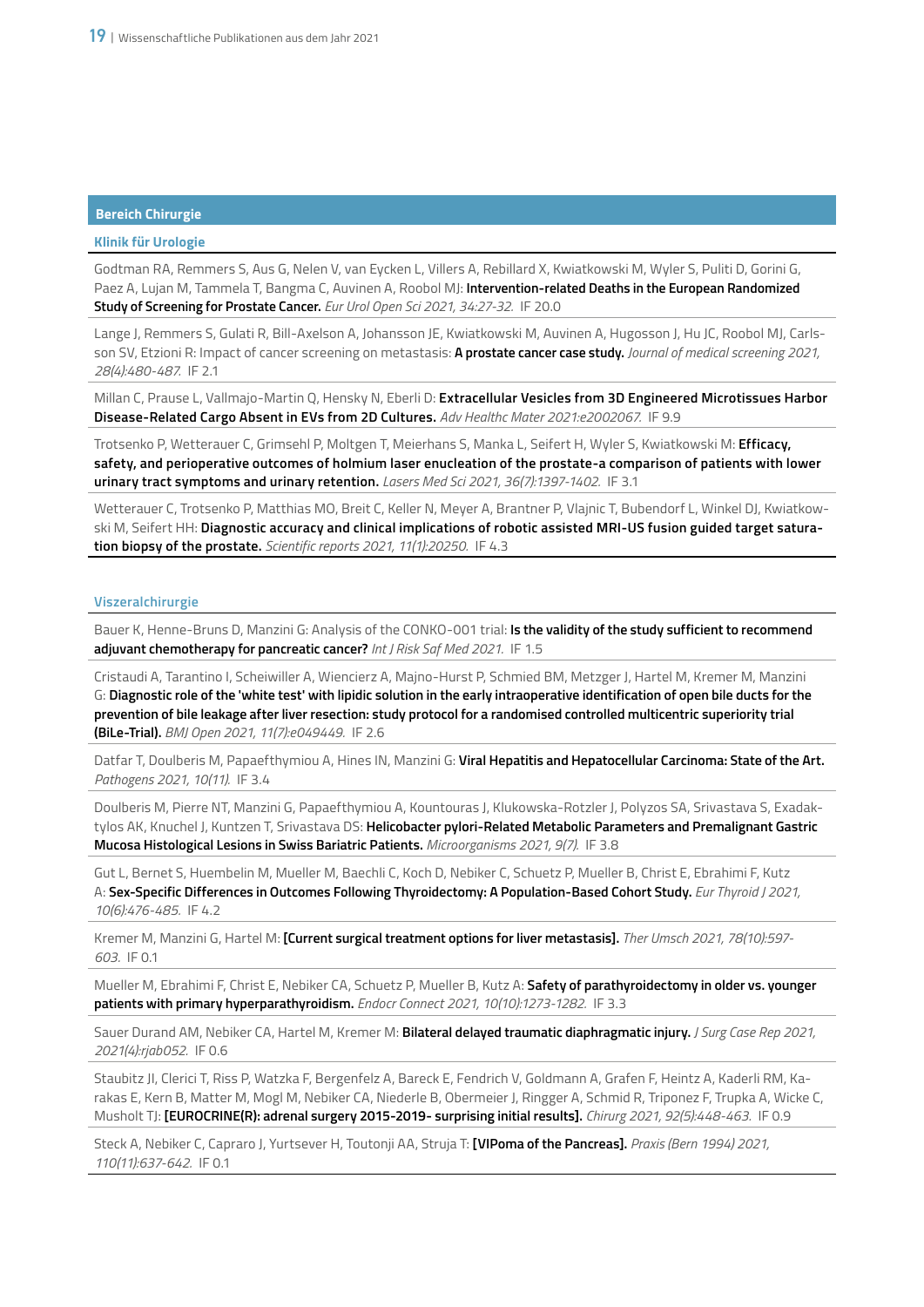# **Klinik für Urologie**

Godtman RA, Remmers S, Aus G, Nelen V, van Eycken L, Villers A, Rebillard X, Kwiatkowski M, Wyler S, Puliti D, Gorini G, Paez A, Lujan M, Tammela T, Bangma C, Auvinen A, Roobol MJ: **Intervention-related Deaths in the European Randomized Study of Screening for Prostate Cancer.** *Eur Urol Open Sci 2021, 34:27-32.* IF 20.0

Lange J, Remmers S, Gulati R, Bill-Axelson A, Johansson JE, Kwiatkowski M, Auvinen A, Hugosson J, Hu JC, Roobol MJ, Carlsson SV, Etzioni R: Impact of cancer screening on metastasis: **A prostate cancer case study.** *Journal of medical screening 2021, 28(4):480-487.* IF 2.1

Millan C, Prause L, Vallmajo-Martin Q, Hensky N, Eberli D: **Extracellular Vesicles from 3D Engineered Microtissues Harbor Disease-Related Cargo Absent in EVs from 2D Cultures.** *Adv Healthc Mater 2021:e2002067.* IF 9.9

Trotsenko P, Wetterauer C, Grimsehl P, Moltgen T, Meierhans S, Manka L, Seifert H, Wyler S, Kwiatkowski M: **Efficacy, safety, and perioperative outcomes of holmium laser enucleation of the prostate-a comparison of patients with lower urinary tract symptoms and urinary retention.** *Lasers Med Sci 2021, 36(7):1397-1402.* IF 3.1

Wetterauer C, Trotsenko P, Matthias MO, Breit C, Keller N, Meyer A, Brantner P, Vlajnic T, Bubendorf L, Winkel DJ, Kwiatkowski M, Seifert HH: **Diagnostic accuracy and clinical implications of robotic assisted MRI-US fusion guided target saturation biopsy of the prostate.** *Scientific reports 2021, 11(1):20250.* IF 4.3

# **Viszeralchirurgie**

Bauer K, Henne-Bruns D, Manzini G: Analysis of the CONKO-001 trial: **Is the validity of the study sufficient to recommend adjuvant chemotherapy for pancreatic cancer?** *Int J Risk Saf Med 2021.* IF 1.5

Cristaudi A, Tarantino I, Scheiwiller A, Wiencierz A, Majno-Hurst P, Schmied BM, Metzger J, Hartel M, Kremer M, Manzini G: **Diagnostic role of the 'white test' with lipidic solution in the early intraoperative identification of open bile ducts for the prevention of bile leakage after liver resection: study protocol for a randomised controlled multicentric superiority trial (BiLe-Trial).** *BMJ Open 2021, 11(7):e049449.* IF 2.6

Datfar T, Doulberis M, Papaefthymiou A, Hines IN, Manzini G: **Viral Hepatitis and Hepatocellular Carcinoma: State of the Art.** *Pathogens 2021, 10(11).* IF 3.4

Doulberis M, Pierre NT, Manzini G, Papaefthymiou A, Kountouras J, Klukowska-Rotzler J, Polyzos SA, Srivastava S, Exadaktylos AK, Knuchel J, Kuntzen T, Srivastava DS: **Helicobacter pylori-Related Metabolic Parameters and Premalignant Gastric Mucosa Histological Lesions in Swiss Bariatric Patients.** *Microorganisms 2021, 9(7).* IF 3.8

Gut L, Bernet S, Huembelin M, Mueller M, Baechli C, Koch D, Nebiker C, Schuetz P, Mueller B, Christ E, Ebrahimi F, Kutz A: **Sex-Specific Differences in Outcomes Following Thyroidectomy: A Population-Based Cohort Study.** *Eur Thyroid J 2021, 10(6):476-485.* IF 4.2

Kremer M, Manzini G, Hartel M: **[Current surgical treatment options for liver metastasis].** *Ther Umsch 2021, 78(10):597- 603.* IF 0.1

Mueller M, Ebrahimi F, Christ E, Nebiker CA, Schuetz P, Mueller B, Kutz A: **Safety of parathyroidectomy in older vs. younger patients with primary hyperparathyroidism.** *Endocr Connect 2021, 10(10):1273-1282.* IF 3.3

Sauer Durand AM, Nebiker CA, Hartel M, Kremer M: **Bilateral delayed traumatic diaphragmatic injury.** *J Surg Case Rep 2021, 2021(4):rjab052.* IF 0.6

Staubitz JI, Clerici T, Riss P, Watzka F, Bergenfelz A, Bareck E, Fendrich V, Goldmann A, Grafen F, Heintz A, Kaderli RM, Karakas E, Kern B, Matter M, Mogl M, Nebiker CA, Niederle B, Obermeier J, Ringger A, Schmid R, Triponez F, Trupka A, Wicke C, Musholt TJ: **[EUROCRINE(R): adrenal surgery 2015-2019- surprising initial results].** *Chirurg 2021, 92(5):448-463.* IF 0.9

Steck A, Nebiker C, Capraro J, Yurtsever H, Toutonji AA, Struja T: **[VIPoma of the Pancreas].** *Praxis (Bern 1994) 2021, 110(11):637-642.* IF 0.1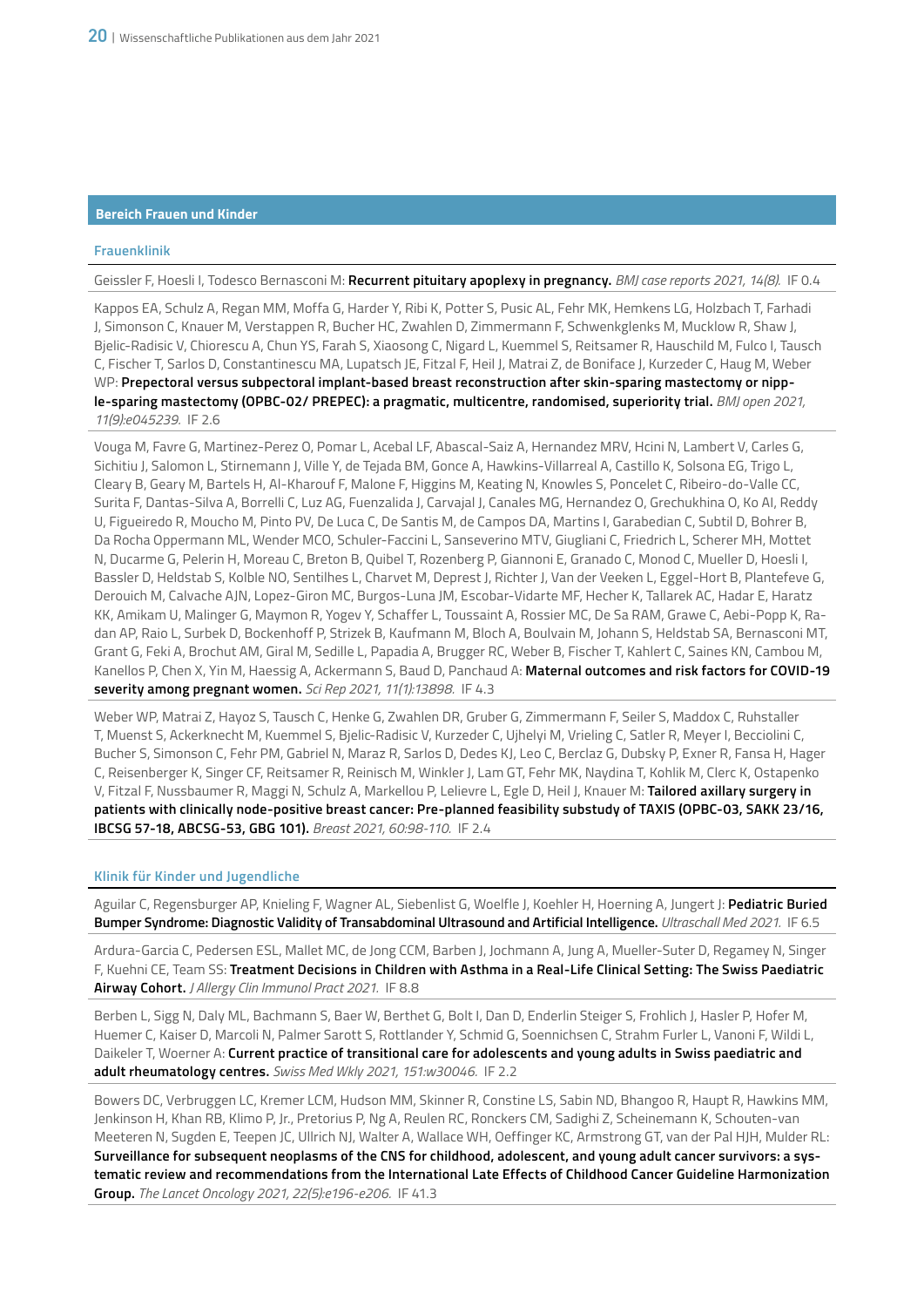# **Bereich Frauen und Kinder**

# **Frauenklinik**

Geissler F, Hoesli I, Todesco Bernasconi M: **Recurrent pituitary apoplexy in pregnancy.** *BMJ case reports 2021, 14(8).* IF 0.4

Kappos EA, Schulz A, Regan MM, Moffa G, Harder Y, Ribi K, Potter S, Pusic AL, Fehr MK, Hemkens LG, Holzbach T, Farhadi J, Simonson C, Knauer M, Verstappen R, Bucher HC, Zwahlen D, Zimmermann F, Schwenkglenks M, Mucklow R, Shaw J, Bjelic-Radisic V, Chiorescu A, Chun YS, Farah S, Xiaosong C, Nigard L, Kuemmel S, Reitsamer R, Hauschild M, Fulco I, Tausch C, Fischer T, Sarlos D, Constantinescu MA, Lupatsch JE, Fitzal F, Heil J, Matrai Z, de Boniface J, Kurzeder C, Haug M, Weber WP: **Prepectoral versus subpectoral implant-based breast reconstruction after skin-sparing mastectomy or nipple-sparing mastectomy (OPBC-02/ PREPEC): a pragmatic, multicentre, randomised, superiority trial.** *BMJ open 2021, 11(9):e045239.* IF 2.6

Vouga M, Favre G, Martinez-Perez O, Pomar L, Acebal LF, Abascal-Saiz A, Hernandez MRV, Hcini N, Lambert V, Carles G, Sichitiu J, Salomon L, Stirnemann J, Ville Y, de Tejada BM, Gonce A, Hawkins-Villarreal A, Castillo K, Solsona EG, Trigo L, Cleary B, Geary M, Bartels H, Al-Kharouf F, Malone F, Higgins M, Keating N, Knowles S, Poncelet C, Ribeiro-do-Valle CC, Surita F, Dantas-Silva A, Borrelli C, Luz AG, Fuenzalida J, Carvajal J, Canales MG, Hernandez O, Grechukhina O, Ko AI, Reddy U, Figueiredo R, Moucho M, Pinto PV, De Luca C, De Santis M, de Campos DA, Martins I, Garabedian C, Subtil D, Bohrer B, Da Rocha Oppermann ML, Wender MCO, Schuler-Faccini L, Sanseverino MTV, Giugliani C, Friedrich L, Scherer MH, Mottet N, Ducarme G, Pelerin H, Moreau C, Breton B, Quibel T, Rozenberg P, Giannoni E, Granado C, Monod C, Mueller D, Hoesli I, Bassler D, Heldstab S, Kolble NO, Sentilhes L, Charvet M, Deprest J, Richter J, Van der Veeken L, Eggel-Hort B, Plantefeve G, Derouich M, Calvache AJN, Lopez-Giron MC, Burgos-Luna JM, Escobar-Vidarte MF, Hecher K, Tallarek AC, Hadar E, Haratz KK, Amikam U, Malinger G, Maymon R, Yogev Y, Schaffer L, Toussaint A, Rossier MC, De Sa RAM, Grawe C, Aebi-Popp K, Radan AP, Raio L, Surbek D, Bockenhoff P, Strizek B, Kaufmann M, Bloch A, Boulvain M, Johann S, Heldstab SA, Bernasconi MT, Grant G, Feki A, Brochut AM, Giral M, Sedille L, Papadia A, Brugger RC, Weber B, Fischer T, Kahlert C, Saines KN, Cambou M, Kanellos P, Chen X, Yin M, Haessig A, Ackermann S, Baud D, Panchaud A: **Maternal outcomes and risk factors for COVID-19 severity among pregnant women.** *Sci Rep 2021, 11(1):13898.* IF 4.3

Weber WP, Matrai Z, Hayoz S, Tausch C, Henke G, Zwahlen DR, Gruber G, Zimmermann F, Seiler S, Maddox C, Ruhstaller T, Muenst S, Ackerknecht M, Kuemmel S, Bjelic-Radisic V, Kurzeder C, Ujhelyi M, Vrieling C, Satler R, Meyer I, Becciolini C, Bucher S, Simonson C, Fehr PM, Gabriel N, Maraz R, Sarlos D, Dedes KJ, Leo C, Berclaz G, Dubsky P, Exner R, Fansa H, Hager C, Reisenberger K, Singer CF, Reitsamer R, Reinisch M, Winkler J, Lam GT, Fehr MK, Naydina T, Kohlik M, Clerc K, Ostapenko V, Fitzal F, Nussbaumer R, Maggi N, Schulz A, Markellou P, Lelievre L, Egle D, Heil J, Knauer M: **Tailored axillary surgery in patients with clinically node-positive breast cancer: Pre-planned feasibility substudy of TAXIS (OPBC-03, SAKK 23/16, IBCSG 57-18, ABCSG-53, GBG 101).** *Breast 2021, 60:98-110.* IF 2.4

# **Klinik für Kinder und Jugendliche**

Aguilar C, Regensburger AP, Knieling F, Wagner AL, Siebenlist G, Woelfle J, Koehler H, Hoerning A, Jungert J: **Pediatric Buried Bumper Syndrome: Diagnostic Validity of Transabdominal Ultrasound and Artificial Intelligence.** *Ultraschall Med 2021.* IF 6.5

Ardura-Garcia C, Pedersen ESL, Mallet MC, de Jong CCM, Barben J, Jochmann A, Jung A, Mueller-Suter D, Regamey N, Singer F, Kuehni CE, Team SS: **Treatment Decisions in Children with Asthma in a Real-Life Clinical Setting: The Swiss Paediatric Airway Cohort.** *J Allergy Clin Immunol Pract 2021.* IF 8.8

Berben L, Sigg N, Daly ML, Bachmann S, Baer W, Berthet G, Bolt I, Dan D, Enderlin Steiger S, Frohlich J, Hasler P, Hofer M, Huemer C, Kaiser D, Marcoli N, Palmer Sarott S, Rottlander Y, Schmid G, Soennichsen C, Strahm Furler L, Vanoni F, Wildi L, Daikeler T, Woerner A: **Current practice of transitional care for adolescents and young adults in Swiss paediatric and adult rheumatology centres.** *Swiss Med Wkly 2021, 151:w30046.* IF 2.2

Bowers DC, Verbruggen LC, Kremer LCM, Hudson MM, Skinner R, Constine LS, Sabin ND, Bhangoo R, Haupt R, Hawkins MM, Jenkinson H, Khan RB, Klimo P, Jr., Pretorius P, Ng A, Reulen RC, Ronckers CM, Sadighi Z, Scheinemann K, Schouten-van Meeteren N, Sugden E, Teepen JC, Ullrich NJ, Walter A, Wallace WH, Oeffinger KC, Armstrong GT, van der Pal HJH, Mulder RL: **Surveillance for subsequent neoplasms of the CNS for childhood, adolescent, and young adult cancer survivors: a systematic review and recommendations from the International Late Effects of Childhood Cancer Guideline Harmonization Group.** *The Lancet Oncology 2021, 22(5):e196-e206.* IF 41.3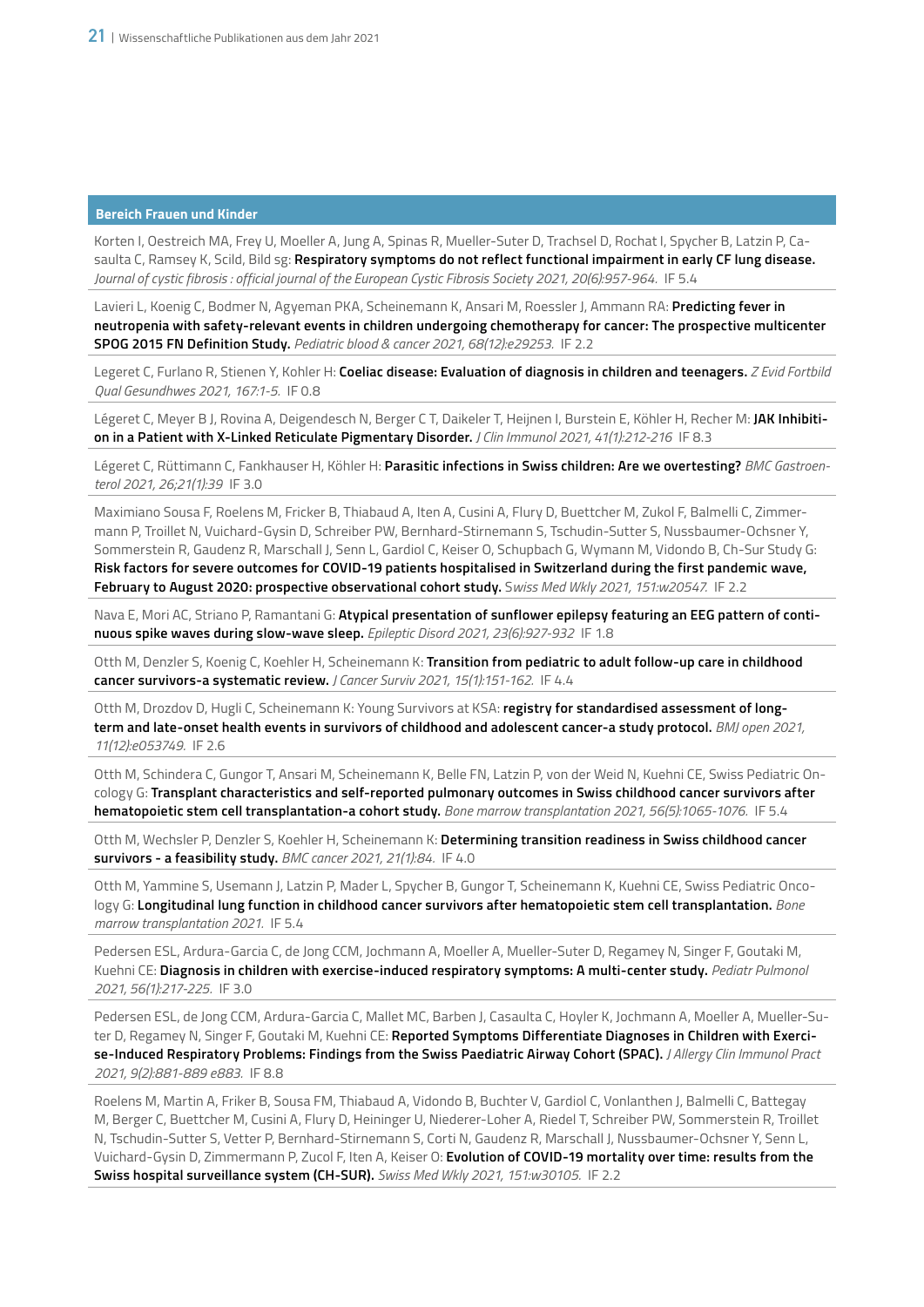# **Bereich Frauen und Kinder**

Korten I, Oestreich MA, Frey U, Moeller A, Jung A, Spinas R, Mueller-Suter D, Trachsel D, Rochat I, Spycher B, Latzin P, Casaulta C, Ramsey K, Scild, Bild sg: **Respiratory symptoms do not reflect functional impairment in early CF lung disease.**  *Journal of cystic fibrosis : official journal of the European Cystic Fibrosis Society 2021, 20(6):957-964.* IF 5.4

Lavieri L, Koenig C, Bodmer N, Agyeman PKA, Scheinemann K, Ansari M, Roessler J, Ammann RA: **Predicting fever in neutropenia with safety-relevant events in children undergoing chemotherapy for cancer: The prospective multicenter SPOG 2015 FN Definition Study.** *Pediatric blood & cancer 2021, 68(12):e29253.* IF 2.2

Legeret C, Furlano R, Stienen Y, Kohler H: **Coeliac disease: Evaluation of diagnosis in children and teenagers.** *Z Evid Fortbild Qual Gesundhwes 2021, 167:1-5.* IF 0.8

Légeret C, Meyer B J, Rovina A, Deigendesch N, Berger C T, Daikeler T, Heijnen I, Burstein E, Köhler H, Recher M: **JAK Inhibition in a Patient with X-Linked Reticulate Pigmentary Disorder.** *J Clin Immunol 2021, 41(1):212-216* IF 8.3

Légeret C, Rüttimann C, Fankhauser H, Köhler H: **Parasitic infections in Swiss children: Are we overtesting?** *BMC Gastroenterol 2021, 26;21(1):39* IF 3.0

Maximiano Sousa F, Roelens M, Fricker B, Thiabaud A, Iten A, Cusini A, Flury D, Buettcher M, Zukol F, Balmelli C, Zimmermann P, Troillet N, Vuichard-Gysin D, Schreiber PW, Bernhard-Stirnemann S, Tschudin-Sutter S, Nussbaumer-Ochsner Y, Sommerstein R, Gaudenz R, Marschall J, Senn L, Gardiol C, Keiser O, Schupbach G, Wymann M, Vidondo B, Ch-Sur Study G: **Risk factors for severe outcomes for COVID-19 patients hospitalised in Switzerland during the first pandemic wave, February to August 2020: prospective observational cohort study.** S*wiss Med Wkly 2021, 151:w20547.* IF 2.2

Nava E, Mori AC, Striano P, Ramantani G: **Atypical presentation of sunflower epilepsy featuring an EEG pattern of continuous spike waves during slow-wave sleep.** *Epileptic Disord 2021, 23(6):927-932* IF 1.8

Otth M, Denzler S, Koenig C, Koehler H, Scheinemann K: **Transition from pediatric to adult follow-up care in childhood cancer survivors-a systematic review.** *J Cancer Surviv 2021, 15(1):151-162.* IF 4.4

Otth M, Drozdov D, Hugli C, Scheinemann K: Young Survivors at KSA: **registry for standardised assessment of longterm and late-onset health events in survivors of childhood and adolescent cancer-a study protocol.** *BMJ open 2021, 11(12):e053749.* IF 2.6

Otth M, Schindera C, Gungor T, Ansari M, Scheinemann K, Belle FN, Latzin P, von der Weid N, Kuehni CE, Swiss Pediatric Oncology G: **Transplant characteristics and self-reported pulmonary outcomes in Swiss childhood cancer survivors after hematopoietic stem cell transplantation-a cohort study.** *Bone marrow transplantation 2021, 56(5):1065-1076.* IF 5.4

Otth M, Wechsler P, Denzler S, Koehler H, Scheinemann K: **Determining transition readiness in Swiss childhood cancer survivors - a feasibility study.** *BMC cancer 2021, 21(1):84.* IF 4.0

Otth M, Yammine S, Usemann J, Latzin P, Mader L, Spycher B, Gungor T, Scheinemann K, Kuehni CE, Swiss Pediatric Oncology G: **Longitudinal lung function in childhood cancer survivors after hematopoietic stem cell transplantation.** *Bone marrow transplantation 2021.* IF 5.4

Pedersen ESL, Ardura-Garcia C, de Jong CCM, Jochmann A, Moeller A, Mueller-Suter D, Regamey N, Singer F, Goutaki M, Kuehni CE: **Diagnosis in children with exercise-induced respiratory symptoms: A multi-center study.** *Pediatr Pulmonol 2021, 56(1):217-225.* IF 3.0

Pedersen ESL, de Jong CCM, Ardura-Garcia C, Mallet MC, Barben J, Casaulta C, Hoyler K, Jochmann A, Moeller A, Mueller-Suter D, Regamey N, Singer F, Goutaki M, Kuehni CE: **Reported Symptoms Differentiate Diagnoses in Children with Exercise-Induced Respiratory Problems: Findings from the Swiss Paediatric Airway Cohort (SPAC).** *J Allergy Clin Immunol Pract 2021, 9(2):881-889 e883.* IF 8.8

Roelens M, Martin A, Friker B, Sousa FM, Thiabaud A, Vidondo B, Buchter V, Gardiol C, Vonlanthen J, Balmelli C, Battegay M, Berger C, Buettcher M, Cusini A, Flury D, Heininger U, Niederer-Loher A, Riedel T, Schreiber PW, Sommerstein R, Troillet N, Tschudin-Sutter S, Vetter P, Bernhard-Stirnemann S, Corti N, Gaudenz R, Marschall J, Nussbaumer-Ochsner Y, Senn L, Vuichard-Gysin D, Zimmermann P, Zucol F, Iten A, Keiser O: **Evolution of COVID-19 mortality over time: results from the Swiss hospital surveillance system (CH-SUR).** *Swiss Med Wkly 2021, 151:w30105.* IF 2.2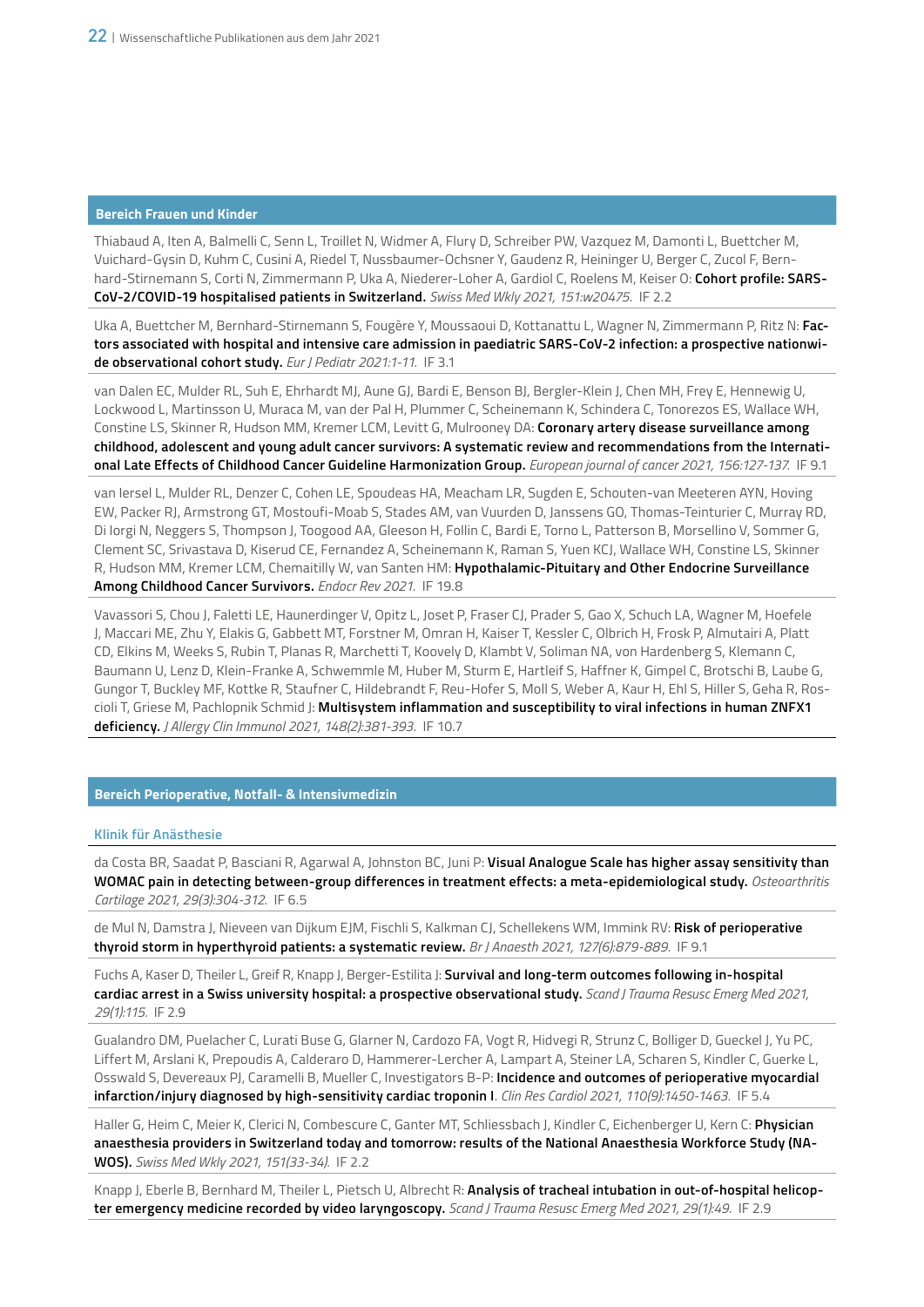# **Bereich Frauen und Kinder**

Thiabaud A, Iten A, Balmelli C, Senn L, Troillet N, Widmer A, Flury D, Schreiber PW, Vazquez M, Damonti L, Buettcher M, Vuichard-Gysin D, Kuhm C, Cusini A, Riedel T, Nussbaumer-Ochsner Y, Gaudenz R, Heininger U, Berger C, Zucol F, Bernhard-Stirnemann S, Corti N, Zimmermann P, Uka A, Niederer-Loher A, Gardiol C, Roelens M, Keiser O: **Cohort profile: SARS-CoV-2/COVID-19 hospitalised patients in Switzerland.** *Swiss Med Wkly 2021, 151:w20475.* IF 2.2

Uka A, Buettcher M, Bernhard-Stirnemann S, Fougère Y, Moussaoui D, Kottanattu L, Wagner N, Zimmermann P, Ritz N: **Factors associated with hospital and intensive care admission in paediatric SARS-CoV-2 infection: a prospective nationwide observational cohort study.** *Eur J Pediatr 2021:1-11.* IF 3.1

van Dalen EC, Mulder RL, Suh E, Ehrhardt MJ, Aune GJ, Bardi E, Benson BJ, Bergler-Klein J, Chen MH, Frey E, Hennewig U, Lockwood L, Martinsson U, Muraca M, van der Pal H, Plummer C, Scheinemann K, Schindera C, Tonorezos ES, Wallace WH, Constine LS, Skinner R, Hudson MM, Kremer LCM, Levitt G, Mulrooney DA: **Coronary artery disease surveillance among childhood, adolescent and young adult cancer survivors: A systematic review and recommendations from the International Late Effects of Childhood Cancer Guideline Harmonization Group.** *European journal of cancer 2021, 156:127-137.* IF 9.1

van Iersel L, Mulder RL, Denzer C, Cohen LE, Spoudeas HA, Meacham LR, Sugden E, Schouten-van Meeteren AYN, Hoving EW, Packer RJ, Armstrong GT, Mostoufi-Moab S, Stades AM, van Vuurden D, Janssens GO, Thomas-Teinturier C, Murray RD, Di Iorgi N, Neggers S, Thompson J, Toogood AA, Gleeson H, Follin C, Bardi E, Torno L, Patterson B, Morsellino V, Sommer G, Clement SC, Srivastava D, Kiserud CE, Fernandez A, Scheinemann K, Raman S, Yuen KCJ, Wallace WH, Constine LS, Skinner R, Hudson MM, Kremer LCM, Chemaitilly W, van Santen HM: **Hypothalamic-Pituitary and Other Endocrine Surveillance Among Childhood Cancer Survivors.** *Endocr Rev 2021.* IF 19.8

Vavassori S, Chou J, Faletti LE, Haunerdinger V, Opitz L, Joset P, Fraser CJ, Prader S, Gao X, Schuch LA, Wagner M, Hoefele J, Maccari ME, Zhu Y, Elakis G, Gabbett MT, Forstner M, Omran H, Kaiser T, Kessler C, Olbrich H, Frosk P, Almutairi A, Platt CD, Elkins M, Weeks S, Rubin T, Planas R, Marchetti T, Koovely D, Klambt V, Soliman NA, von Hardenberg S, Klemann C, Baumann U, Lenz D, Klein-Franke A, Schwemmle M, Huber M, Sturm E, Hartleif S, Haffner K, Gimpel C, Brotschi B, Laube G, Gungor T, Buckley MF, Kottke R, Staufner C, Hildebrandt F, Reu-Hofer S, Moll S, Weber A, Kaur H, Ehl S, Hiller S, Geha R, Roscioli T, Griese M, Pachlopnik Schmid J: **Multisystem inflammation and susceptibility to viral infections in human ZNFX1 deficiency.** *J Allergy Clin Immunol 2021, 148(2):381-393.* IF 10.7

# **Bereich Perioperative, Notfall- & Intensivmedizin**

#### **Klinik für Anästhesie**

da Costa BR, Saadat P, Basciani R, Agarwal A, Johnston BC, Juni P: **Visual Analogue Scale has higher assay sensitivity than WOMAC pain in detecting between-group differences in treatment effects: a meta-epidemiological study.** *Osteoarthritis Cartilage 2021, 29(3):304-312.* IF 6.5

de Mul N, Damstra J, Nieveen van Dijkum EJM, Fischli S, Kalkman CJ, Schellekens WM, Immink RV: **Risk of perioperative thyroid storm in hyperthyroid patients: a systematic review.** *Br J Anaesth 2021, 127(6):879-889.* IF 9.1

Fuchs A, Kaser D, Theiler L, Greif R, Knapp J, Berger-Estilita J: **Survival and long-term outcomes following in-hospital cardiac arrest in a Swiss university hospital: a prospective observational study.** *Scand J Trauma Resusc Emerg Med 2021, 29(1):115.* IF 2.9

Gualandro DM, Puelacher C, Lurati Buse G, Glarner N, Cardozo FA, Vogt R, Hidvegi R, Strunz C, Bolliger D, Gueckel J, Yu PC, Liffert M, Arslani K, Prepoudis A, Calderaro D, Hammerer-Lercher A, Lampart A, Steiner LA, Scharen S, Kindler C, Guerke L, Osswald S, Devereaux PJ, Caramelli B, Mueller C, Investigators B-P: **Incidence and outcomes of perioperative myocardial infarction/injury diagnosed by high-sensitivity cardiac troponin I**. *Clin Res Cardiol 2021, 110(9):1450-1463.* IF 5.4

Haller G, Heim C, Meier K, Clerici N, Combescure C, Ganter MT, Schliessbach J, Kindler C, Eichenberger U, Kern C: **Physician anaesthesia providers in Switzerland today and tomorrow: results of the National Anaesthesia Workforce Study (NA-WOS).** *Swiss Med Wkly 2021, 151(33-34).* IF 2.2

Knapp J, Eberle B, Bernhard M, Theiler L, Pietsch U, Albrecht R: **Analysis of tracheal intubation in out-of-hospital helicopter emergency medicine recorded by video laryngoscopy.** *Scand J Trauma Resusc Emerg Med 2021, 29(1):49.* IF 2.9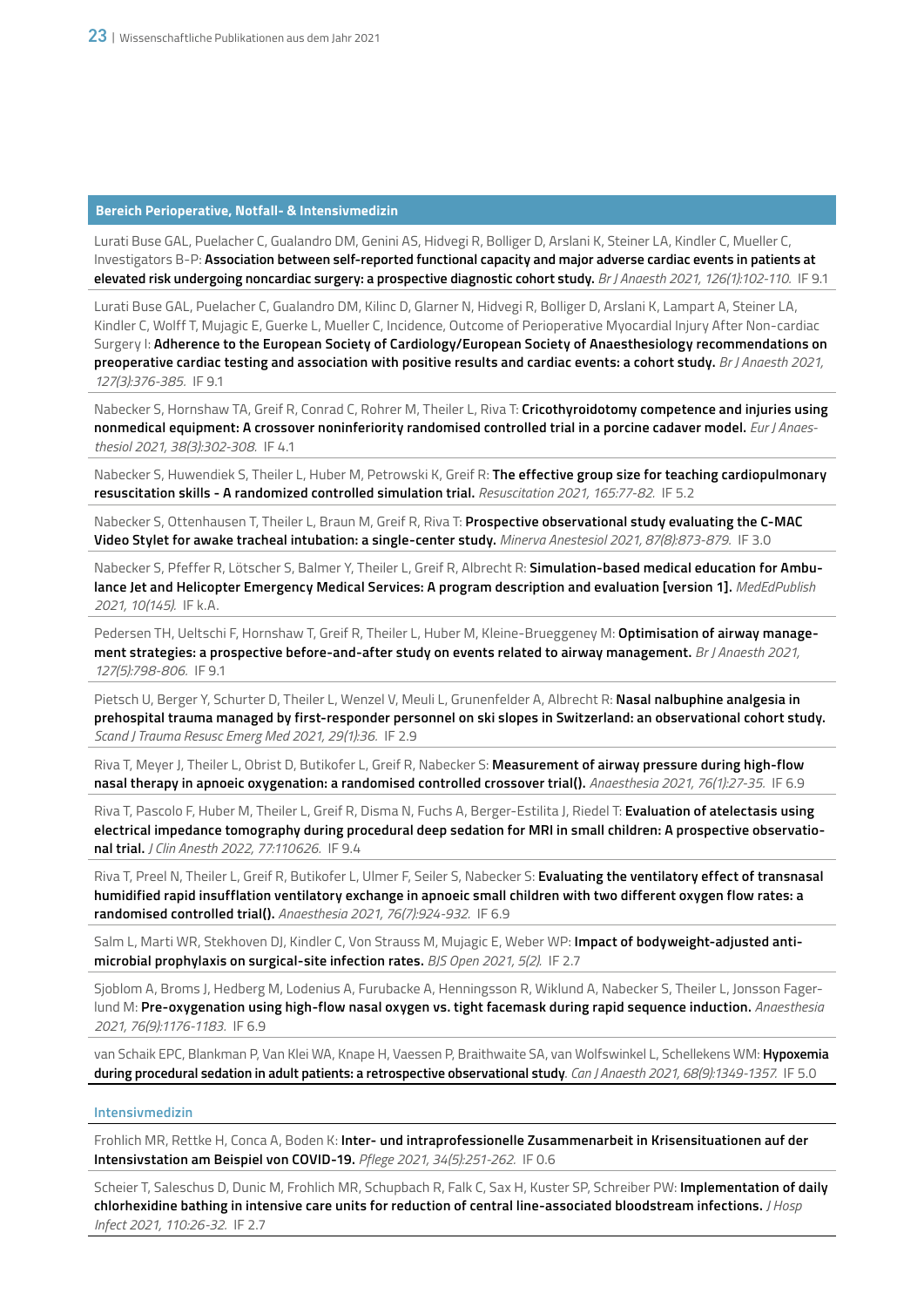# **Bereich Perioperative, Notfall- & Intensivmedizin**

Lurati Buse GAL, Puelacher C, Gualandro DM, Genini AS, Hidvegi R, Bolliger D, Arslani K, Steiner LA, Kindler C, Mueller C, Investigators B-P: **Association between self-reported functional capacity and major adverse cardiac events in patients at elevated risk undergoing noncardiac surgery: a prospective diagnostic cohort study.** *Br J Anaesth 2021, 126(1):102-110.* IF 9.1

Lurati Buse GAL, Puelacher C, Gualandro DM, Kilinc D, Glarner N, Hidvegi R, Bolliger D, Arslani K, Lampart A, Steiner LA, Kindler C, Wolff T, Mujagic E, Guerke L, Mueller C, Incidence, Outcome of Perioperative Myocardial Injury After Non-cardiac Surgery I: **Adherence to the European Society of Cardiology/European Society of Anaesthesiology recommendations on preoperative cardiac testing and association with positive results and cardiac events: a cohort study.** *Br J Anaesth 2021, 127(3):376-385.* IF 9.1

Nabecker S, Hornshaw TA, Greif R, Conrad C, Rohrer M, Theiler L, Riva T: **Cricothyroidotomy competence and injuries using nonmedical equipment: A crossover noninferiority randomised controlled trial in a porcine cadaver model.** *Eur J Anaesthesiol 2021, 38(3):302-308.* IF 4.1

Nabecker S, Huwendiek S, Theiler L, Huber M, Petrowski K, Greif R: **The effective group size for teaching cardiopulmonary resuscitation skills - A randomized controlled simulation trial.** *Resuscitation 2021, 165:77-82.* IF 5.2

Nabecker S, Ottenhausen T, Theiler L, Braun M, Greif R, Riva T: **Prospective observational study evaluating the C-MAC Video Stylet for awake tracheal intubation: a single-center study.** *Minerva Anestesiol 2021, 87(8):873-879.* IF 3.0

Nabecker S, Pfeffer R, Lötscher S, Balmer Y, Theiler L, Greif R, Albrecht R: **Simulation-based medical education for Ambulance Jet and Helicopter Emergency Medical Services: A program description and evaluation [version 1].** *MedEdPublish 2021, 10(145).* IF k.A.

Pedersen TH, Ueltschi F, Hornshaw T, Greif R, Theiler L, Huber M, Kleine-Brueggeney M: **Optimisation of airway management strategies: a prospective before-and-after study on events related to airway management.** *Br J Anaesth 2021, 127(5):798-806.* IF 9.1

Pietsch U, Berger Y, Schurter D, Theiler L, Wenzel V, Meuli L, Grunenfelder A, Albrecht R: **Nasal nalbuphine analgesia in prehospital trauma managed by first-responder personnel on ski slopes in Switzerland: an observational cohort study.** *Scand J Trauma Resusc Emerg Med 2021, 29(1):36.* IF 2.9

Riva T, Meyer J, Theiler L, Obrist D, Butikofer L, Greif R, Nabecker S: **Measurement of airway pressure during high-flow nasal therapy in apnoeic oxygenation: a randomised controlled crossover trial().** *Anaesthesia 2021, 76(1):27-35.* IF 6.9

Riva T, Pascolo F, Huber M, Theiler L, Greif R, Disma N, Fuchs A, Berger-Estilita J, Riedel T: **Evaluation of atelectasis using electrical impedance tomography during procedural deep sedation for MRI in small children: A prospective observational trial.** *J Clin Anesth 2022, 77:110626.* IF 9.4

Riva T, Preel N, Theiler L, Greif R, Butikofer L, Ulmer F, Seiler S, Nabecker S: **Evaluating the ventilatory effect of transnasal humidified rapid insufflation ventilatory exchange in apnoeic small children with two different oxygen flow rates: a randomised controlled trial().** *Anaesthesia 2021, 76(7):924-932.* IF 6.9

Salm L, Marti WR, Stekhoven DJ, Kindler C, Von Strauss M, Mujagic E, Weber WP: **Impact of bodyweight-adjusted antimicrobial prophylaxis on surgical-site infection rates.** *BJS Open 2021, 5(2).* IF 2.7

Sjoblom A, Broms J, Hedberg M, Lodenius A, Furubacke A, Henningsson R, Wiklund A, Nabecker S, Theiler L, Jonsson Fagerlund M: **Pre-oxygenation using high-flow nasal oxygen vs. tight facemask during rapid sequence induction.** *Anaesthesia 2021, 76(9):1176-1183.* IF 6.9

van Schaik EPC, Blankman P, Van Klei WA, Knape H, Vaessen P, Braithwaite SA, van Wolfswinkel L, Schellekens WM: **Hypoxemia during procedural sedation in adult patients: a retrospective observational study**. *Can J Anaesth 2021, 68(9):1349-1357.* IF 5.0

# **Intensivmedizin**

Frohlich MR, Rettke H, Conca A, Boden K: **Inter- und intraprofessionelle Zusammenarbeit in Krisensituationen auf der Intensivstation am Beispiel von COVID-19.** *Pflege 2021, 34(5):251-262.* IF 0.6

Scheier T, Saleschus D, Dunic M, Frohlich MR, Schupbach R, Falk C, Sax H, Kuster SP, Schreiber PW: **Implementation of daily chlorhexidine bathing in intensive care units for reduction of central line-associated bloodstream infections.** *J Hosp Infect 2021, 110:26-32.* IF 2.7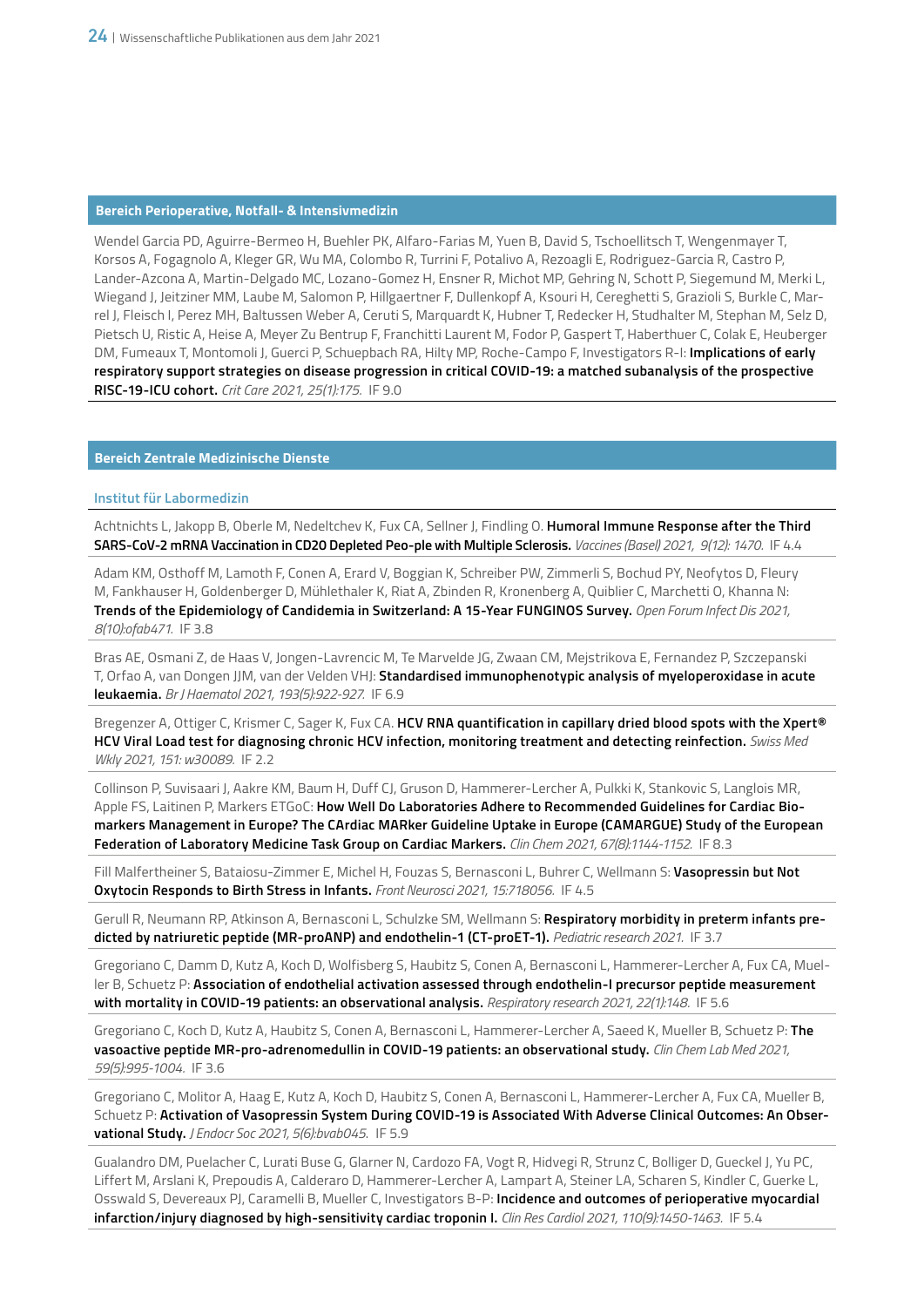### **Bereich Perioperative, Notfall- & Intensivmedizin**

Wendel Garcia PD, Aguirre-Bermeo H, Buehler PK, Alfaro-Farias M, Yuen B, David S, Tschoellitsch T, Wengenmayer T, Korsos A, Fogagnolo A, Kleger GR, Wu MA, Colombo R, Turrini F, Potalivo A, Rezoagli E, Rodriguez-Garcia R, Castro P, Lander-Azcona A, Martin-Delgado MC, Lozano-Gomez H, Ensner R, Michot MP, Gehring N, Schott P, Siegemund M, Merki L, Wiegand J, Jeitziner MM, Laube M, Salomon P, Hillgaertner F, Dullenkopf A, Ksouri H, Cereghetti S, Grazioli S, Burkle C, Marrel J, Fleisch I, Perez MH, Baltussen Weber A, Ceruti S, Marquardt K, Hubner T, Redecker H, Studhalter M, Stephan M, Selz D, Pietsch U, Ristic A, Heise A, Meyer Zu Bentrup F, Franchitti Laurent M, Fodor P, Gaspert T, Haberthuer C, Colak E, Heuberger DM, Fumeaux T, Montomoli J, Guerci P, Schuepbach RA, Hilty MP, Roche-Campo F, Investigators R-I: **Implications of early respiratory support strategies on disease progression in critical COVID-19: a matched subanalysis of the prospective RISC-19-ICU cohort.** *Crit Care 2021, 25(1):175.* IF 9.0

# **Bereich Zentrale Medizinische Dienste**

# **Institut für Labormedizin**

Achtnichts L, Jakopp B, Oberle M, Nedeltchev K, Fux CA, Sellner J, Findling O. **Humoral Immune Response after the Third SARS-CoV-2 mRNA Vaccination in CD20 Depleted Peo-ple with Multiple Sclerosis.** *Vaccines (Basel) 2021, 9(12): 1470.* IF 4.4

Adam KM, Osthoff M, Lamoth F, Conen A, Erard V, Boggian K, Schreiber PW, Zimmerli S, Bochud PY, Neofytos D, Fleury M, Fankhauser H, Goldenberger D, Mühlethaler K, Riat A, Zbinden R, Kronenberg A, Quiblier C, Marchetti O, Khanna N: **Trends of the Epidemiology of Candidemia in Switzerland: A 15-Year FUNGINOS Survey.** *Open Forum Infect Dis 2021, 8(10):ofab471.* IF 3.8

Bras AE, Osmani Z, de Haas V, Jongen-Lavrencic M, Te Marvelde JG, Zwaan CM, Mejstrikova E, Fernandez P, Szczepanski T, Orfao A, van Dongen JJM, van der Velden VHJ: **Standardised immunophenotypic analysis of myeloperoxidase in acute leukaemia.** *Br J Haematol 2021, 193(5):922-927.* IF 6.9

Bregenzer A, Ottiger C, Krismer C, Sager K, Fux CA. **HCV RNA quantification in capillary dried blood spots with the Xpert® HCV Viral Load test for diagnosing chronic HCV infection, monitoring treatment and detecting reinfection.** *Swiss Med Wkly 2021, 151: w30089.* IF 2.2

Collinson P, Suvisaari J, Aakre KM, Baum H, Duff CJ, Gruson D, Hammerer-Lercher A, Pulkki K, Stankovic S, Langlois MR, Apple FS, Laitinen P, Markers ETGoC: **How Well Do Laboratories Adhere to Recommended Guidelines for Cardiac Biomarkers Management in Europe? The CArdiac MARker Guideline Uptake in Europe (CAMARGUE) Study of the European Federation of Laboratory Medicine Task Group on Cardiac Markers.** *Clin Chem 2021, 67(8):1144-1152.* IF 8.3

Fill Malfertheiner S, Bataiosu-Zimmer E, Michel H, Fouzas S, Bernasconi L, Buhrer C, Wellmann S: **Vasopressin but Not Oxytocin Responds to Birth Stress in Infants.** *Front Neurosci 2021, 15:718056.* IF 4.5

Gerull R, Neumann RP, Atkinson A, Bernasconi L, Schulzke SM, Wellmann S: **Respiratory morbidity in preterm infants predicted by natriuretic peptide (MR-proANP) and endothelin-1 (CT-proET-1).** *Pediatric research 2021.* IF 3.7

Gregoriano C, Damm D, Kutz A, Koch D, Wolfisberg S, Haubitz S, Conen A, Bernasconi L, Hammerer-Lercher A, Fux CA, Mueller B, Schuetz P: **Association of endothelial activation assessed through endothelin-I precursor peptide measurement with mortality in COVID-19 patients: an observational analysis.** *Respiratory research 2021, 22(1):148.* IF 5.6

Gregoriano C, Koch D, Kutz A, Haubitz S, Conen A, Bernasconi L, Hammerer-Lercher A, Saeed K, Mueller B, Schuetz P: **The vasoactive peptide MR-pro-adrenomedullin in COVID-19 patients: an observational study.** *Clin Chem Lab Med 2021, 59(5):995-1004.* IF 3.6

Gregoriano C, Molitor A, Haag E, Kutz A, Koch D, Haubitz S, Conen A, Bernasconi L, Hammerer-Lercher A, Fux CA, Mueller B, Schuetz P: **Activation of Vasopressin System During COVID-19 is Associated With Adverse Clinical Outcomes: An Observational Study.** *J Endocr Soc 2021, 5(6):bvab045*. IF 5.9

Gualandro DM, Puelacher C, Lurati Buse G, Glarner N, Cardozo FA, Vogt R, Hidvegi R, Strunz C, Bolliger D, Gueckel J, Yu PC, Liffert M, Arslani K, Prepoudis A, Calderaro D, Hammerer-Lercher A, Lampart A, Steiner LA, Scharen S, Kindler C, Guerke L, Osswald S, Devereaux PJ, Caramelli B, Mueller C, Investigators B-P: **Incidence and outcomes of perioperative myocardial infarction/injury diagnosed by high-sensitivity cardiac troponin I.** *Clin Res Cardiol 2021, 110(9):1450-1463.* IF 5.4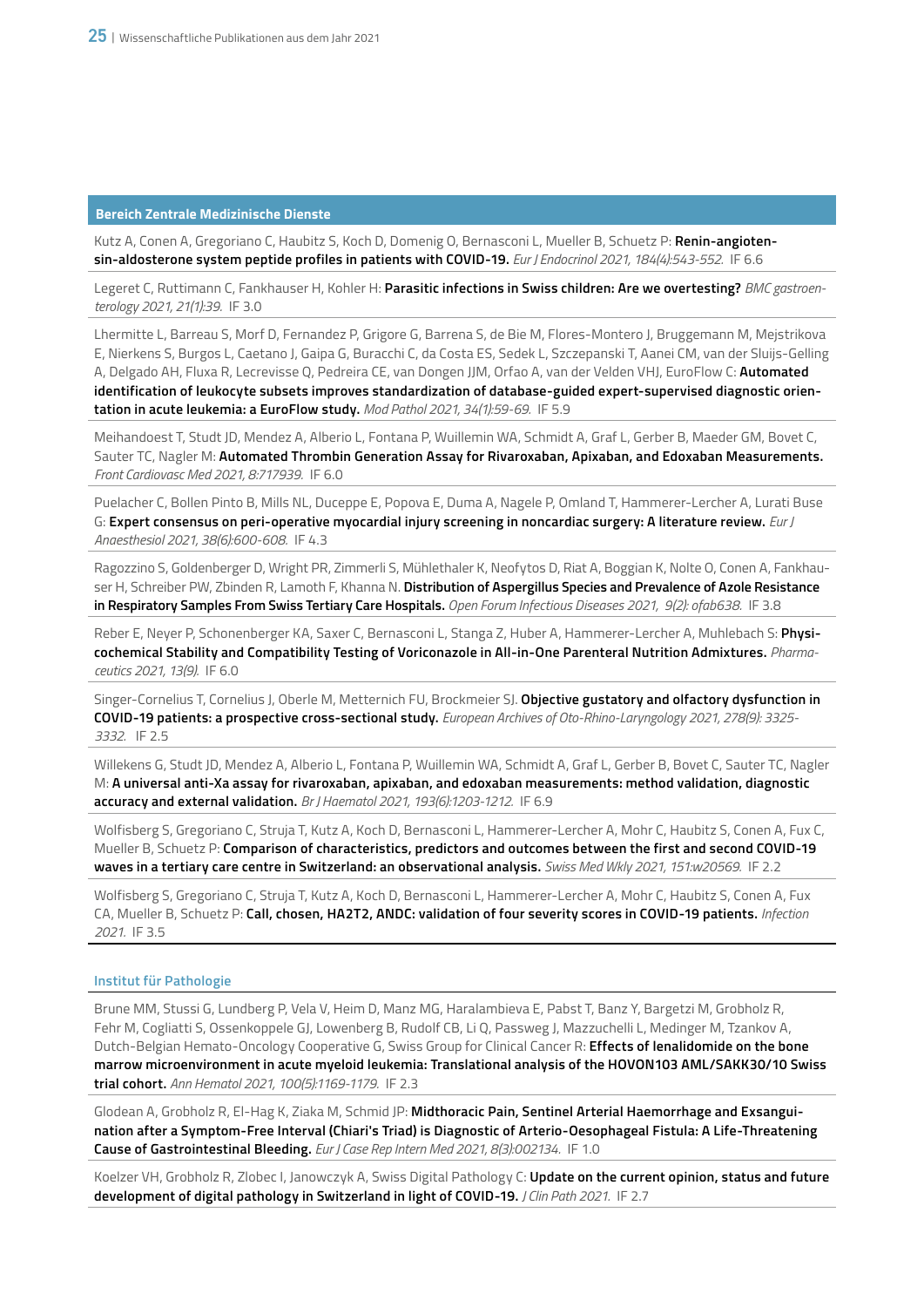Kutz A, Conen A, Gregoriano C, Haubitz S, Koch D, Domenig O, Bernasconi L, Mueller B, Schuetz P: **Renin-angiotensin-aldosterone system peptide profiles in patients with COVID-19.** *Eur J Endocrinol 2021, 184(4):543-552.* IF 6.6

Legeret C, Ruttimann C, Fankhauser H, Kohler H: **Parasitic infections in Swiss children: Are we overtesting?** *BMC gastroenterology 2021, 21(1):39.* IF 3.0

Lhermitte L, Barreau S, Morf D, Fernandez P, Grigore G, Barrena S, de Bie M, Flores-Montero J, Bruggemann M, Mejstrikova E, Nierkens S, Burgos L, Caetano J, Gaipa G, Buracchi C, da Costa ES, Sedek L, Szczepanski T, Aanei CM, van der Sluijs-Gelling A, Delgado AH, Fluxa R, Lecrevisse Q, Pedreira CE, van Dongen JJM, Orfao A, van der Velden VHJ, EuroFlow C: **Automated identification of leukocyte subsets improves standardization of database-guided expert-supervised diagnostic orientation in acute leukemia: a EuroFlow study.** *Mod Pathol 2021, 34(1):59-69.* IF 5.9

Meihandoest T, Studt JD, Mendez A, Alberio L, Fontana P, Wuillemin WA, Schmidt A, Graf L, Gerber B, Maeder GM, Bovet C, Sauter TC, Nagler M: **Automated Thrombin Generation Assay for Rivaroxaban, Apixaban, and Edoxaban Measurements.** *Front Cardiovasc Med 2021, 8:717939.* IF 6.0

Puelacher C, Bollen Pinto B, Mills NL, Duceppe E, Popova E, Duma A, Nagele P, Omland T, Hammerer-Lercher A, Lurati Buse G: **Expert consensus on peri-operative myocardial injury screening in noncardiac surgery: A literature review.** *Eur J Anaesthesiol 2021, 38(6):600-608.* IF 4.3

Ragozzino S, Goldenberger D, Wright PR, Zimmerli S, Mühlethaler K, Neofytos D, Riat A, Boggian K, Nolte O, Conen A, Fankhauser H, Schreiber PW, Zbinden R, Lamoth F, Khanna N. **Distribution of Aspergillus Species and Prevalence of Azole Resistance in Respiratory Samples From Swiss Tertiary Care Hospitals.** *Open Forum Infectious Diseases 2021, 9(2): ofab638.* IF 3.8

Reber E, Neyer P, Schonenberger KA, Saxer C, Bernasconi L, Stanga Z, Huber A, Hammerer-Lercher A, Muhlebach S: **Physicochemical Stability and Compatibility Testing of Voriconazole in All-in-One Parenteral Nutrition Admixtures.** *Pharmaceutics 2021, 13(9).* IF 6.0

Singer-Cornelius T, Cornelius J, Oberle M, Metternich FU, Brockmeier SJ. **Objective gustatory and olfactory dysfunction in COVID-19 patients: a prospective cross-sectional study.** *European Archives of Oto-Rhino-Laryngology 2021, 278(9): 3325- 3332.* IF 2.5

Willekens G, Studt JD, Mendez A, Alberio L, Fontana P, Wuillemin WA, Schmidt A, Graf L, Gerber B, Bovet C, Sauter TC, Nagler M: **A universal anti-Xa assay for rivaroxaban, apixaban, and edoxaban measurements: method validation, diagnostic accuracy and external validation.** *Br J Haematol 2021, 193(6):1203-1212.* IF 6.9

Wolfisberg S, Gregoriano C, Struja T, Kutz A, Koch D, Bernasconi L, Hammerer-Lercher A, Mohr C, Haubitz S, Conen A, Fux C, Mueller B, Schuetz P: **Comparison of characteristics, predictors and outcomes between the first and second COVID-19 waves in a tertiary care centre in Switzerland: an observational analysis.** *Swiss Med Wkly 2021, 151:w20569.* IF 2.2

Wolfisberg S, Gregoriano C, Struja T, Kutz A, Koch D, Bernasconi L, Hammerer-Lercher A, Mohr C, Haubitz S, Conen A, Fux CA, Mueller B, Schuetz P: **Call, chosen, HA2T2, ANDC: validation of four severity scores in COVID-19 patients.** *Infection 2021.* IF 3.5

# **Institut für Pathologie**

Brune MM, Stussi G, Lundberg P, Vela V, Heim D, Manz MG, Haralambieva E, Pabst T, Banz Y, Bargetzi M, Grobholz R, Fehr M, Cogliatti S, Ossenkoppele GJ, Lowenberg B, Rudolf CB, Li Q, Passweg J, Mazzuchelli L, Medinger M, Tzankov A, Dutch-Belgian Hemato-Oncology Cooperative G, Swiss Group for Clinical Cancer R: **Effects of lenalidomide on the bone marrow microenvironment in acute myeloid leukemia: Translational analysis of the HOVON103 AML/SAKK30/10 Swiss trial cohort.** *Ann Hematol 2021, 100(5):1169-1179.* IF 2.3

Glodean A, Grobholz R, El-Hag K, Ziaka M, Schmid JP: **Midthoracic Pain, Sentinel Arterial Haemorrhage and Exsanguination after a Symptom-Free Interval (Chiari's Triad) is Diagnostic of Arterio-Oesophageal Fistula: A Life-Threatening Cause of Gastrointestinal Bleeding.** *Eur J Case Rep Intern Med 2021, 8(3):002134.* IF 1.0

Koelzer VH, Grobholz R, Zlobec I, Janowczyk A, Swiss Digital Pathology C: **Update on the current opinion, status and future development of digital pathology in Switzerland in light of COVID-19.** *J Clin Path 2021.* IF 2.7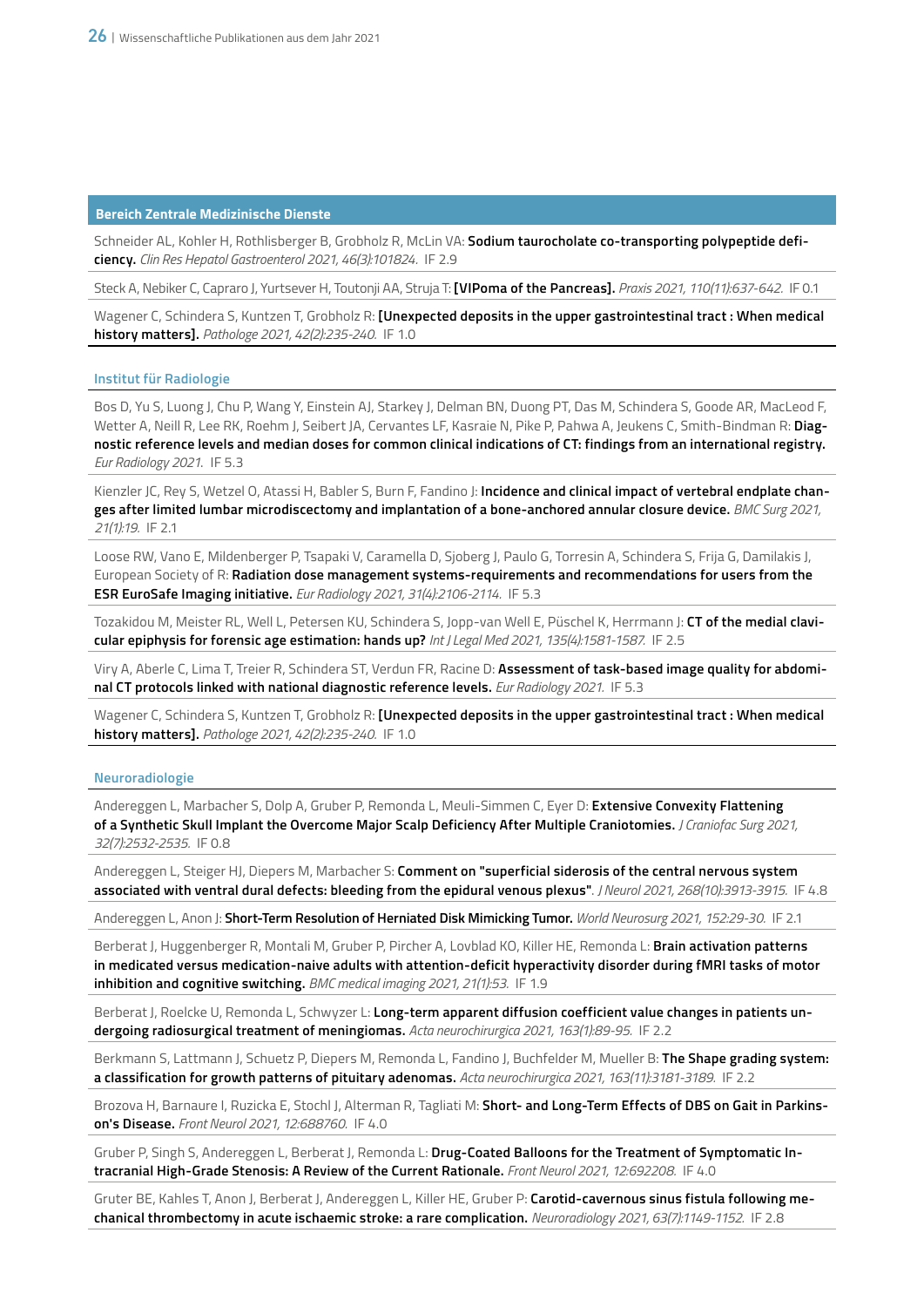Schneider AL, Kohler H, Rothlisberger B, Grobholz R, McLin VA: **Sodium taurocholate co-transporting polypeptide deficiency.** *Clin Res Hepatol Gastroenterol 2021, 46(3):101824.* IF 2.9

Steck A, Nebiker C, Capraro J, Yurtsever H, Toutonji AA, Struja T: **[VIPoma of the Pancreas].** *Praxis 2021, 110(11):637-642.* IF 0.1

Wagener C, Schindera S, Kuntzen T, Grobholz R: **[Unexpected deposits in the upper gastrointestinal tract : When medical history matters].** *Pathologe 2021, 42(2):235-240.* IF 1.0

#### **Institut für Radiologie**

Bos D, Yu S, Luong J, Chu P, Wang Y, Einstein AJ, Starkey J, Delman BN, Duong PT, Das M, Schindera S, Goode AR, MacLeod F, Wetter A, Neill R, Lee RK, Roehm J, Seibert JA, Cervantes LF, Kasraie N, Pike P, Pahwa A, Jeukens C, Smith-Bindman R: **Diagnostic reference levels and median doses for common clinical indications of CT: findings from an international registry.** *Eur Radiology 2021*. IF 5.3

Kienzler JC, Rey S, Wetzel O, Atassi H, Babler S, Burn F, Fandino J: **Incidence and clinical impact of vertebral endplate changes after limited lumbar microdiscectomy and implantation of a bone-anchored annular closure device.** *BMC Surg 2021, 21(1):19.* IF 2.1

Loose RW, Vano E, Mildenberger P, Tsapaki V, Caramella D, Sjoberg J, Paulo G, Torresin A, Schindera S, Frija G, Damilakis J, European Society of R: **Radiation dose management systems-requirements and recommendations for users from the ESR EuroSafe Imaging initiative.** *Eur Radiology 2021, 31(4):2106-2114.* IF 5.3

Tozakidou M, Meister RL, Well L, Petersen KU, Schindera S, Jopp-van Well E, Püschel K, Herrmann J: **CT of the medial clavicular epiphysis for forensic age estimation: hands up?** *Int J Legal Med 2021, 135(4):1581-1587.* IF 2.5

Viry A, Aberle C, Lima T, Treier R, Schindera ST, Verdun FR, Racine D: **Assessment of task-based image quality for abdominal CT protocols linked with national diagnostic reference levels.** *Eur Radiology 2021.* IF 5.3

Wagener C, Schindera S, Kuntzen T, Grobholz R: **[Unexpected deposits in the upper gastrointestinal tract : When medical history matters].** *Pathologe 2021, 42(2):235-240.* IF 1.0

#### **Neuroradiologie**

Andereggen L, Marbacher S, Dolp A, Gruber P, Remonda L, Meuli-Simmen C, Eyer D: **Extensive Convexity Flattening of a Synthetic Skull Implant the Overcome Major Scalp Deficiency After Multiple Craniotomies.** *J Craniofac Surg 2021, 32(7):2532-2535.* IF 0.8

Andereggen L, Steiger HJ, Diepers M, Marbacher S: **Comment on "superficial siderosis of the central nervous system associated with ventral dural defects: bleeding from the epidural venous plexus"**. *J Neurol 2021, 268(10):3913-3915.* IF 4.8

Andereggen L, Anon J: **Short-Term Resolution of Herniated Disk Mimicking Tumor.** *World Neurosurg 2021, 152:29-30.* IF 2.1

Berberat J, Huggenberger R, Montali M, Gruber P, Pircher A, Lovblad KO, Killer HE, Remonda L: **Brain activation patterns in medicated versus medication-naive adults with attention-deficit hyperactivity disorder during fMRI tasks of motor inhibition and cognitive switching.** *BMC medical imaging 2021, 21(1):53.* IF 1.9

Berberat J, Roelcke U, Remonda L, Schwyzer L: **Long-term apparent diffusion coefficient value changes in patients undergoing radiosurgical treatment of meningiomas.** *Acta neurochirurgica 2021, 163(1):89-95.* IF 2.2

Berkmann S, Lattmann J, Schuetz P, Diepers M, Remonda L, Fandino J, Buchfelder M, Mueller B: **The Shape grading system: a classification for growth patterns of pituitary adenomas.** *Acta neurochirurgica 2021, 163(11):3181-3189.* IF 2.2

Brozova H, Barnaure I, Ruzicka E, Stochl J, Alterman R, Tagliati M: **Short- and Long-Term Effects of DBS on Gait in Parkinson's Disease.** *Front Neurol 2021, 12:688760.* IF 4.0

Gruber P, Singh S, Andereggen L, Berberat J, Remonda L: **Drug-Coated Balloons for the Treatment of Symptomatic Intracranial High-Grade Stenosis: A Review of the Current Rationale.** *Front Neurol 2021, 12:692208.* IF 4.0

Gruter BE, Kahles T, Anon J, Berberat J, Andereggen L, Killer HE, Gruber P: **Carotid-cavernous sinus fistula following mechanical thrombectomy in acute ischaemic stroke: a rare complication.** *Neuroradiology 2021, 63(7):1149-1152.* IF 2.8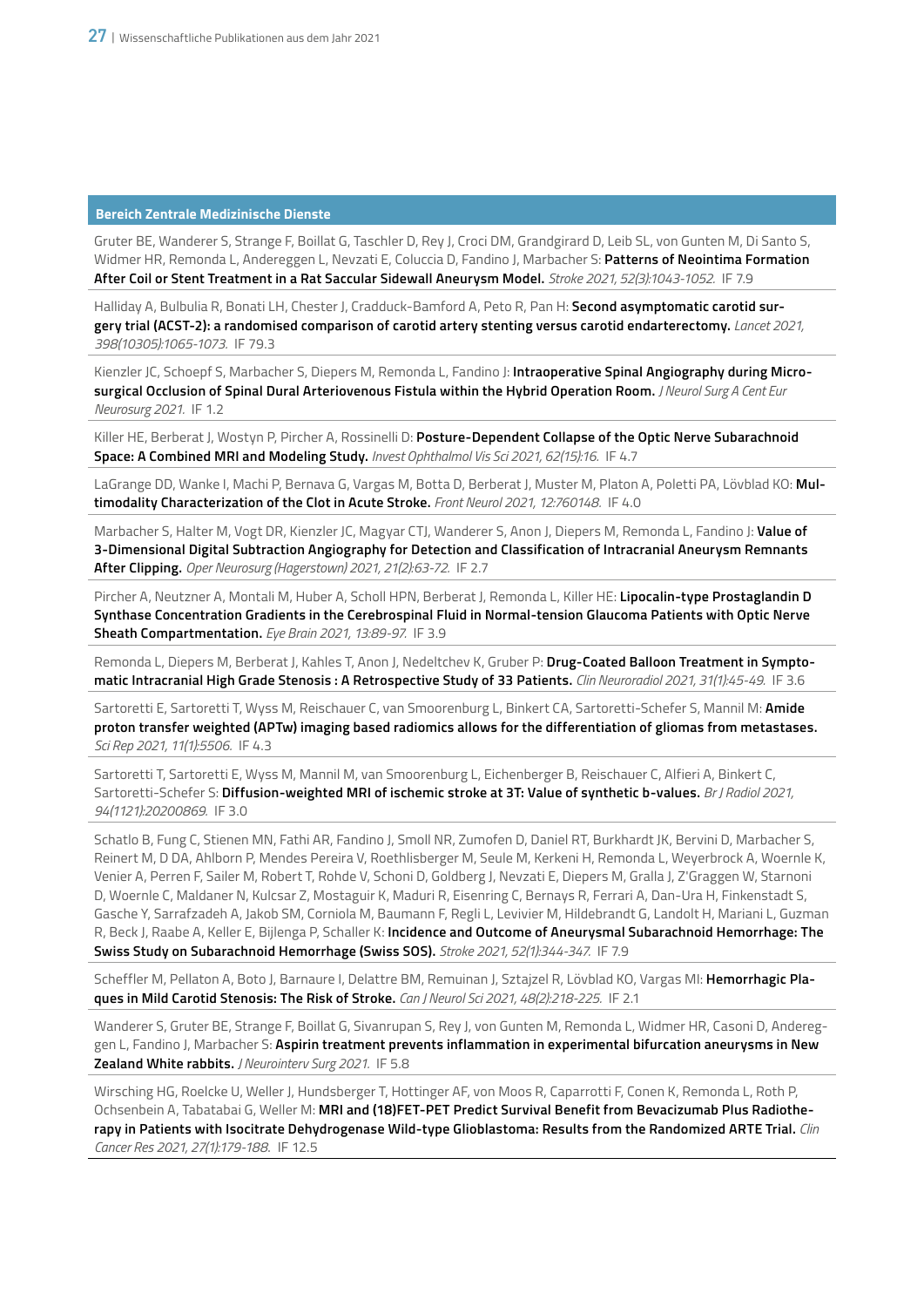Gruter BE, Wanderer S, Strange F, Boillat G, Taschler D, Rey J, Croci DM, Grandgirard D, Leib SL, von Gunten M, Di Santo S, Widmer HR, Remonda L, Andereggen L, Nevzati E, Coluccia D, Fandino J, Marbacher S: **Patterns of Neointima Formation After Coil or Stent Treatment in a Rat Saccular Sidewall Aneurysm Model.** *Stroke 2021, 52(3):1043-1052.* IF 7.9

Halliday A, Bulbulia R, Bonati LH, Chester J, Cradduck-Bamford A, Peto R, Pan H: **Second asymptomatic carotid surgery trial (ACST-2): a randomised comparison of carotid artery stenting versus carotid endarterectomy.** *Lancet 2021, 398(10305):1065-1073.* IF 79.3

Kienzler JC, Schoepf S, Marbacher S, Diepers M, Remonda L, Fandino J: **Intraoperative Spinal Angiography during Microsurgical Occlusion of Spinal Dural Arteriovenous Fistula within the Hybrid Operation Room.** *J Neurol Surg A Cent Eur Neurosurg 2021.* IF 1.2

Killer HE, Berberat J, Wostyn P, Pircher A, Rossinelli D: **Posture-Dependent Collapse of the Optic Nerve Subarachnoid Space: A Combined MRI and Modeling Study.** *Invest Ophthalmol Vis Sci 2021, 62(15):16.* IF 4.7

LaGrange DD, Wanke I, Machi P, Bernava G, Vargas M, Botta D, Berberat J, Muster M, Platon A, Poletti PA, Lövblad KO: **Multimodality Characterization of the Clot in Acute Stroke.** *Front Neurol 2021, 12:760148.* IF 4.0

Marbacher S, Halter M, Vogt DR, Kienzler JC, Magyar CTJ, Wanderer S, Anon J, Diepers M, Remonda L, Fandino J: **Value of 3-Dimensional Digital Subtraction Angiography for Detection and Classification of Intracranial Aneurysm Remnants After Clipping.** *Oper Neurosurg (Hagerstown) 2021, 21(2):63-72.* IF 2.7

Pircher A, Neutzner A, Montali M, Huber A, Scholl HPN, Berberat J, Remonda L, Killer HE: **Lipocalin-type Prostaglandin D Synthase Concentration Gradients in the Cerebrospinal Fluid in Normal-tension Glaucoma Patients with Optic Nerve Sheath Compartmentation.** *Eye Brain 2021, 13:89-97.* IF 3.9

Remonda L, Diepers M, Berberat J, Kahles T, Anon J, Nedeltchev K, Gruber P: **Drug-Coated Balloon Treatment in Symptomatic Intracranial High Grade Stenosis : A Retrospective Study of 33 Patients.** *Clin Neuroradiol 2021, 31(1):45-49.* IF 3.6

Sartoretti E, Sartoretti T, Wyss M, Reischauer C, van Smoorenburg L, Binkert CA, Sartoretti-Schefer S, Mannil M: **Amide proton transfer weighted (APTw) imaging based radiomics allows for the differentiation of gliomas from metastases.** *Sci Rep 2021, 11(1):5506.* IF 4.3

Sartoretti T, Sartoretti E, Wyss M, Mannil M, van Smoorenburg L, Eichenberger B, Reischauer C, Alfieri A, Binkert C, Sartoretti-Schefer S: **Diffusion-weighted MRI of ischemic stroke at 3T: Value of synthetic b-values.** *Br J Radiol 2021, 94(1121):20200869.* IF 3.0

Schatlo B, Fung C, Stienen MN, Fathi AR, Fandino J, Smoll NR, Zumofen D, Daniel RT, Burkhardt JK, Bervini D, Marbacher S, Reinert M, D DA, Ahlborn P, Mendes Pereira V, Roethlisberger M, Seule M, Kerkeni H, Remonda L, Weyerbrock A, Woernle K, Venier A, Perren F, Sailer M, Robert T, Rohde V, Schoni D, Goldberg J, Nevzati E, Diepers M, Gralla J, Z'Graggen W, Starnoni D, Woernle C, Maldaner N, Kulcsar Z, Mostaguir K, Maduri R, Eisenring C, Bernays R, Ferrari A, Dan-Ura H, Finkenstadt S, Gasche Y, Sarrafzadeh A, Jakob SM, Corniola M, Baumann F, Regli L, Levivier M, Hildebrandt G, Landolt H, Mariani L, Guzman R, Beck J, Raabe A, Keller E, Bijlenga P, Schaller K: **Incidence and Outcome of Aneurysmal Subarachnoid Hemorrhage: The Swiss Study on Subarachnoid Hemorrhage (Swiss SOS).** *Stroke 2021, 52(1):344-347.* IF 7.9

Scheffler M, Pellaton A, Boto J, Barnaure I, Delattre BM, Remuinan J, Sztajzel R, Lövblad KO, Vargas MI: **Hemorrhagic Plaques in Mild Carotid Stenosis: The Risk of Stroke.** *Can J Neurol Sci 2021, 48(2):218-225.* IF 2.1

Wanderer S, Gruter BE, Strange F, Boillat G, Sivanrupan S, Rey J, von Gunten M, Remonda L, Widmer HR, Casoni D, Andereggen L, Fandino J, Marbacher S: **Aspirin treatment prevents inflammation in experimental bifurcation aneurysms in New Zealand White rabbits.** *J Neurointerv Surg 2021.* IF 5.8

Wirsching HG, Roelcke U, Weller J, Hundsberger T, Hottinger AF, von Moos R, Caparrotti F, Conen K, Remonda L, Roth P, Ochsenbein A, Tabatabai G, Weller M: **MRI and (18)FET-PET Predict Survival Benefit from Bevacizumab Plus Radiotherapy in Patients with Isocitrate Dehydrogenase Wild-type Glioblastoma: Results from the Randomized ARTE Trial.** *Clin Cancer Res 2021, 27(1):179-188*. IF 12.5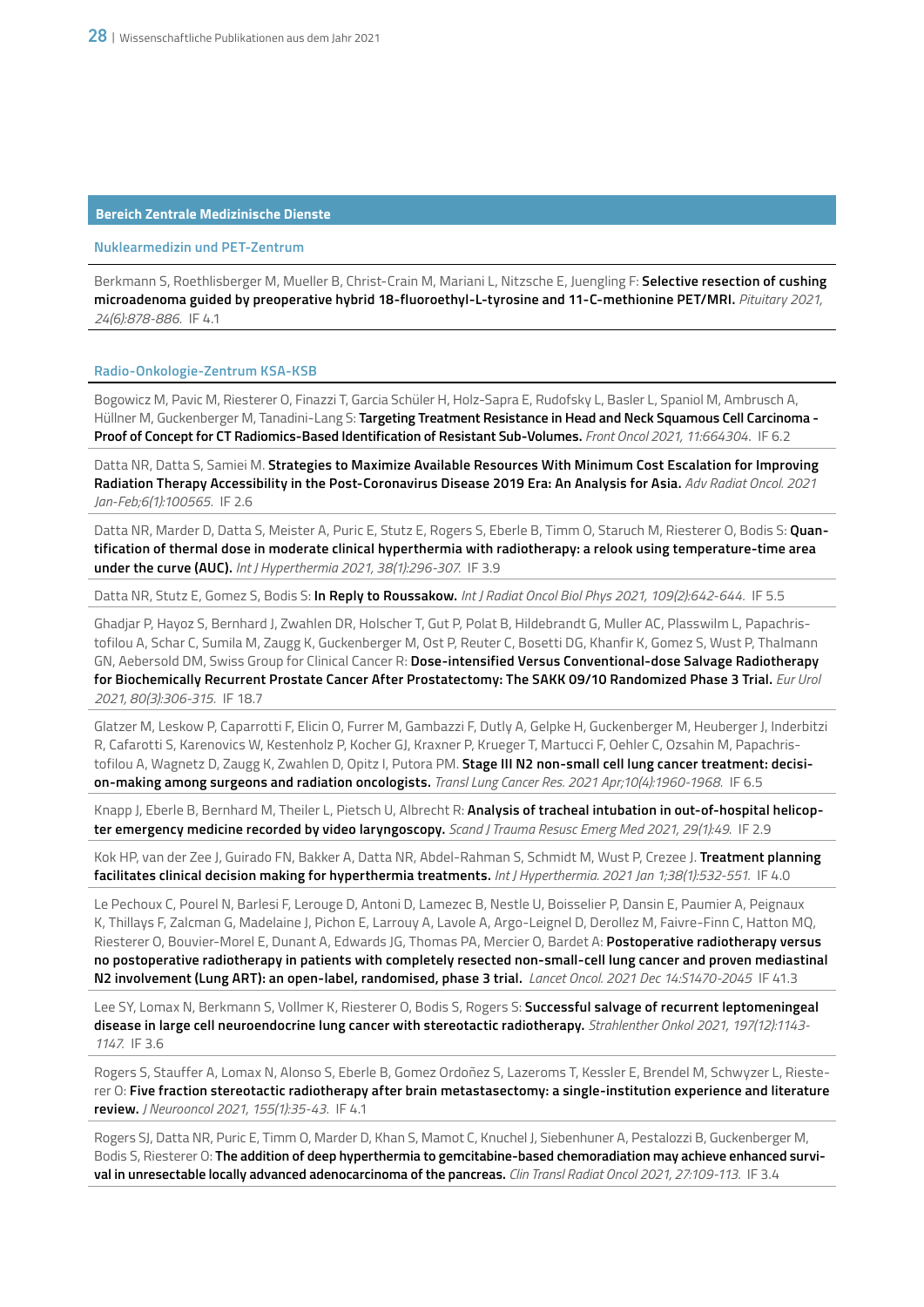# **Nuklearmedizin und PET-Zentrum**

Berkmann S, Roethlisberger M, Mueller B, Christ-Crain M, Mariani L, Nitzsche E, Juengling F: **Selective resection of cushing microadenoma guided by preoperative hybrid 18-fluoroethyl-L-tyrosine and 11-C-methionine PET/MRI.** *Pituitary 2021, 24(6):878-886.* IF 4.1

#### **Radio-Onkologie-Zentrum KSA-KSB**

Bogowicz M, Pavic M, Riesterer O, Finazzi T, Garcia Schüler H, Holz-Sapra E, Rudofsky L, Basler L, Spaniol M, Ambrusch A, Hüllner M, Guckenberger M, Tanadini-Lang S: **Targeting Treatment Resistance in Head and Neck Squamous Cell Carcinoma - Proof of Concept for CT Radiomics-Based Identification of Resistant Sub-Volumes.** *Front Oncol 2021, 11:664304*. IF 6.2

Datta NR, Datta S, Samiei M. **Strategies to Maximize Available Resources With Minimum Cost Escalation for Improving Radiation Therapy Accessibility in the Post-Coronavirus Disease 2019 Era: An Analysis for Asia.** *Adv Radiat Oncol. 2021 Jan-Feb;6(1):100565.* IF 2.6

Datta NR, Marder D, Datta S, Meister A, Puric E, Stutz E, Rogers S, Eberle B, Timm O, Staruch M, Riesterer O, Bodis S: **Quantification of thermal dose in moderate clinical hyperthermia with radiotherapy: a relook using temperature-time area under the curve (AUC).** *Int J Hyperthermia 2021, 38(1):296-307.* IF 3.9

Datta NR, Stutz E, Gomez S, Bodis S: **In Reply to Roussakow.** *Int J Radiat Oncol Biol Phys 2021, 109(2):642-644.* IF 5.5

Ghadjar P, Hayoz S, Bernhard J, Zwahlen DR, Holscher T, Gut P, Polat B, Hildebrandt G, Muller AC, Plasswilm L, Papachristofilou A, Schar C, Sumila M, Zaugg K, Guckenberger M, Ost P, Reuter C, Bosetti DG, Khanfir K, Gomez S, Wust P, Thalmann GN, Aebersold DM, Swiss Group for Clinical Cancer R: **Dose-intensified Versus Conventional-dose Salvage Radiotherapy for Biochemically Recurrent Prostate Cancer After Prostatectomy: The SAKK 09/10 Randomized Phase 3 Trial.** *Eur Urol 2021, 80(3):306-315.* IF 18.7

Glatzer M, Leskow P, Caparrotti F, Elicin O, Furrer M, Gambazzi F, Dutly A, Gelpke H, Guckenberger M, Heuberger J, Inderbitzi R, Cafarotti S, Karenovics W, Kestenholz P, Kocher GJ, Kraxner P, Krueger T, Martucci F, Oehler C, Ozsahin M, Papachristofilou A, Wagnetz D, Zaugg K, Zwahlen D, Opitz I, Putora PM. **Stage III N2 non-small cell lung cancer treatment: decision-making among surgeons and radiation oncologists.** *Transl Lung Cancer Res. 2021 Apr;10(4):1960-1968.* IF 6.5

Knapp J, Eberle B, Bernhard M, Theiler L, Pietsch U, Albrecht R: **Analysis of tracheal intubation in out-of-hospital helicopter emergency medicine recorded by video laryngoscopy.** *Scand J Trauma Resusc Emerg Med 2021, 29(1):49.* IF 2.9

Kok HP, van der Zee J, Guirado FN, Bakker A, Datta NR, Abdel-Rahman S, Schmidt M, Wust P, Crezee J. **Treatment planning facilitates clinical decision making for hyperthermia treatments.** *Int J Hyperthermia. 2021 Jan 1;38(1):532-551.* IF 4.0

Le Pechoux C, Pourel N, Barlesi F, Lerouge D, Antoni D, Lamezec B, Nestle U, Boisselier P, Dansin E, Paumier A, Peignaux K, Thillays F, Zalcman G, Madelaine J, Pichon E, Larrouy A, Lavole A, Argo-Leignel D, Derollez M, Faivre-Finn C, Hatton MQ, Riesterer O, Bouvier-Morel E, Dunant A, Edwards JG, Thomas PA, Mercier O, Bardet A: **Postoperative radiotherapy versus no postoperative radiotherapy in patients with completely resected non-small-cell lung cancer and proven mediastinal N2 involvement (Lung ART): an open-label, randomised, phase 3 trial.** *Lancet Oncol. 2021 Dec 14:S1470-2045* IF 41.3

Lee SY, Lomax N, Berkmann S, Vollmer K, Riesterer O, Bodis S, Rogers S: **Successful salvage of recurrent leptomeningeal disease in large cell neuroendocrine lung cancer with stereotactic radiotherapy.** *Strahlenther Onkol 2021, 197(12):1143- 1147.* IF 3.6

Rogers S, Stauffer A, Lomax N, Alonso S, Eberle B, Gomez Ordoñez S, Lazeroms T, Kessler E, Brendel M, Schwyzer L, Riesterer O: **Five fraction stereotactic radiotherapy after brain metastasectomy: a single-institution experience and literature review.** *J Neurooncol 2021, 155(1):35-43.* IF 4.1

Rogers SJ, Datta NR, Puric E, Timm O, Marder D, Khan S, Mamot C, Knuchel J, Siebenhuner A, Pestalozzi B, Guckenberger M, Bodis S, Riesterer O: **The addition of deep hyperthermia to gemcitabine-based chemoradiation may achieve enhanced survival in unresectable locally advanced adenocarcinoma of the pancreas.** *Clin Transl Radiat Oncol 2021, 27:109-113.* IF 3.4